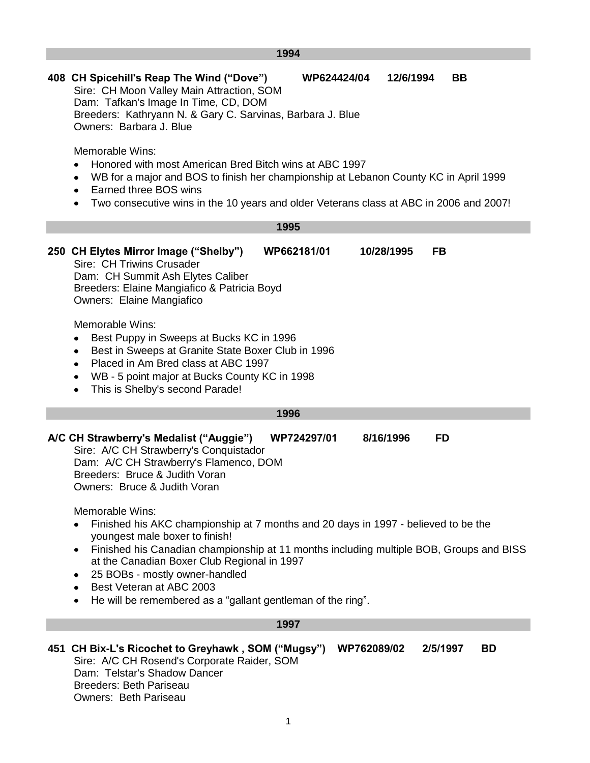|                                                                                                                                                                                                                                        | 1994                                                                                                                                                                                                                                                                                                                                                                                                                                                 |
|----------------------------------------------------------------------------------------------------------------------------------------------------------------------------------------------------------------------------------------|------------------------------------------------------------------------------------------------------------------------------------------------------------------------------------------------------------------------------------------------------------------------------------------------------------------------------------------------------------------------------------------------------------------------------------------------------|
|                                                                                                                                                                                                                                        | 408 CH Spicehill's Reap The Wind ("Dove")<br>WP624424/04<br>12/6/1994<br>BB<br>Sire: CH Moon Valley Main Attraction, SOM<br>Dam: Tafkan's Image In Time, CD, DOM<br>Breeders: Kathryann N. & Gary C. Sarvinas, Barbara J. Blue<br>Owners: Barbara J. Blue                                                                                                                                                                                            |
|                                                                                                                                                                                                                                        | Memorable Wins:<br>Honored with most American Bred Bitch wins at ABC 1997<br>WB for a major and BOS to finish her championship at Lebanon County KC in April 1999<br>٠<br>Earned three BOS wins<br>٠<br>Two consecutive wins in the 10 years and older Veterans class at ABC in 2006 and 2007!                                                                                                                                                       |
|                                                                                                                                                                                                                                        | 1995                                                                                                                                                                                                                                                                                                                                                                                                                                                 |
|                                                                                                                                                                                                                                        | 250 CH Elytes Mirror Image ("Shelby")<br><b>FB</b><br>WP662181/01<br>10/28/1995<br>Sire: CH Triwins Crusader<br>Dam: CH Summit Ash Elytes Caliber<br>Breeders: Elaine Mangiafico & Patricia Boyd<br>Owners: Elaine Mangiafico<br>Memorable Wins:<br>Best Puppy in Sweeps at Bucks KC in 1996<br>٠<br>Best in Sweeps at Granite State Boxer Club in 1996<br>٠<br>Placed in Am Bred class at ABC 1997<br>WB - 5 point major at Bucks County KC in 1998 |
|                                                                                                                                                                                                                                        | This is Shelby's second Parade!<br>٠                                                                                                                                                                                                                                                                                                                                                                                                                 |
|                                                                                                                                                                                                                                        | 1996                                                                                                                                                                                                                                                                                                                                                                                                                                                 |
| A/C CH Strawberry's Medalist ("Auggie")<br>WP724297/01<br>8/16/1996<br><b>FD</b><br>Sire: A/C CH Strawberry's Conquistador<br>Dam: A/C CH Strawberry's Flamenco, DOM<br>Breeders: Bruce & Judith Voran<br>Owners: Bruce & Judith Voran |                                                                                                                                                                                                                                                                                                                                                                                                                                                      |
|                                                                                                                                                                                                                                        | Memorable Wins:<br>Finished his AKC championship at 7 months and 20 days in 1997 - believed to be the<br>youngest male boxer to finish!<br>Finished his Canadian championship at 11 months including multiple BOB, Groups and BISS<br>٠<br>at the Canadian Boxer Club Regional in 1997<br>25 BOBs - mostly owner-handled<br>٠<br>Best Veteran at ABC 2003<br>He will be remembered as a "gallant gentleman of the ring".                             |
|                                                                                                                                                                                                                                        | 1997                                                                                                                                                                                                                                                                                                                                                                                                                                                 |
|                                                                                                                                                                                                                                        | 451 CH Bix-L's Ricochet to Greyhawk, SOM ("Mugsy")<br>2/5/1997<br><b>BD</b><br>WP762089/02<br>Sire: A/C CH Rosend's Corporate Raider, SOM                                                                                                                                                                                                                                                                                                            |

Dam: Telstar's Shadow Dancer Breeders: Beth Pariseau Owners: Beth Pariseau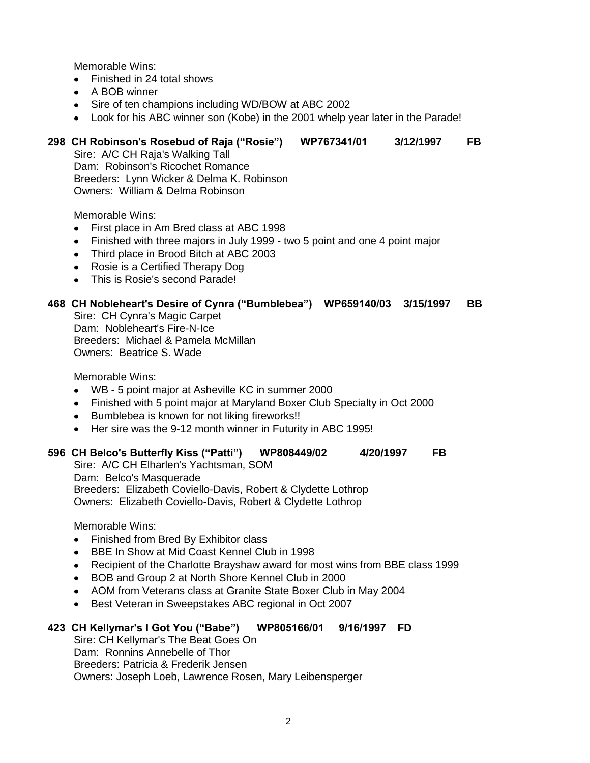- Finished in 24 total shows
- A BOB winner
- Sire of ten champions including WD/BOW at ABC 2002
- Look for his ABC winner son (Kobe) in the 2001 whelp year later in the Parade!

#### **298 CH Robinson's Rosebud of Raja ("Rosie") WP767341/01 3/12/1997 FB**

Sire: A/C CH Raja's Walking Tall Dam: Robinson's Ricochet Romance Breeders: Lynn Wicker & Delma K. Robinson Owners: William & Delma Robinson

Memorable Wins:

- First place in Am Bred class at ABC 1998  $\bullet$
- Finished with three majors in July 1999 two 5 point and one 4 point major
- Third place in Brood Bitch at ABC 2003
- Rosie is a Certified Therapy Dog
- This is Rosie's second Parade!

#### **468 CH Nobleheart's Desire of Cynra ("Bumblebea") WP659140/03 3/15/1997 BB**

Sire: CH Cynra's Magic Carpet Dam: Nobleheart's Fire-N-Ice Breeders: Michael & Pamela McMillan Owners: Beatrice S. Wade

Memorable Wins:

- WB 5 point major at Asheville KC in summer 2000
- Finished with 5 point major at Maryland Boxer Club Specialty in Oct 2000
- Bumblebea is known for not liking fireworks!!
- Her sire was the 9-12 month winner in Futurity in ABC 1995!

#### **596 CH Belco's Butterfly Kiss ("Patti") WP808449/02 4/20/1997 FB**

Sire: A/C CH Elharlen's Yachtsman, SOM Dam: Belco's Masquerade Breeders: Elizabeth Coviello-Davis, Robert & Clydette Lothrop Owners: Elizabeth Coviello-Davis, Robert & Clydette Lothrop

Memorable Wins:

- Finished from Bred By Exhibitor class
- BBE In Show at Mid Coast Kennel Club in 1998  $\bullet$
- Recipient of the Charlotte Brayshaw award for most wins from BBE class 1999  $\bullet$
- BOB and Group 2 at North Shore Kennel Club in 2000
- AOM from Veterans class at Granite State Boxer Club in May 2004  $\bullet$
- $\bullet$ Best Veteran in Sweepstakes ABC regional in Oct 2007

#### **423 CH Kellymar's I Got You ("Babe") WP805166/01 9/16/1997 FD**

Sire: CH Kellymar's The Beat Goes On Dam: Ronnins Annebelle of Thor Breeders: Patricia & Frederik Jensen Owners: Joseph Loeb, Lawrence Rosen, Mary Leibensperger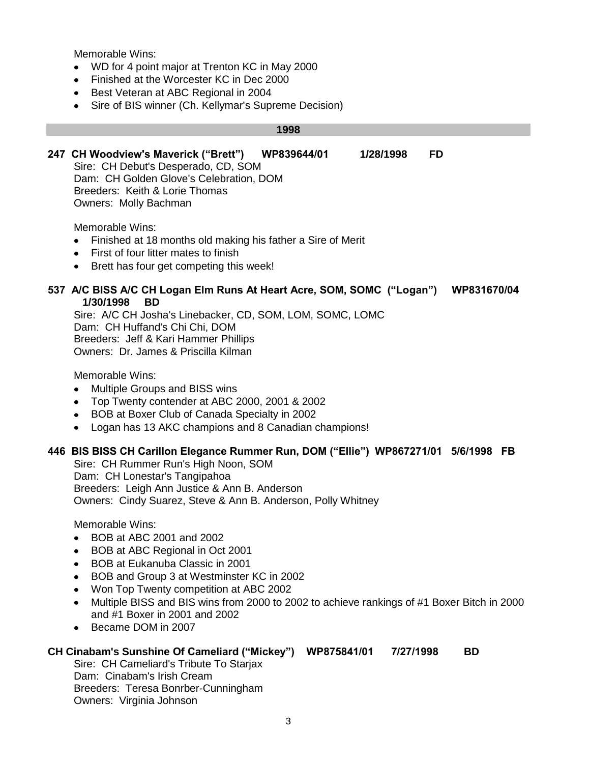- WD for 4 point major at Trenton KC in May 2000
- Finished at the Worcester KC in Dec 2000
- Best Veteran at ABC Regional in 2004  $\bullet$
- $\bullet$ Sire of BIS winner (Ch. Kellymar's Supreme Decision)

#### **1998**

**247 CH Woodview's Maverick ("Brett") WP839644/01 1/28/1998 FD**

Sire: CH Debut's Desperado, CD, SOM Dam: CH Golden Glove's Celebration, DOM Breeders: Keith & Lorie Thomas Owners: Molly Bachman

Memorable Wins:

- Finished at 18 months old making his father a Sire of Merit
- First of four litter mates to finish
- Brett has four get competing this week!

#### **537 A/C BISS A/C CH Logan Elm Runs At Heart Acre, SOM, SOMC ("Logan") WP831670/04 1/30/1998 BD**

Sire: A/C CH Josha's Linebacker, CD, SOM, LOM, SOMC, LOMC Dam: CH Huffand's Chi Chi, DOM Breeders: Jeff & Kari Hammer Phillips Owners: Dr. James & Priscilla Kilman

Memorable Wins:

- Multiple Groups and BISS wins  $\bullet$
- Top Twenty contender at ABC 2000, 2001 & 2002
- BOB at Boxer Club of Canada Specialty in 2002
- Logan has 13 AKC champions and 8 Canadian champions!  $\bullet$

#### **446 BIS BISS CH Carillon Elegance Rummer Run, DOM ("Ellie") WP867271/01 5/6/1998 FB**

Sire: CH Rummer Run's High Noon, SOM Dam: CH Lonestar's Tangipahoa Breeders: Leigh Ann Justice & Ann B. Anderson Owners: Cindy Suarez, Steve & Ann B. Anderson, Polly Whitney

Memorable Wins:

- BOB at ABC 2001 and 2002  $\bullet$
- BOB at ABC Regional in Oct 2001  $\bullet$
- BOB at Eukanuba Classic in 2001  $\bullet$
- BOB and Group 3 at Westminster KC in 2002  $\bullet$
- Won Top Twenty competition at ABC 2002
- $\bullet$ Multiple BISS and BIS wins from 2000 to 2002 to achieve rankings of #1 Boxer Bitch in 2000 and #1 Boxer in 2001 and 2002
- Became DOM in 2007  $\bullet$

#### **CH Cinabam's Sunshine Of Cameliard ("Mickey") WP875841/01 7/27/1998 BD**

Sire: CH Cameliard's Tribute To Starjax Dam: Cinabam's Irish Cream Breeders: Teresa Bonrber-Cunningham Owners: Virginia Johnson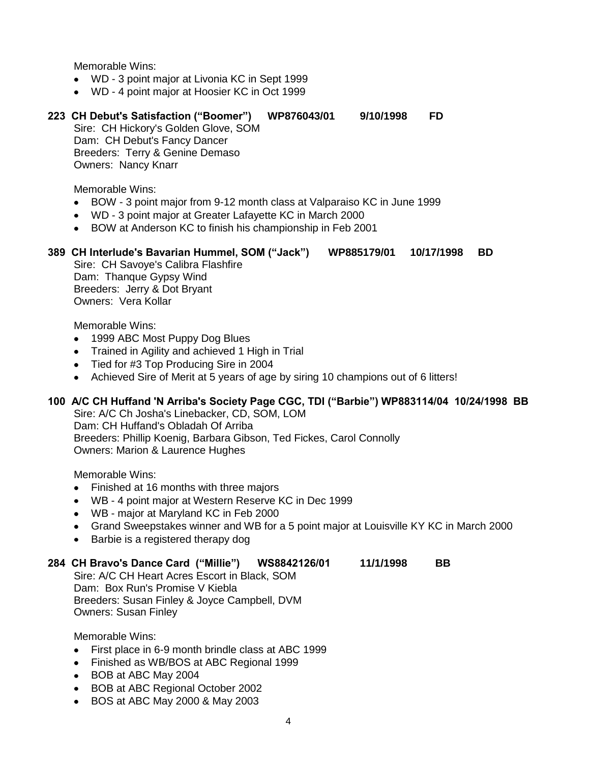- WD 3 point major at Livonia KC in Sept 1999
- WD 4 point major at Hoosier KC in Oct 1999

## **223 CH Debut's Satisfaction ("Boomer") WP876043/01 9/10/1998 FD**

Sire: CH Hickory's Golden Glove, SOM Dam: CH Debut's Fancy Dancer Breeders: Terry & Genine Demaso Owners: Nancy Knarr

Memorable Wins:

- BOW 3 point major from 9-12 month class at Valparaiso KC in June 1999
- WD 3 point major at Greater Lafayette KC in March 2000
- BOW at Anderson KC to finish his championship in Feb 2001

#### **389 CH Interlude's Bavarian Hummel, SOM ("Jack") WP885179/01 10/17/1998 BD**

Sire: CH Savoye's Calibra Flashfire Dam: Thanque Gypsy Wind Breeders: Jerry & Dot Bryant Owners: Vera Kollar

Memorable Wins:

- 1999 ABC Most Puppy Dog Blues
- Trained in Agility and achieved 1 High in Trial
- Tied for #3 Top Producing Sire in 2004
- Achieved Sire of Merit at 5 years of age by siring 10 champions out of 6 litters!

#### **100 A/C CH Huffand 'N Arriba's Society Page CGC, TDI ("Barbie") WP883114/04 10/24/1998 BB**

Sire: A/C Ch Josha's Linebacker, CD, SOM, LOM Dam: CH Huffand's Obladah Of Arriba Breeders: Phillip Koenig, Barbara Gibson, Ted Fickes, Carol Connolly Owners: Marion & Laurence Hughes

Memorable Wins:

- Finished at 16 months with three majors
- WB 4 point major at Western Reserve KC in Dec 1999
- WB major at Maryland KC in Feb 2000
- Grand Sweepstakes winner and WB for a 5 point major at Louisville KY KC in March 2000
- Barbie is a registered therapy dog

#### **284 CH Bravo's Dance Card ("Millie") WS8842126/01 11/1/1998 BB**

Sire: A/C CH Heart Acres Escort in Black, SOM Dam: Box Run's Promise V Kiebla Breeders: Susan Finley & Joyce Campbell, DVM Owners: Susan Finley

- First place in 6-9 month brindle class at ABC 1999
- Finished as WB/BOS at ABC Regional 1999
- BOB at ABC May 2004
- BOB at ABC Regional October 2002
- BOS at ABC May 2000 & May 2003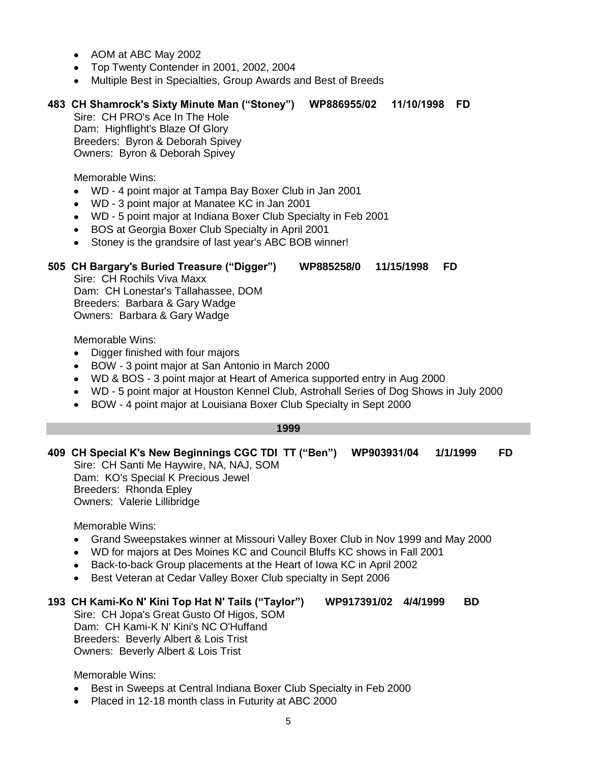- AOM at ABC May 2002
- Top Twenty Contender in 2001, 2002, 2004
- Multiple Best in Specialties, Group Awards and Best of Breeds

# **483 CH Shamrock's Sixty Minute Man ("Stoney") WP886955/02 11/10/1998 FD**

Sire: CH PRO's Ace In The Hole Dam: Highflight's Blaze Of Glory Breeders: Byron & Deborah Spivey Owners: Byron & Deborah Spivey

Memorable Wins:

- WD 4 point major at Tampa Bay Boxer Club in Jan 2001  $\bullet$
- WD 3 point major at Manatee KC in Jan 2001  $\bullet$
- WD 5 point major at Indiana Boxer Club Specialty in Feb 2001  $\bullet$
- BOS at Georgia Boxer Club Specialty in April 2001
- $\bullet$ Stoney is the grandsire of last year's ABC BOB winner!

# **505 CH Bargary's Buried Treasure ("Digger") WP885258/0 11/15/1998 FD**

Sire: CH Rochils Viva Maxx Dam: CH Lonestar's Tallahassee, DOM Breeders: Barbara & Gary Wadge Owners: Barbara & Gary Wadge

Memorable Wins:

- Digger finished with four majors  $\bullet$
- BOW 3 point major at San Antonio in March 2000
- WD & BOS 3 point major at Heart of America supported entry in Aug 2000  $\bullet$
- WD 5 point major at Houston Kennel Club, Astrohall Series of Dog Shows in July 2000
- BOW 4 point major at Louisiana Boxer Club Specialty in Sept 2000

#### **1999**

- **409 CH Special K's New Beginnings CGC TDI TT ("Ben") WP903931/04 1/1/1999 FD** Sire: CH Santi Me Haywire, NA, NAJ, SOM Dam: KO's Special K Precious Jewel Breeders: Rhonda Epley
	- Owners: Valerie Lillibridge

Memorable Wins:

- Grand Sweepstakes winner at Missouri Valley Boxer Club in Nov 1999 and May 2000  $\bullet$
- WD for majors at Des Moines KC and Council Bluffs KC shows in Fall 2001  $\bullet$
- Back-to-back Group placements at the Heart of Iowa KC in April 2002  $\bullet$
- Best Veteran at Cedar Valley Boxer Club specialty in Sept 2006

# **193 CH Kami-Ko N' Kini Top Hat N' Tails ("Taylor") WP917391/02 4/4/1999 BD**

Sire: CH Jopa's Great Gusto Of Higos, SOM Dam: CH Kami-K N' Kini's NC O'Huffand Breeders: Beverly Albert & Lois Trist Owners: Beverly Albert & Lois Trist

- Best in Sweeps at Central Indiana Boxer Club Specialty in Feb 2000  $\bullet$
- Placed in 12-18 month class in Futurity at ABC 2000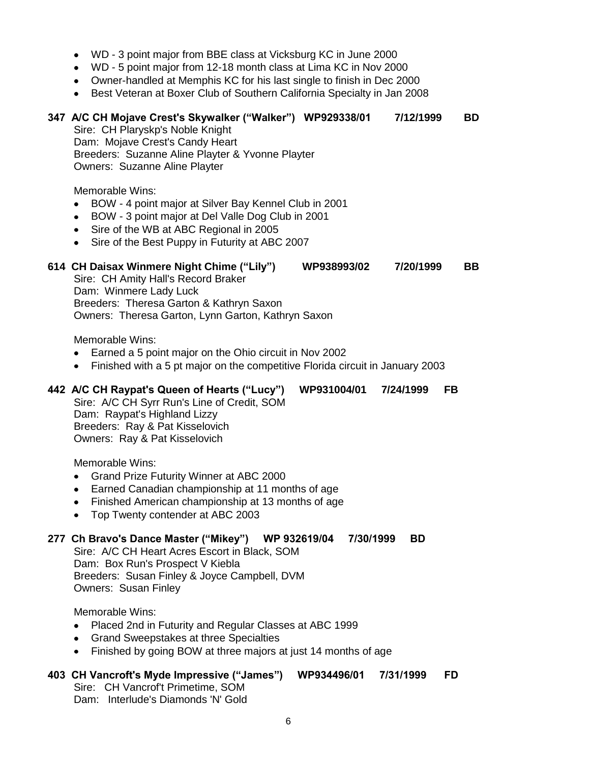- WD 3 point major from BBE class at Vicksburg KC in June 2000
- WD 5 point major from 12-18 month class at Lima KC in Nov 2000
- Owner-handled at Memphis KC for his last single to finish in Dec 2000
- Best Veteran at Boxer Club of Southern California Specialty in Jan 2008

# **347 A/C CH Mojave Crest's Skywalker ("Walker") WP929338/01 7/12/1999 BD** Sire: CH Plaryskp's Noble Knight Dam: Mojave Crest's Candy Heart Breeders: Suzanne Aline Playter & Yvonne Playter Owners: Suzanne Aline Playter Memorable Wins: BOW - 4 point major at Silver Bay Kennel Club in 2001  $\bullet$ BOW - 3 point major at Del Valle Dog Club in 2001  $\bullet$ • Sire of the WB at ABC Regional in 2005 • Sire of the Best Puppy in Futurity at ABC 2007 **614 CH Daisax Winmere Night Chime ("Lily") WP938993/02 7/20/1999 BB** Sire: CH Amity Hall's Record Braker Dam: Winmere Lady Luck Breeders: Theresa Garton & Kathryn Saxon Owners: Theresa Garton, Lynn Garton, Kathryn Saxon Memorable Wins: Earned a 5 point major on the Ohio circuit in Nov 2002  $\bullet$ Finished with a 5 pt major on the competitive Florida circuit in January 2003 **442 A/C CH Raypat's Queen of Hearts ("Lucy") WP931004/01 7/24/1999 FB** Sire: A/C CH Syrr Run's Line of Credit, SOM Dam: Raypat's Highland Lizzy Breeders: Ray & Pat Kisselovich Owners: Ray & Pat Kisselovich Memorable Wins: Grand Prize Futurity Winner at ABC 2000 Earned Canadian championship at 11 months of age Finished American championship at 13 months of age Top Twenty contender at ABC 2003  $\bullet$ **277 Ch Bravo's Dance Master ("Mikey") WP 932619/04 7/30/1999 BD** Sire: A/C CH Heart Acres Escort in Black, SOM Dam: Box Run's Prospect V Kiebla Breeders: Susan Finley & Joyce Campbell, DVM

Memorable Wins:

Owners: Susan Finley

- Placed 2nd in Futurity and Regular Classes at ABC 1999
- Grand Sweepstakes at three Specialties
- Finished by going BOW at three majors at just 14 months of age

#### **403 CH Vancroft's Myde Impressive ("James") WP934496/01 7/31/1999 FD**

Sire: CH Vancrof't Primetime, SOM Dam: Interlude's Diamonds 'N' Gold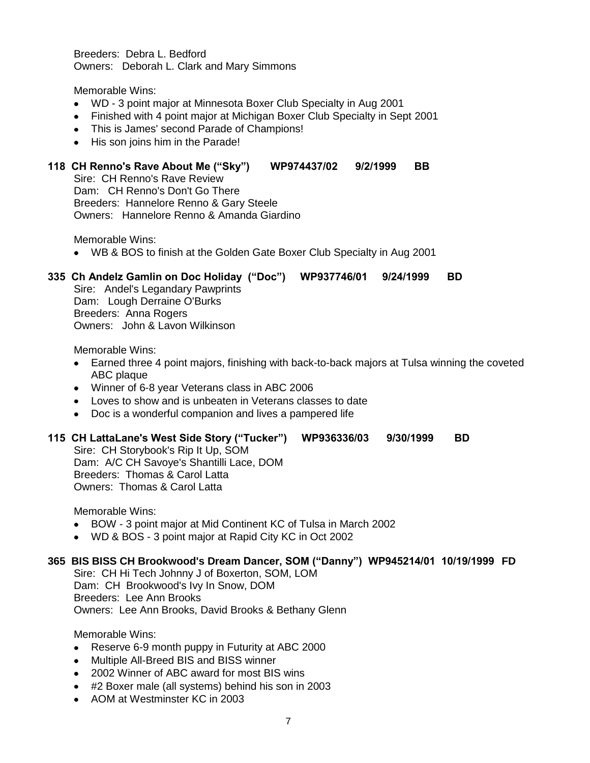Breeders: Debra L. Bedford Owners: Deborah L. Clark and Mary Simmons

Memorable Wins:

- WD 3 point major at Minnesota Boxer Club Specialty in Aug 2001
- Finished with 4 point major at Michigan Boxer Club Specialty in Sept 2001
- This is James' second Parade of Champions!
- His son joins him in the Parade!

#### **118 CH Renno's Rave About Me ("Sky") WP974437/02 9/2/1999 BB**

Sire: CH Renno's Rave Review Dam: CH Renno's Don't Go There Breeders: Hannelore Renno & Gary Steele Owners: Hannelore Renno & Amanda Giardino

Memorable Wins:

WB & BOS to finish at the Golden Gate Boxer Club Specialty in Aug 2001

# **335 Ch Andelz Gamlin on Doc Holiday ("Doc") WP937746/01 9/24/1999 BD**

Sire: Andel's Legandary Pawprints Dam: Lough Derraine O'Burks Breeders: Anna Rogers Owners: John & Lavon Wilkinson

Memorable Wins:

- Earned three 4 point majors, finishing with back-to-back majors at Tulsa winning the coveted ABC plaque
- Winner of 6-8 year Veterans class in ABC 2006
- Loves to show and is unbeaten in Veterans classes to date
- Doc is a wonderful companion and lives a pampered life

#### **115 CH LattaLane's West Side Story ("Tucker") WP936336/03 9/30/1999 BD**

Sire: CH Storybook's Rip It Up, SOM Dam: A/C CH Savoye's Shantilli Lace, DOM Breeders: Thomas & Carol Latta Owners: Thomas & Carol Latta

Memorable Wins:

- BOW 3 point major at Mid Continent KC of Tulsa in March 2002
- WD & BOS 3 point major at Rapid City KC in Oct 2002

#### **365 BIS BISS CH Brookwood's Dream Dancer, SOM ("Danny") WP945214/01 10/19/1999 FD**

Sire: CH Hi Tech Johnny J of Boxerton, SOM, LOM Dam: CH Brookwood's Ivy In Snow, DOM Breeders: Lee Ann Brooks Owners: Lee Ann Brooks, David Brooks & Bethany Glenn

- Reserve 6-9 month puppy in Futurity at ABC 2000
- Multiple All-Breed BIS and BISS winner
- 2002 Winner of ABC award for most BIS wins
- #2 Boxer male (all systems) behind his son in 2003
- AOM at Westminster KC in 2003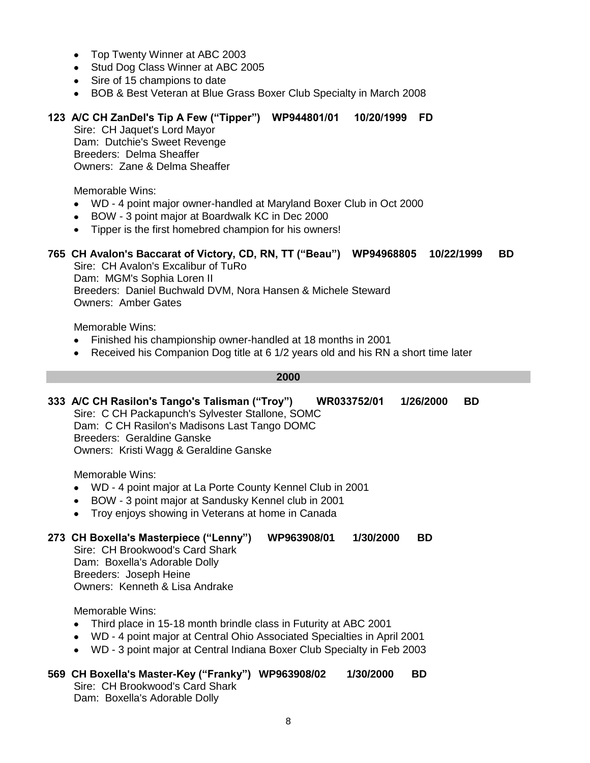- Top Twenty Winner at ABC 2003  $\bullet$
- Stud Dog Class Winner at ABC 2005
- Sire of 15 champions to date
- BOB & Best Veteran at Blue Grass Boxer Club Specialty in March 2008

# **123 A/C CH ZanDel's Tip A Few ("Tipper") WP944801/01 10/20/1999 FD**

Sire: CH Jaquet's Lord Mayor Dam: Dutchie's Sweet Revenge Breeders: Delma Sheaffer Owners: Zane & Delma Sheaffer

Memorable Wins:

- WD 4 point major owner-handled at Maryland Boxer Club in Oct 2000
- BOW 3 point major at Boardwalk KC in Dec 2000  $\bullet$
- Tipper is the first homebred champion for his owners!  $\bullet$

# **765 CH Avalon's Baccarat of Victory, CD, RN, TT ("Beau") WP94968805 10/22/1999 BD**

Sire: CH Avalon's Excalibur of TuRo Dam: MGM's Sophia Loren II Breeders: Daniel Buchwald DVM, Nora Hansen & Michele Steward Owners: Amber Gates

Memorable Wins:

- Finished his championship owner-handled at 18 months in 2001
- Received his Companion Dog title at 6 1/2 years old and his RN a short time later

#### **2000**

#### **333 A/C CH Rasilon's Tango's Talisman ("Troy") WR033752/01 1/26/2000 BD** Sire: C CH Packapunch's Sylvester Stallone, SOMC

Dam: C CH Rasilon's Madisons Last Tango DOMC Breeders: Geraldine Ganske Owners: Kristi Wagg & Geraldine Ganske

Memorable Wins:

- WD 4 point major at La Porte County Kennel Club in 2001
- BOW 3 point major at Sandusky Kennel club in 2001  $\bullet$
- $\bullet$ Troy enjoys showing in Veterans at home in Canada

#### **273 CH Boxella's Masterpiece ("Lenny") WP963908/01 1/30/2000 BD**

Sire: CH Brookwood's Card Shark Dam: Boxella's Adorable Dolly Breeders: Joseph Heine Owners: Kenneth & Lisa Andrake

Memorable Wins:

- $\bullet$ Third place in 15-18 month brindle class in Futurity at ABC 2001
- WD 4 point major at Central Ohio Associated Specialties in April 2001
- WD 3 point major at Central Indiana Boxer Club Specialty in Feb 2003

#### **569 CH Boxella's Master-Key ("Franky") WP963908/02 1/30/2000 BD** Sire: CH Brookwood's Card Shark Dam: Boxella's Adorable Dolly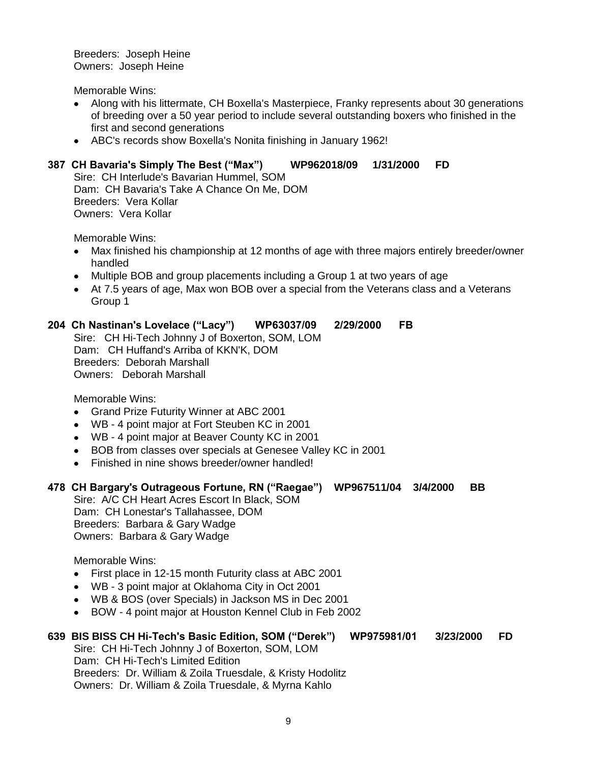Breeders: Joseph Heine Owners: Joseph Heine

Memorable Wins:

- Along with his littermate, CH Boxella's Masterpiece, Franky represents about 30 generations of breeding over a 50 year period to include several outstanding boxers who finished in the first and second generations
- ABC's records show Boxella's Nonita finishing in January 1962!

# **387 CH Bavaria's Simply The Best ("Max") WP962018/09 1/31/2000 FD**

Sire: CH Interlude's Bavarian Hummel, SOM Dam: CH Bavaria's Take A Chance On Me, DOM Breeders: Vera Kollar Owners: Vera Kollar

Memorable Wins:

- Max finished his championship at 12 months of age with three majors entirely breeder/owner  $\bullet$ handled
- Multiple BOB and group placements including a Group 1 at two years of age
- At 7.5 years of age, Max won BOB over a special from the Veterans class and a Veterans Group 1

# **204 Ch Nastinan's Lovelace ("Lacy") WP63037/09 2/29/2000 FB**

Sire: CH Hi-Tech Johnny J of Boxerton, SOM, LOM Dam: CH Huffand's Arriba of KKN'K, DOM Breeders: Deborah Marshall Owners: Deborah Marshall

Memorable Wins:

- $\bullet$ Grand Prize Futurity Winner at ABC 2001
- WB 4 point major at Fort Steuben KC in 2001
- WB 4 point major at Beaver County KC in 2001
- BOB from classes over specials at Genesee Valley KC in 2001  $\bullet$
- Finished in nine shows breeder/owner handled!  $\bullet$

# **478 CH Bargary's Outrageous Fortune, RN ("Raegae") WP967511/04 3/4/2000 BB**

Sire: A/C CH Heart Acres Escort In Black, SOM Dam: CH Lonestar's Tallahassee, DOM Breeders: Barbara & Gary Wadge Owners: Barbara & Gary Wadge

Memorable Wins:

- First place in 12-15 month Futurity class at ABC 2001  $\bullet$
- WB 3 point major at Oklahoma City in Oct 2001
- WB & BOS (over Specials) in Jackson MS in Dec 2001
- BOW 4 point major at Houston Kennel Club in Feb 2002  $\bullet$

# **639 BIS BISS CH Hi-Tech's Basic Edition, SOM ("Derek") WP975981/01 3/23/2000 FD**

Sire: CH Hi-Tech Johnny J of Boxerton, SOM, LOM Dam: CH Hi-Tech's Limited Edition Breeders: Dr. William & Zoila Truesdale, & Kristy Hodolitz Owners: Dr. William & Zoila Truesdale, & Myrna Kahlo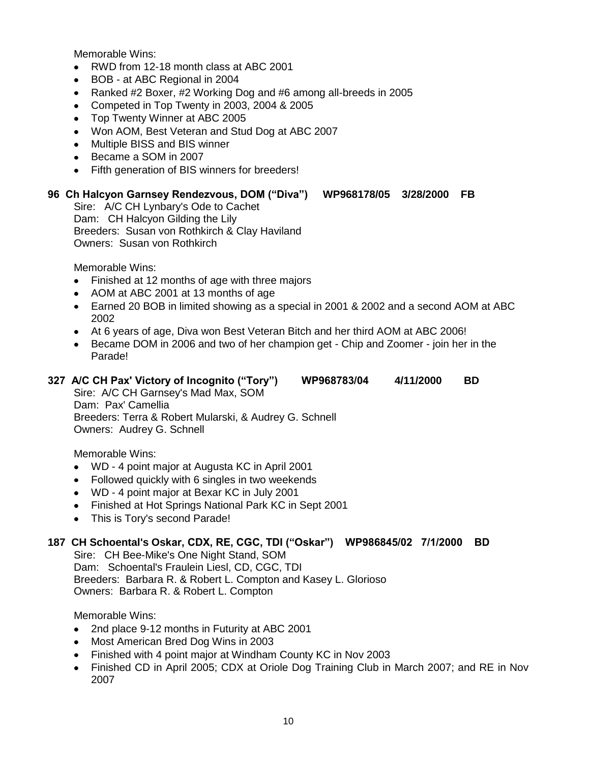- RWD from 12-18 month class at ABC 2001  $\bullet$
- BOB at ABC Regional in 2004  $\bullet$
- Ranked #2 Boxer, #2 Working Dog and #6 among all-breeds in 2005  $\bullet$
- Competed in Top Twenty in 2003, 2004 & 2005  $\bullet$
- Top Twenty Winner at ABC 2005  $\bullet$
- Won AOM, Best Veteran and Stud Dog at ABC 2007
- Multiple BISS and BIS winner
- Became a SOM in 2007
- Fifth generation of BIS winners for breeders!  $\bullet$

# **96 Ch Halcyon Garnsey Rendezvous, DOM ("Diva") WP968178/05 3/28/2000 FB**

Sire: A/C CH Lynbary's Ode to Cachet Dam: CH Halcyon Gilding the Lily Breeders: Susan von Rothkirch & Clay Haviland Owners: Susan von Rothkirch

Memorable Wins:

- Finished at 12 months of age with three majors  $\bullet$
- AOM at ABC 2001 at 13 months of age
- Earned 20 BOB in limited showing as a special in 2001 & 2002 and a second AOM at ABC 2002
- At 6 years of age, Diva won Best Veteran Bitch and her third AOM at ABC 2006!
- Became DOM in 2006 and two of her champion get Chip and Zoomer join her in the Parade!

#### **327 A/C CH Pax' Victory of Incognito ("Tory") WP968783/04 4/11/2000 BD**

Sire: A/C CH Garnsey's Mad Max, SOM Dam: Pax' Camellia Breeders: Terra & Robert Mularski, & Audrey G. Schnell Owners: Audrey G. Schnell

Memorable Wins:

- WD 4 point major at Augusta KC in April 2001
- Followed quickly with 6 singles in two weekends
- WD 4 point major at Bexar KC in July 2001
- Finished at Hot Springs National Park KC in Sept 2001
- This is Tory's second Parade!

# **187 CH Schoental's Oskar, CDX, RE, CGC, TDI ("Oskar") WP986845/02 7/1/2000 BD**

Sire: CH Bee-Mike's One Night Stand, SOM Dam: Schoental's Fraulein Liesl, CD, CGC, TDI Breeders: Barbara R. & Robert L. Compton and Kasey L. Glorioso Owners: Barbara R. & Robert L. Compton

- $\bullet$ 2nd place 9-12 months in Futurity at ABC 2001
- Most American Bred Dog Wins in 2003  $\bullet$
- Finished with 4 point major at Windham County KC in Nov 2003  $\bullet$  .
- Finished CD in April 2005; CDX at Oriole Dog Training Club in March 2007; and RE in Nov  $\bullet$ 2007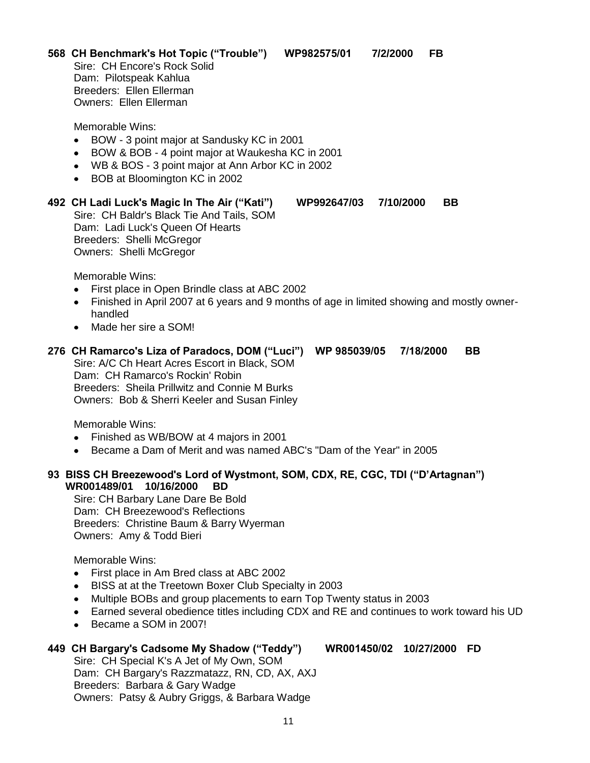**568 CH Benchmark's Hot Topic ("Trouble") WP982575/01 7/2/2000 FB** Sire: CH Encore's Rock Solid Dam: Pilotspeak Kahlua Breeders: Ellen Ellerman Owners: Ellen Ellerman

Memorable Wins:

- BOW 3 point major at Sandusky KC in 2001  $\bullet$
- BOW & BOB 4 point major at Waukesha KC in 2001  $\bullet$
- WB & BOS 3 point major at Ann Arbor KC in 2002
- BOB at Bloomington KC in 2002

#### **492 CH Ladi Luck's Magic In The Air ("Kati") WP992647/03 7/10/2000 BB**

Sire: CH Baldr's Black Tie And Tails, SOM Dam: Ladi Luck's Queen Of Hearts Breeders: Shelli McGregor Owners: Shelli McGregor

Memorable Wins:

- First place in Open Brindle class at ABC 2002  $\bullet$
- Finished in April 2007 at 6 years and 9 months of age in limited showing and mostly owner- $\bullet$ handled
- Made her sire a SOM!

**276 CH Ramarco's Liza of Paradocs, DOM ("Luci") WP 985039/05 7/18/2000 BB** Sire: A/C Ch Heart Acres Escort in Black, SOM Dam: CH Ramarco's Rockin' Robin Breeders: Sheila Prillwitz and Connie M Burks Owners: Bob & Sherri Keeler and Susan Finley

Memorable Wins:

- Finished as WB/BOW at 4 majors in 2001
- Became a Dam of Merit and was named ABC's "Dam of the Year" in 2005  $\bullet$

# **93 BISS CH Breezewood's Lord of Wystmont, SOM, CDX, RE, CGC, TDI ("D'Artagnan") WR001489/01 10/16/2000 BD**

Sire: CH Barbary Lane Dare Be Bold Dam: CH Breezewood's Reflections Breeders: Christine Baum & Barry Wyerman Owners: Amy & Todd Bieri

Memorable Wins:

- First place in Am Bred class at ABC 2002  $\bullet$
- BISS at at the Treetown Boxer Club Specialty in 2003  $\bullet$
- Multiple BOBs and group placements to earn Top Twenty status in 2003  $\bullet$
- Earned several obedience titles including CDX and RE and continues to work toward his UD
- Became a SOM in 2007!

# **449 CH Bargary's Cadsome My Shadow ("Teddy") WR001450/02 10/27/2000 FD**

Sire: CH Special K's A Jet of My Own, SOM Dam: CH Bargary's Razzmatazz, RN, CD, AX, AXJ Breeders: Barbara & Gary Wadge Owners: Patsy & Aubry Griggs, & Barbara Wadge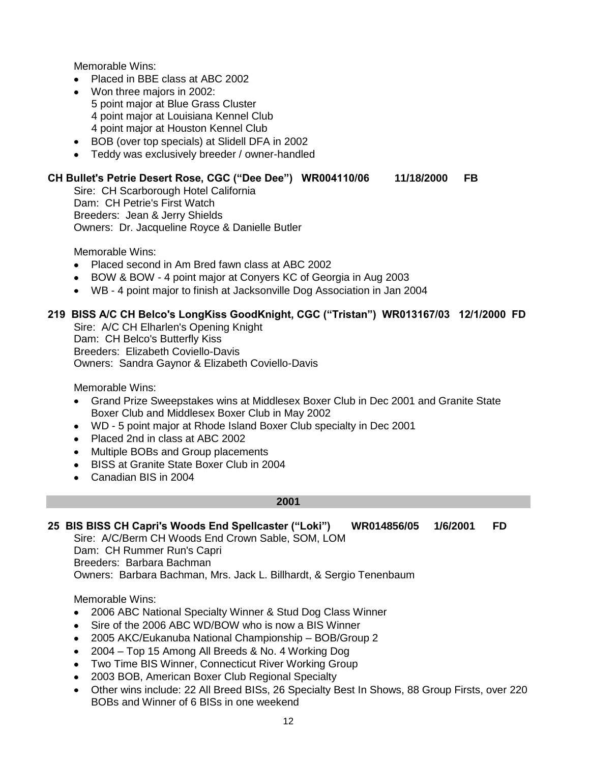- Placed in BBE class at ABC 2002
- Won three majors in 2002: 5 point major at Blue Grass Cluster 4 point major at Louisiana Kennel Club 4 point major at Houston Kennel Club
- BOB (over top specials) at Slidell DFA in 2002
- Teddy was exclusively breeder / owner-handled

# **CH Bullet's Petrie Desert Rose, CGC ("Dee Dee") WR004110/06 11/18/2000 FB**

Sire: CH Scarborough Hotel California Dam: CH Petrie's First Watch Breeders: Jean & Jerry Shields Owners: Dr. Jacqueline Royce & Danielle Butler

Memorable Wins:

- Placed second in Am Bred fawn class at ABC 2002
- BOW & BOW 4 point major at Conyers KC of Georgia in Aug 2003
- WB 4 point major to finish at Jacksonville Dog Association in Jan 2004

# **219 BISS A/C CH Belco's LongKiss GoodKnight, CGC ("Tristan") WR013167/03 12/1/2000 FD**

Sire: A/C CH Elharlen's Opening Knight Dam: CH Belco's Butterfly Kiss Breeders: Elizabeth Coviello-Davis Owners: Sandra Gaynor & Elizabeth Coviello-Davis

Memorable Wins:

- Grand Prize Sweepstakes wins at Middlesex Boxer Club in Dec 2001 and Granite State Boxer Club and Middlesex Boxer Club in May 2002
- WD 5 point major at Rhode Island Boxer Club specialty in Dec 2001
- Placed 2nd in class at ABC 2002
- $\bullet$ Multiple BOBs and Group placements
- BISS at Granite State Boxer Club in 2004
- Canadian BIS in 2004

#### **2001**

## **25 BIS BISS CH Capri's Woods End Spellcaster ("Loki") WR014856/05 1/6/2001 FD**

Sire: A/C/Berm CH Woods End Crown Sable, SOM, LOM Dam: CH Rummer Run's Capri Breeders: Barbara Bachman Owners: Barbara Bachman, Mrs. Jack L. Billhardt, & Sergio Tenenbaum

- 2006 ABC National Specialty Winner & Stud Dog Class Winner  $\bullet$
- $\bullet$ Sire of the 2006 ABC WD/BOW who is now a BIS Winner
- 2005 AKC/Eukanuba National Championship BOB/Group 2  $\bullet$
- 2004 Top 15 Among All Breeds & No. 4 Working Dog  $\bullet$
- Two Time BIS Winner, Connecticut River Working Group
- 2003 BOB, American Boxer Club Regional Specialty  $\bullet$
- Other wins include: 22 All Breed BISs, 26 Specialty Best In Shows, 88 Group Firsts, over 220 BOBs and Winner of 6 BISs in one weekend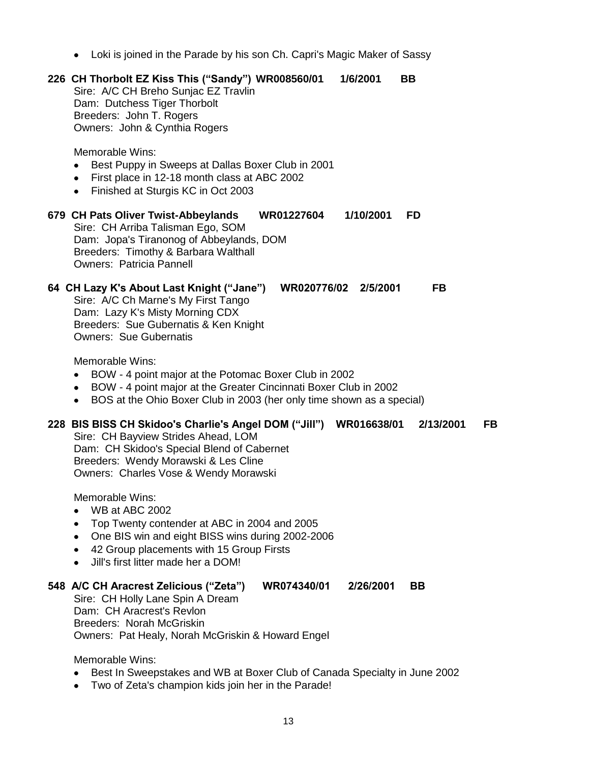Loki is joined in the Parade by his son Ch. Capri's Magic Maker of Sassy

# **226 CH Thorbolt EZ Kiss This ("Sandy") WR008560/01 1/6/2001 BB** Sire: A/C CH Breho Sunjac EZ Travlin Dam: Dutchess Tiger Thorbolt Breeders: John T. Rogers Owners: John & Cynthia Rogers Memorable Wins: Best Puppy in Sweeps at Dallas Boxer Club in 2001  $\bullet$  $\bullet$ First place in 12-18 month class at ABC 2002 Finished at Sturgis KC in Oct 2003 **679 CH Pats Oliver Twist-Abbeylands WR01227604 1/10/2001 FD** Sire: CH Arriba Talisman Ego, SOM Dam: Jopa's Tiranonog of Abbeylands, DOM Breeders: Timothy & Barbara Walthall Owners: Patricia Pannell **64 CH Lazy K's About Last Knight ("Jane") WR020776/02 2/5/2001 FB** Sire: A/C Ch Marne's My First Tango Dam: Lazy K's Misty Morning CDX Breeders: Sue Gubernatis & Ken Knight Owners: Sue Gubernatis Memorable Wins:  $\bullet$ BOW - 4 point major at the Potomac Boxer Club in 2002 BOW - 4 point major at the Greater Cincinnati Boxer Club in 2002

BOS at the Ohio Boxer Club in 2003 (her only time shown as a special)

# **228 BIS BISS CH Skidoo's Charlie's Angel DOM ("Jill") WR016638/01 2/13/2001 FB**

Sire: CH Bayview Strides Ahead, LOM Dam: CH Skidoo's Special Blend of Cabernet Breeders: Wendy Morawski & Les Cline Owners: Charles Vose & Wendy Morawski

Memorable Wins:

- WB at ABC 2002
- Top Twenty contender at ABC in 2004 and 2005
- One BIS win and eight BISS wins during 2002-2006
- 42 Group placements with 15 Group Firsts
- Jill's first litter made her a DOM!

#### **548 A/C CH Aracrest Zelicious ("Zeta") WR074340/01 2/26/2001 BB**

Sire: CH Holly Lane Spin A Dream Dam: CH Aracrest's Revlon Breeders: Norah McGriskin Owners: Pat Healy, Norah McGriskin & Howard Engel

- Best In Sweepstakes and WB at Boxer Club of Canada Specialty in June 2002
- Two of Zeta's champion kids join her in the Parade!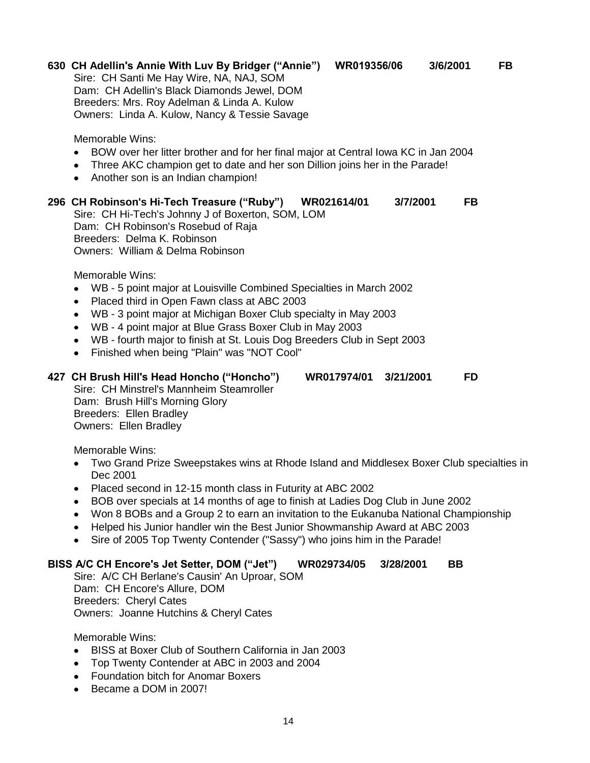# **630 CH Adellin's Annie With Luv By Bridger ("Annie") WR019356/06 3/6/2001 FB**

Sire: CH Santi Me Hay Wire, NA, NAJ, SOM Dam: CH Adellin's Black Diamonds Jewel, DOM Breeders: Mrs. Roy Adelman & Linda A. Kulow Owners: Linda A. Kulow, Nancy & Tessie Savage

Memorable Wins:

- BOW over her litter brother and for her final major at Central Iowa KC in Jan 2004
- Three AKC champion get to date and her son Dillion joins her in the Parade!
- Another son is an Indian champion!

#### **296 CH Robinson's Hi-Tech Treasure ("Ruby") WR021614/01 3/7/2001 FB**

Sire: CH Hi-Tech's Johnny J of Boxerton, SOM, LOM Dam: CH Robinson's Rosebud of Raja Breeders: Delma K. Robinson Owners: William & Delma Robinson

Memorable Wins:

- WB 5 point major at Louisville Combined Specialties in March 2002  $\bullet$
- Placed third in Open Fawn class at ABC 2003  $\bullet$
- WB 3 point major at Michigan Boxer Club specialty in May 2003
- WB 4 point major at Blue Grass Boxer Club in May 2003
- WB fourth major to finish at St. Louis Dog Breeders Club in Sept 2003
- Finished when being "Plain" was "NOT Cool"  $\bullet$

#### **427 CH Brush Hill's Head Honcho ("Honcho") WR017974/01 3/21/2001 FD**

Sire: CH Minstrel's Mannheim Steamroller Dam: Brush Hill's Morning Glory Breeders: Ellen Bradley Owners: Ellen Bradley

Memorable Wins:

- Two Grand Prize Sweepstakes wins at Rhode Island and Middlesex Boxer Club specialties in  $\bullet$ Dec 2001
- Placed second in 12-15 month class in Futurity at ABC 2002
- BOB over specials at 14 months of age to finish at Ladies Dog Club in June 2002
- Won 8 BOBs and a Group 2 to earn an invitation to the Eukanuba National Championship
- Helped his Junior handler win the Best Junior Showmanship Award at ABC 2003
- Sire of 2005 Top Twenty Contender ("Sassy") who joins him in the Parade!

# **BISS A/C CH Encore's Jet Setter, DOM ("Jet") WR029734/05 3/28/2001 BB**

Sire: A/C CH Berlane's Causin' An Uproar, SOM Dam: CH Encore's Allure, DOM Breeders: Cheryl Cates Owners: Joanne Hutchins & Cheryl Cates

- BISS at Boxer Club of Southern California in Jan 2003
- Top Twenty Contender at ABC in 2003 and 2004  $\bullet$
- Foundation bitch for Anomar Boxers
- Became a DOM in 2007!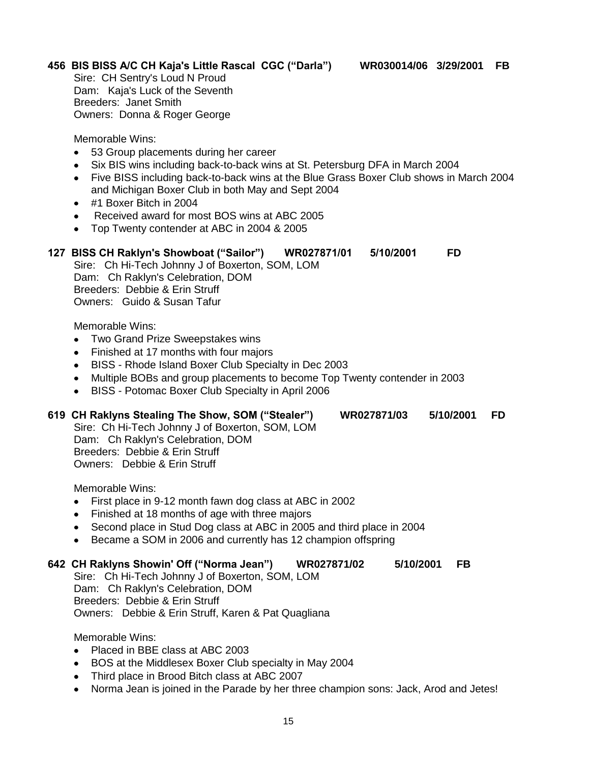# **456 BIS BISS A/C CH Kaja's Little Rascal CGC ("Darla") WR030014/06 3/29/2001 FB**

Sire: CH Sentry's Loud N Proud Dam: Kaja's Luck of the Seventh Breeders: Janet Smith Owners: Donna & Roger George

Memorable Wins:

- 53 Group placements during her career
- Six BIS wins including back-to-back wins at St. Petersburg DFA in March 2004  $\bullet$
- Five BISS including back-to-back wins at the Blue Grass Boxer Club shows in March 2004  $\bullet$ and Michigan Boxer Club in both May and Sept 2004
- #1 Boxer Bitch in 2004
- Received award for most BOS wins at ABC 2005
- Top Twenty contender at ABC in 2004 & 2005  $\bullet$

#### **127 BISS CH Raklyn's Showboat ("Sailor") WR027871/01 5/10/2001 FD**

Sire: Ch Hi-Tech Johnny J of Boxerton, SOM, LOM Dam: Ch Raklyn's Celebration, DOM Breeders: Debbie & Erin Struff

Owners: Guido & Susan Tafur

Memorable Wins:

- Two Grand Prize Sweepstakes wins  $\bullet$
- Finished at 17 months with four majors
- BISS Rhode Island Boxer Club Specialty in Dec 2003
- Multiple BOBs and group placements to become Top Twenty contender in 2003
- BISS Potomac Boxer Club Specialty in April 2006  $\bullet$

#### **619 CH Raklyns Stealing The Show, SOM ("Stealer") WR027871/03 5/10/2001 FD**

Sire: Ch Hi-Tech Johnny J of Boxerton, SOM, LOM Dam: Ch Raklyn's Celebration, DOM Breeders: Debbie & Erin Struff Owners: Debbie & Erin Struff

Memorable Wins:

- First place in 9-12 month fawn dog class at ABC in 2002  $\bullet$
- Finished at 18 months of age with three majors  $\bullet$
- Second place in Stud Dog class at ABC in 2005 and third place in 2004
- Became a SOM in 2006 and currently has 12 champion offspring

#### **642 CH Raklyns Showin' Off ("Norma Jean") WR027871/02 5/10/2001 FB**

Sire: Ch Hi-Tech Johnny J of Boxerton, SOM, LOM Dam: Ch Raklyn's Celebration, DOM Breeders: Debbie & Erin Struff Owners: Debbie & Erin Struff, Karen & Pat Quagliana

- Placed in BBE class at ABC 2003
- BOS at the Middlesex Boxer Club specialty in May 2004
- Third place in Brood Bitch class at ABC 2007
- Norma Jean is joined in the Parade by her three champion sons: Jack, Arod and Jetes!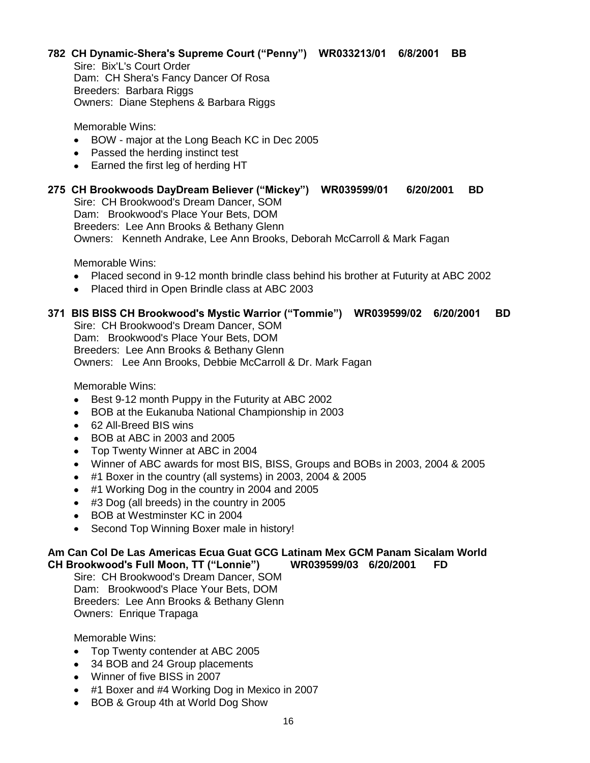#### **782 CH Dynamic-Shera's Supreme Court ("Penny") WR033213/01 6/8/2001 BB** Sire: Bix'L's Court Order

Dam: CH Shera's Fancy Dancer Of Rosa Breeders: Barbara Riggs Owners: Diane Stephens & Barbara Riggs

Memorable Wins:

- BOW major at the Long Beach KC in Dec 2005
- Passed the herding instinct test
- Earned the first leg of herding HT

#### **275 CH Brookwoods DayDream Believer ("Mickey") WR039599/01 6/20/2001 BD** Sire: CH Brookwood's Dream Dancer, SOM Dam: Brookwood's Place Your Bets, DOM

Breeders: Lee Ann Brooks & Bethany Glenn

Owners: Kenneth Andrake, Lee Ann Brooks, Deborah McCarroll & Mark Fagan

Memorable Wins:

- Placed second in 9-12 month brindle class behind his brother at Futurity at ABC 2002
- Placed third in Open Brindle class at ABC 2003

# **371 BIS BISS CH Brookwood's Mystic Warrior ("Tommie") WR039599/02 6/20/2001 BD**

Sire: CH Brookwood's Dream Dancer, SOM Dam: Brookwood's Place Your Bets, DOM Breeders: Lee Ann Brooks & Bethany Glenn Owners: Lee Ann Brooks, Debbie McCarroll & Dr. Mark Fagan

Memorable Wins:

- Best 9-12 month Puppy in the Futurity at ABC 2002  $\bullet$
- $\bullet$ BOB at the Eukanuba National Championship in 2003
- 62 All-Breed BIS wins
- BOB at ABC in 2003 and 2005
- Top Twenty Winner at ABC in 2004  $\bullet$
- Winner of ABC awards for most BIS, BISS, Groups and BOBs in 2003, 2004 & 2005
- #1 Boxer in the country (all systems) in 2003, 2004 & 2005
- #1 Working Dog in the country in 2004 and 2005
- #3 Dog (all breeds) in the country in 2005
- BOB at Westminster KC in 2004
- Second Top Winning Boxer male in history!

#### **Am Can Col De Las Americas Ecua Guat GCG Latinam Mex GCM Panam Sicalam World CH Brookwood's Full Moon, TT ("Lonnie") WR039599/03 6/20/2001 FD**

Sire: CH Brookwood's Dream Dancer, SOM Dam: Brookwood's Place Your Bets, DOM Breeders: Lee Ann Brooks & Bethany Glenn Owners: Enrique Trapaga

- Top Twenty contender at ABC 2005
- 34 BOB and 24 Group placements
- Winner of five BISS in 2007
- #1 Boxer and #4 Working Dog in Mexico in 2007
- BOB & Group 4th at World Dog Show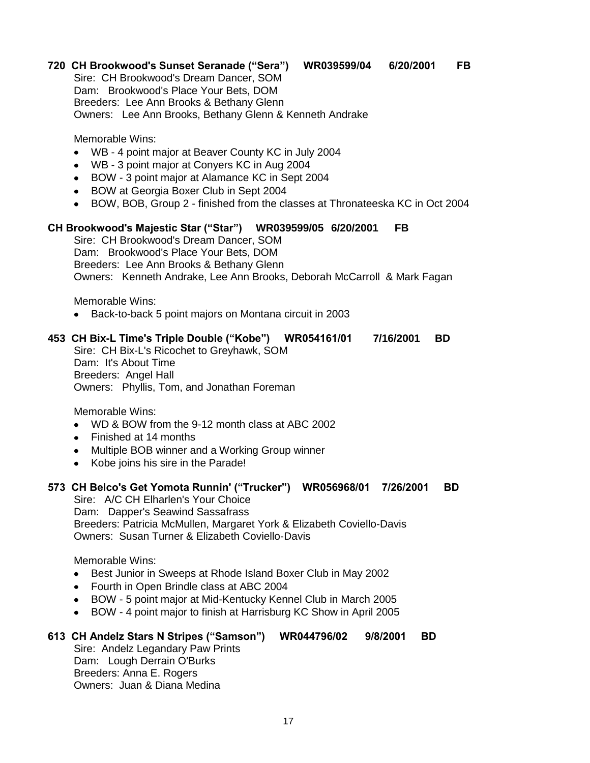# **720 CH Brookwood's Sunset Seranade ("Sera") WR039599/04 6/20/2001 FB**

Sire: CH Brookwood's Dream Dancer, SOM Dam: Brookwood's Place Your Bets, DOM Breeders: Lee Ann Brooks & Bethany Glenn Owners: Lee Ann Brooks, Bethany Glenn & Kenneth Andrake

Memorable Wins:

- WB 4 point major at Beaver County KC in July 2004
- WB 3 point major at Conyers KC in Aug 2004
- BOW 3 point major at Alamance KC in Sept 2004
- BOW at Georgia Boxer Club in Sept 2004
- BOW, BOB, Group 2 finished from the classes at Thronateeska KC in Oct 2004  $\bullet$

#### **CH Brookwood's Majestic Star ("Star") WR039599/05 6/20/2001 FB**

Sire: CH Brookwood's Dream Dancer, SOM Dam: Brookwood's Place Your Bets, DOM Breeders: Lee Ann Brooks & Bethany Glenn Owners: Kenneth Andrake, Lee Ann Brooks, Deborah McCarroll & Mark Fagan

Memorable Wins:

Back-to-back 5 point majors on Montana circuit in 2003

# **453 CH Bix-L Time's Triple Double ("Kobe") WR054161/01 7/16/2001 BD**

Sire: CH Bix-L's Ricochet to Greyhawk, SOM Dam: It's About Time Breeders: Angel Hall Owners: Phyllis, Tom, and Jonathan Foreman

Memorable Wins:

- WD & BOW from the 9-12 month class at ABC 2002  $\bullet$
- Finished at 14 months
- Multiple BOB winner and a Working Group winner
- Kobe joins his sire in the Parade!

### **573 CH Belco's Get Yomota Runnin' ("Trucker") WR056968/01 7/26/2001 BD**

Sire: A/C CH Elharlen's Your Choice Dam: Dapper's Seawind Sassafrass Breeders: Patricia McMullen, Margaret York & Elizabeth Coviello-Davis Owners: Susan Turner & Elizabeth Coviello-Davis

Memorable Wins:

- Best Junior in Sweeps at Rhode Island Boxer Club in May 2002  $\bullet$
- Fourth in Open Brindle class at ABC 2004
- BOW 5 point major at Mid-Kentucky Kennel Club in March 2005
- BOW 4 point major to finish at Harrisburg KC Show in April 2005  $\bullet$

# **613 CH Andelz Stars N Stripes ("Samson") WR044796/02 9/8/2001 BD**

Sire: Andelz Legandary Paw Prints Dam: Lough Derrain O'Burks Breeders: Anna E. Rogers Owners: Juan & Diana Medina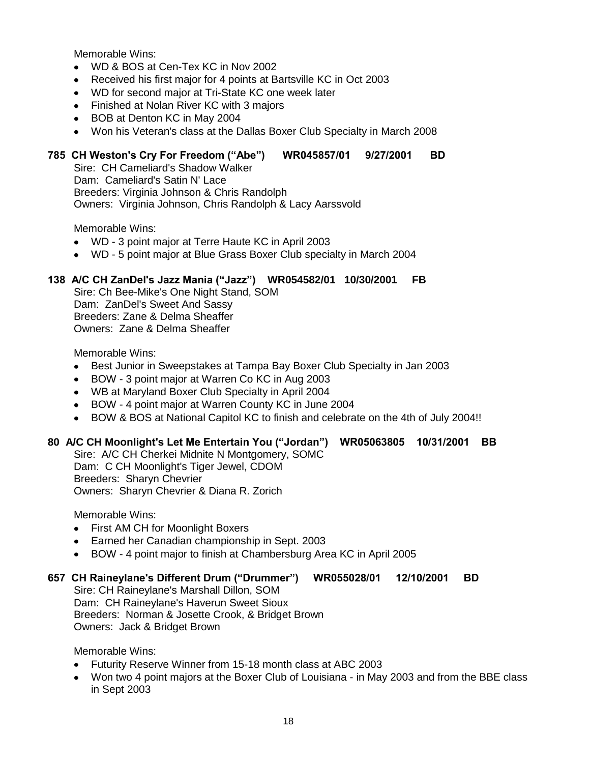- WD & BOS at Cen-Tex KC in Nov 2002  $\bullet$
- Received his first major for 4 points at Bartsville KC in Oct 2003  $\bullet$
- WD for second major at Tri-State KC one week later
- Finished at Nolan River KC with 3 majors
- BOB at Denton KC in May 2004
- Won his Veteran's class at the Dallas Boxer Club Specialty in March 2008

# **785 CH Weston's Cry For Freedom ("Abe") WR045857/01 9/27/2001 BD**

Sire: CH Cameliard's Shadow Walker Dam: Cameliard's Satin N' Lace Breeders: Virginia Johnson & Chris Randolph Owners: Virginia Johnson, Chris Randolph & Lacy Aarssvold

Memorable Wins:

- WD 3 point major at Terre Haute KC in April 2003
- WD 5 point major at Blue Grass Boxer Club specialty in March 2004

## **138 A/C CH ZanDel's Jazz Mania ("Jazz") WR054582/01 10/30/2001 FB**

Sire: Ch Bee-Mike's One Night Stand, SOM Dam: ZanDel's Sweet And Sassy Breeders: Zane & Delma Sheaffer Owners: Zane & Delma Sheaffer

Memorable Wins:

- Best Junior in Sweepstakes at Tampa Bay Boxer Club Specialty in Jan 2003  $\bullet$
- BOW 3 point major at Warren Co KC in Aug 2003  $\bullet$
- WB at Maryland Boxer Club Specialty in April 2004
- BOW 4 point major at Warren County KC in June 2004
- BOW & BOS at National Capitol KC to finish and celebrate on the 4th of July 2004!!

# **80 A/C CH Moonlight's Let Me Entertain You ("Jordan") WR05063805 10/31/2001 BB**

Sire: A/C CH Cherkei Midnite N Montgomery, SOMC Dam: C CH Moonlight's Tiger Jewel, CDOM Breeders: Sharyn Chevrier Owners: Sharyn Chevrier & Diana R. Zorich

Memorable Wins:

- First AM CH for Moonlight Boxers
- Earned her Canadian championship in Sept. 2003  $\bullet$
- BOW 4 point major to finish at Chambersburg Area KC in April 2005  $\bullet$

#### **657 CH Raineylane's Different Drum ("Drummer") WR055028/01 12/10/2001 BD**

Sire: CH Raineylane's Marshall Dillon, SOM Dam: CH Raineylane's Haverun Sweet Sioux Breeders: Norman & Josette Crook, & Bridget Brown Owners: Jack & Bridget Brown

- Futurity Reserve Winner from 15-18 month class at ABC 2003
- Won two 4 point majors at the Boxer Club of Louisiana in May 2003 and from the BBE class in Sept 2003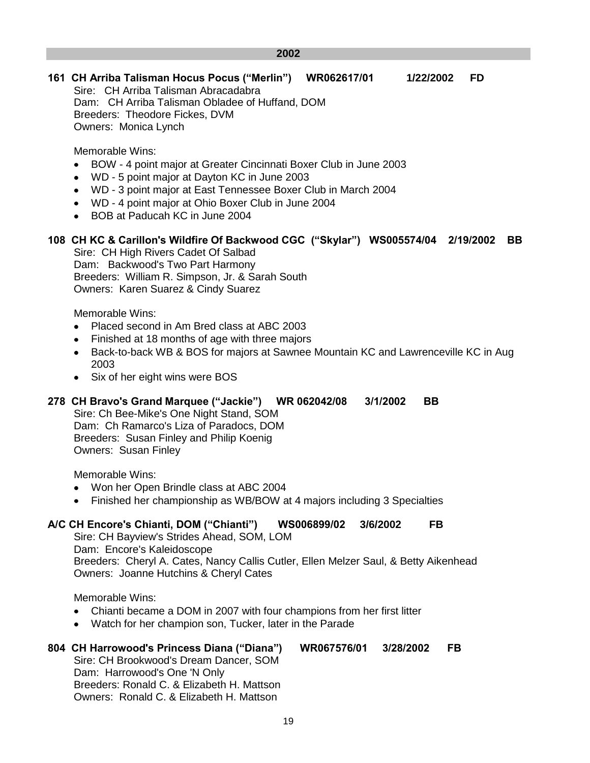#### **2002**

# **161 CH Arriba Talisman Hocus Pocus ("Merlin") WR062617/01 1/22/2002 FD**

Sire: CH Arriba Talisman Abracadabra Dam: CH Arriba Talisman Obladee of Huffand, DOM Breeders: Theodore Fickes, DVM Owners: Monica Lynch

Memorable Wins:

- BOW 4 point major at Greater Cincinnati Boxer Club in June 2003  $\bullet$
- WD 5 point major at Dayton KC in June 2003
- WD 3 point major at East Tennessee Boxer Club in March 2004
- WD 4 point major at Ohio Boxer Club in June 2004
- BOB at Paducah KC in June 2004

# **108 CH KC & Carillon's Wildfire Of Backwood CGC ("Skylar") WS005574/04 2/19/2002 BB**

Sire: CH High Rivers Cadet Of Salbad Dam: Backwood's Two Part Harmony Breeders: William R. Simpson, Jr. & Sarah South Owners: Karen Suarez & Cindy Suarez

Memorable Wins:

- Placed second in Am Bred class at ABC 2003
- Finished at 18 months of age with three majors
- Back-to-back WB & BOS for majors at Sawnee Mountain KC and Lawrenceville KC in Aug  $\bullet$ 2003
- Six of her eight wins were BOS

# **278 CH Bravo's Grand Marquee ("Jackie") WR 062042/08 3/1/2002 BB**

Sire: Ch Bee-Mike's One Night Stand, SOM Dam: Ch Ramarco's Liza of Paradocs, DOM Breeders: Susan Finley and Philip Koenig Owners: Susan Finley

Memorable Wins:

- Won her Open Brindle class at ABC 2004
- Finished her championship as WB/BOW at 4 majors including 3 Specialties

# **A/C CH Encore's Chianti, DOM ("Chianti") WS006899/02 3/6/2002 FB**

Sire: CH Bayview's Strides Ahead, SOM, LOM Dam: Encore's Kaleidoscope Breeders: Cheryl A. Cates, Nancy Callis Cutler, Ellen Melzer Saul, & Betty Aikenhead Owners: Joanne Hutchins & Cheryl Cates

Memorable Wins:

- Chianti became a DOM in 2007 with four champions from her first litter
- Watch for her champion son, Tucker, later in the Parade

#### **804 CH Harrowood's Princess Diana ("Diana") WR067576/01 3/28/2002 FB** Sire: CH Brookwood's Dream Dancer, SOM Dam: Harrowood's One 'N Only Breeders: Ronald C. & Elizabeth H. Mattson Owners: Ronald C. & Elizabeth H. Mattson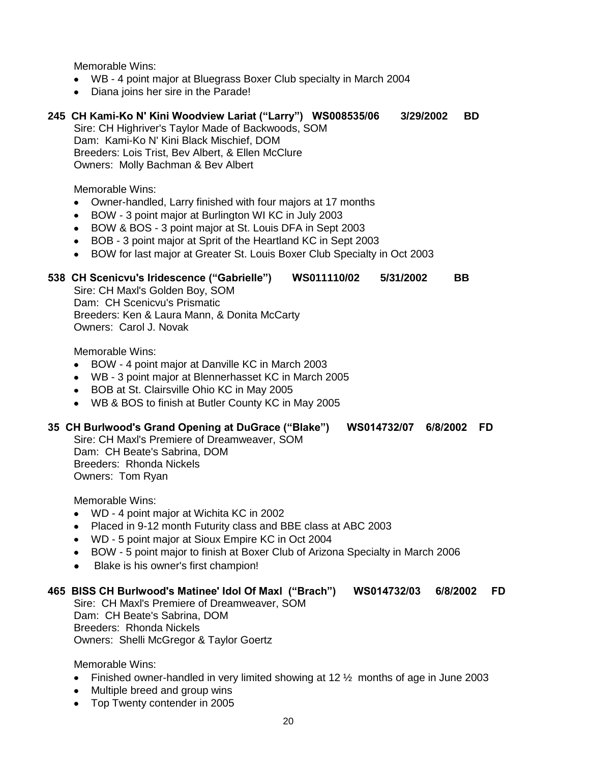- WB 4 point major at Bluegrass Boxer Club specialty in March 2004
- Diana joins her sire in the Parade!

# **245 CH Kami-Ko N' Kini Woodview Lariat ("Larry") WS008535/06 3/29/2002 BD**

Sire: CH Highriver's Taylor Made of Backwoods, SOM Dam: Kami-Ko N' Kini Black Mischief, DOM Breeders: Lois Trist, Bev Albert, & Ellen McClure Owners: Molly Bachman & Bev Albert

Memorable Wins:

- Owner-handled, Larry finished with four majors at 17 months
- BOW 3 point major at Burlington WI KC in July 2003  $\bullet$
- BOW & BOS 3 point major at St. Louis DFA in Sept 2003
- BOB 3 point major at Sprit of the Heartland KC in Sept 2003
- BOW for last major at Greater St. Louis Boxer Club Specialty in Oct 2003

# **538 CH Scenicvu's Iridescence ("Gabrielle") WS011110/02 5/31/2002 BB**

Sire: CH Maxl's Golden Boy, SOM Dam: CH Scenicvu's Prismatic Breeders: Ken & Laura Mann, & Donita McCarty Owners: Carol J. Novak

Memorable Wins:

- BOW 4 point major at Danville KC in March 2003
- WB 3 point major at Blennerhasset KC in March 2005
- BOB at St. Clairsville Ohio KC in May 2005
- WB & BOS to finish at Butler County KC in May 2005

# **35 CH Burlwood's Grand Opening at DuGrace ("Blake") WS014732/07 6/8/2002 FD**

Sire: CH Maxl's Premiere of Dreamweaver, SOM Dam: CH Beate's Sabrina, DOM Breeders: Rhonda Nickels Owners: Tom Ryan

Memorable Wins:

- WD 4 point major at Wichita KC in 2002
- Placed in 9-12 month Futurity class and BBE class at ABC 2003
- WD 5 point major at Sioux Empire KC in Oct 2004
- BOW 5 point major to finish at Boxer Club of Arizona Specialty in March 2006
- Blake is his owner's first champion!  $\bullet$

# **465 BISS CH Burlwood's Matinee' Idol Of Maxl ("Brach") WS014732/03 6/8/2002 FD**

Sire: CH Maxl's Premiere of Dreamweaver, SOM Dam: CH Beate's Sabrina, DOM Breeders: Rhonda Nickels Owners: Shelli McGregor & Taylor Goertz

- Finished owner-handled in very limited showing at 12  $\frac{1}{2}$  months of age in June 2003
- Multiple breed and group wins
- Top Twenty contender in 2005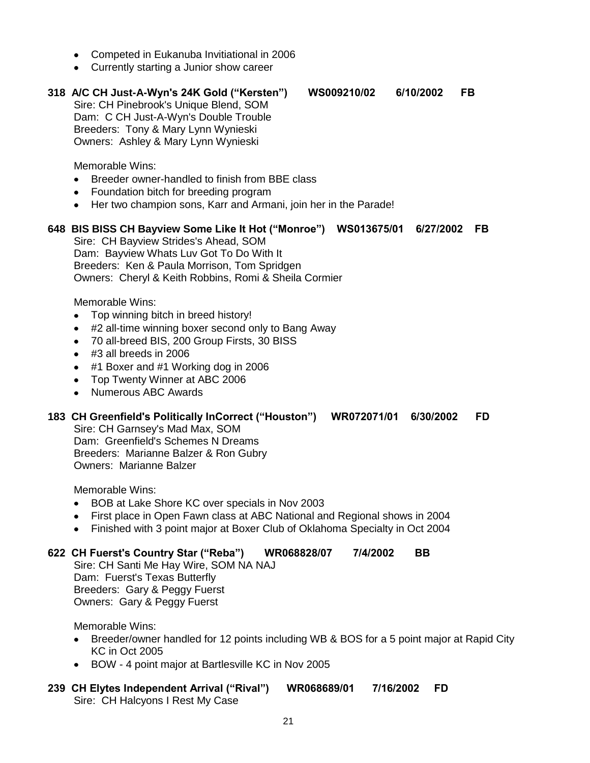- Competed in Eukanuba Invitiational in 2006
- Currently starting a Junior show career

# **318 A/C CH Just-A-Wyn's 24K Gold ("Kersten") WS009210/02 6/10/2002 FB**

Sire: CH Pinebrook's Unique Blend, SOM Dam: C CH Just-A-Wyn's Double Trouble Breeders: Tony & Mary Lynn Wynieski Owners: Ashley & Mary Lynn Wynieski

Memorable Wins:

- $\bullet$ Breeder owner-handled to finish from BBE class
- Foundation bitch for breeding program
- Her two champion sons, Karr and Armani, join her in the Parade!

# **648 BIS BISS CH Bayview Some Like It Hot ("Monroe") WS013675/01 6/27/2002 FB**

Sire: CH Bayview Strides's Ahead, SOM Dam: Bayview Whats Luv Got To Do With It Breeders: Ken & Paula Morrison, Tom Spridgen Owners: Cheryl & Keith Robbins, Romi & Sheila Cormier

Memorable Wins:

- Top winning bitch in breed history!
- #2 all-time winning boxer second only to Bang Away  $\bullet$
- 70 all-breed BIS, 200 Group Firsts, 30 BISS
- #3 all breeds in 2006
- #1 Boxer and #1 Working dog in 2006
- Top Twenty Winner at ABC 2006
- Numerous ABC Awards  $\bullet$

# **183 CH Greenfield's Politically InCorrect ("Houston") WR072071/01 6/30/2002 FD**

Sire: CH Garnsey's Mad Max, SOM Dam: Greenfield's Schemes N Dreams Breeders: Marianne Balzer & Ron Gubry Owners: Marianne Balzer

Memorable Wins:

- BOB at Lake Shore KC over specials in Nov 2003  $\bullet$
- First place in Open Fawn class at ABC National and Regional shows in 2004  $\bullet$
- Finished with 3 point major at Boxer Club of Oklahoma Specialty in Oct 2004

# **622 CH Fuerst's Country Star ("Reba") WR068828/07 7/4/2002 BB**

Sire: CH Santi Me Hay Wire, SOM NA NAJ Dam: Fuerst's Texas Butterfly Breeders: Gary & Peggy Fuerst Owners: Gary & Peggy Fuerst

Memorable Wins:

- Breeder/owner handled for 12 points including WB & BOS for a 5 point major at Rapid City KC in Oct 2005
- BOW 4 point major at Bartlesville KC in Nov 2005

#### **239 CH Elytes Independent Arrival ("Rival") WR068689/01 7/16/2002 FD** Sire: CH Halcyons I Rest My Case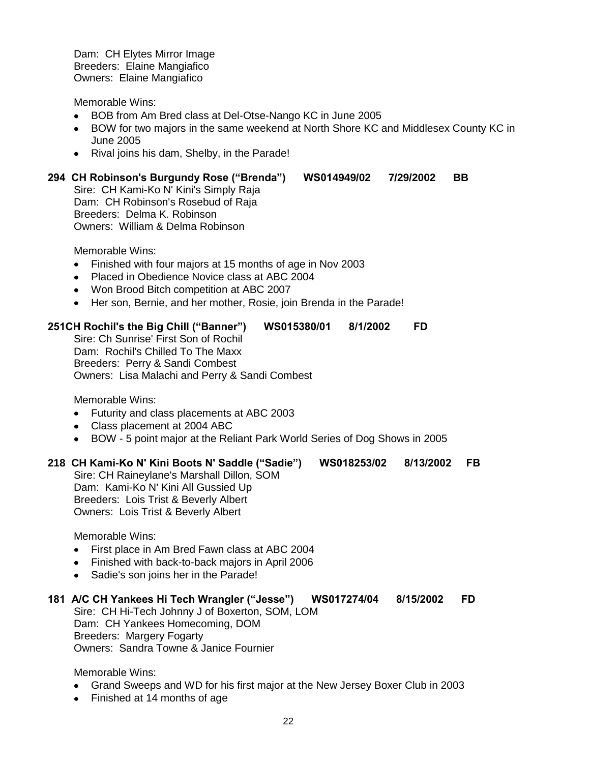Dam: CH Elytes Mirror Image Breeders: Elaine Mangiafico Owners: Elaine Mangiafico

Memorable Wins:

- BOB from Am Bred class at Del-Otse-Nango KC in June 2005  $\bullet$
- BOW for two majors in the same weekend at North Shore KC and Middlesex County KC in  $\bullet$ June 2005
- Rival joins his dam, Shelby, in the Parade!

#### **294 CH Robinson's Burgundy Rose ("Brenda") WS014949/02 7/29/2002 BB**

Sire: CH Kami-Ko N' Kini's Simply Raja Dam: CH Robinson's Rosebud of Raja Breeders: Delma K. Robinson Owners: William & Delma Robinson

Memorable Wins:

- Finished with four majors at 15 months of age in Nov 2003
- Placed in Obedience Novice class at ABC 2004  $\bullet$
- Won Brood Bitch competition at ABC 2007
- Her son, Bernie, and her mother, Rosie, join Brenda in the Parade!

#### **251CH Rochil's the Big Chill ("Banner") WS015380/01 8/1/2002 FD**

Sire: Ch Sunrise' First Son of Rochil Dam: Rochil's Chilled To The Maxx Breeders: Perry & Sandi Combest Owners: Lisa Malachi and Perry & Sandi Combest

Memorable Wins:

- Futurity and class placements at ABC 2003
- Class placement at 2004 ABC
- BOW 5 point major at the Reliant Park World Series of Dog Shows in 2005

#### **218 CH Kami-Ko N' Kini Boots N' Saddle ("Sadie") WS018253/02 8/13/2002 FB**

Sire: CH Raineylane's Marshall Dillon, SOM Dam: Kami-Ko N' Kini All Gussied Up Breeders: Lois Trist & Beverly Albert Owners: Lois Trist & Beverly Albert

Memorable Wins:

- First place in Am Bred Fawn class at ABC 2004
- Finished with back-to-back majors in April 2006
- $\bullet$ Sadie's son joins her in the Parade!

#### **181 A/C CH Yankees Hi Tech Wrangler ("Jesse") WS017274/04 8/15/2002 FD** Sire: CH Hi-Tech Johnny J of Boxerton, SOM, LOM Dam: CH Yankees Homecoming, DOM Breeders: Margery Fogarty Owners: Sandra Towne & Janice Fournier

- Grand Sweeps and WD for his first major at the New Jersey Boxer Club in 2003
- Finished at 14 months of age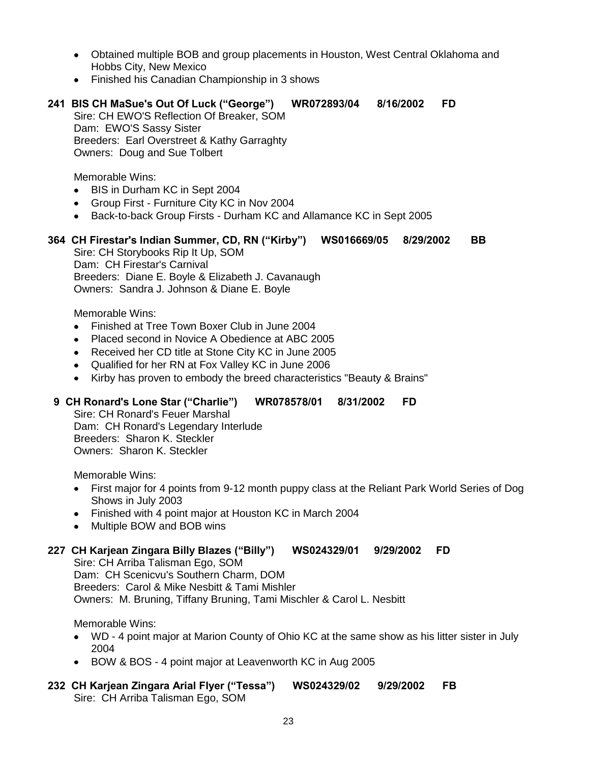- Obtained multiple BOB and group placements in Houston, West Central Oklahoma and Hobbs City, New Mexico
- Finished his Canadian Championship in 3 shows

# **241 BIS CH MaSue's Out Of Luck ("George") WR072893/04 8/16/2002 FD**

Sire: CH EWO'S Reflection Of Breaker, SOM Dam: EWO'S Sassy Sister Breeders: Earl Overstreet & Kathy Garraghty Owners: Doug and Sue Tolbert

Memorable Wins:

- BIS in Durham KC in Sept 2004  $\bullet$
- Group First Furniture City KC in Nov 2004
- Back-to-back Group Firsts Durham KC and Allamance KC in Sept 2005

# **364 CH Firestar's Indian Summer, CD, RN ("Kirby") WS016669/05 8/29/2002 BB**

Sire: CH Storybooks Rip It Up, SOM Dam: CH Firestar's Carnival Breeders: Diane E. Boyle & Elizabeth J. Cavanaugh Owners: Sandra J. Johnson & Diane E. Boyle

Memorable Wins:

- Finished at Tree Town Boxer Club in June 2004
- Placed second in Novice A Obedience at ABC 2005
- Received her CD title at Stone City KC in June 2005
- Qualified for her RN at Fox Valley KC in June 2006
- Kirby has proven to embody the breed characteristics "Beauty & Brains"

# **9 CH Ronard's Lone Star ("Charlie") WR078578/01 8/31/2002 FD**

Sire: CH Ronard's Feuer Marshal Dam: CH Ronard's Legendary Interlude Breeders: Sharon K. Steckler Owners: Sharon K. Steckler

Memorable Wins:

- First major for 4 points from 9-12 month puppy class at the Reliant Park World Series of Dog Shows in July 2003
- Finished with 4 point major at Houston KC in March 2004
- Multiple BOW and BOB wins

# **227 CH Karjean Zingara Billy Blazes ("Billy") WS024329/01 9/29/2002 FD**

Sire: CH Arriba Talisman Ego, SOM Dam: CH Scenicvu's Southern Charm, DOM Breeders: Carol & Mike Nesbitt & Tami Mishler Owners: M. Bruning, Tiffany Bruning, Tami Mischler & Carol L. Nesbitt

- WD 4 point major at Marion County of Ohio KC at the same show as his litter sister in July 2004
- BOW & BOS 4 point major at Leavenworth KC in Aug 2005
- **232 CH Karjean Zingara Arial Flyer ("Tessa") WS024329/02 9/29/2002 FB** Sire: CH Arriba Talisman Ego, SOM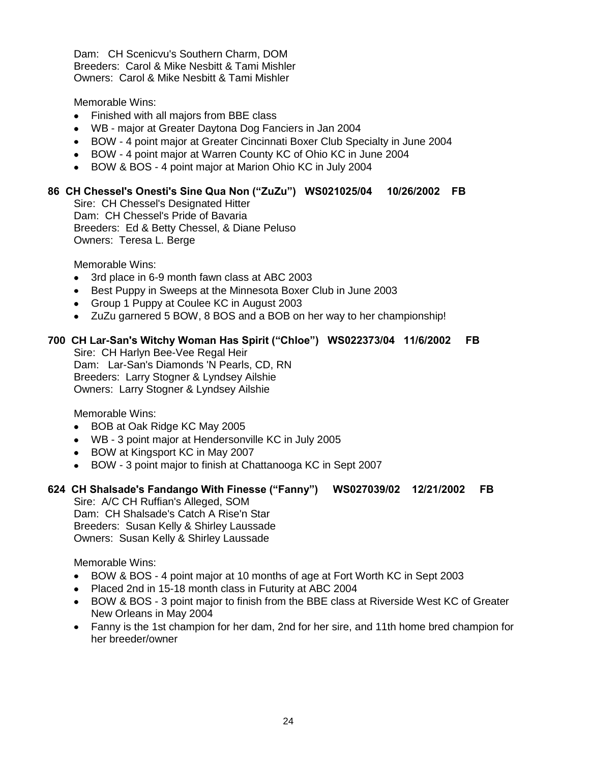Dam: CH Scenicvu's Southern Charm, DOM Breeders: Carol & Mike Nesbitt & Tami Mishler Owners: Carol & Mike Nesbitt & Tami Mishler

Memorable Wins:

- $\bullet$ Finished with all majors from BBE class
- WB major at Greater Daytona Dog Fanciers in Jan 2004
- BOW 4 point major at Greater Cincinnati Boxer Club Specialty in June 2004
- BOW 4 point major at Warren County KC of Ohio KC in June 2004
- BOW & BOS 4 point major at Marion Ohio KC in July 2004

# **86 CH Chessel's Onesti's Sine Qua Non ("ZuZu") WS021025/04 10/26/2002 FB**

Sire: CH Chessel's Designated Hitter Dam: CH Chessel's Pride of Bavaria Breeders: Ed & Betty Chessel, & Diane Peluso Owners: Teresa L. Berge

Memorable Wins:

- 3rd place in 6-9 month fawn class at ABC 2003
- Best Puppy in Sweeps at the Minnesota Boxer Club in June 2003
- Group 1 Puppy at Coulee KC in August 2003
- ZuZu garnered 5 BOW, 8 BOS and a BOB on her way to her championship!

#### **700 CH Lar-San's Witchy Woman Has Spirit ("Chloe") WS022373/04 11/6/2002 FB**

Sire: CH Harlyn Bee-Vee Regal Heir Dam: Lar-San's Diamonds 'N Pearls, CD, RN Breeders: Larry Stogner & Lyndsey Ailshie Owners: Larry Stogner & Lyndsey Ailshie

Memorable Wins:

- BOB at Oak Ridge KC May 2005
- WB 3 point major at Hendersonville KC in July 2005
- BOW at Kingsport KC in May 2007
- BOW 3 point major to finish at Chattanooga KC in Sept 2007

# **624 CH Shalsade's Fandango With Finesse ("Fanny") WS027039/02 12/21/2002 FB**

Sire: A/C CH Ruffian's Alleged, SOM Dam: CH Shalsade's Catch A Rise'n Star Breeders: Susan Kelly & Shirley Laussade Owners: Susan Kelly & Shirley Laussade

- BOW & BOS 4 point major at 10 months of age at Fort Worth KC in Sept 2003
- Placed 2nd in 15-18 month class in Futurity at ABC 2004
- BOW & BOS 3 point major to finish from the BBE class at Riverside West KC of Greater New Orleans in May 2004
- Fanny is the 1st champion for her dam, 2nd for her sire, and 11th home bred champion for her breeder/owner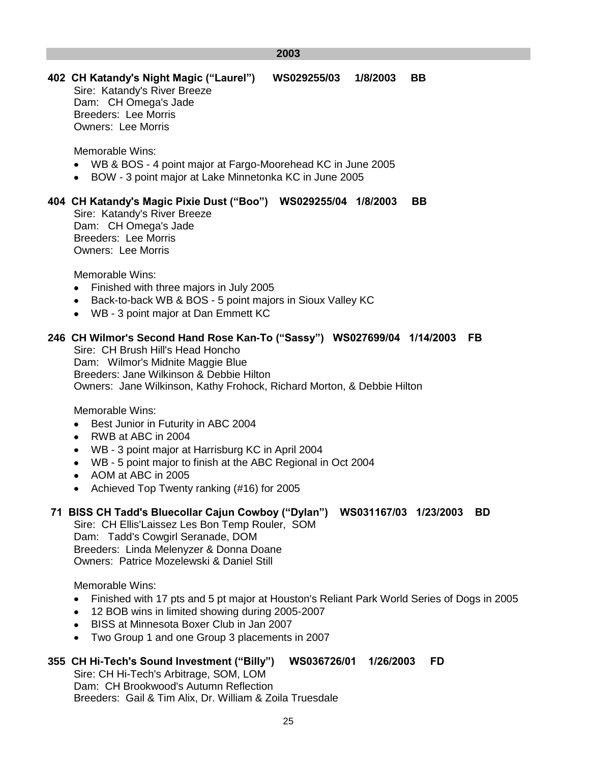#### **2003**

# **402 CH Katandy's Night Magic ("Laurel") WS029255/03 1/8/2003 BB**

Sire: Katandy's River Breeze Dam: CH Omega's Jade Breeders: Lee Morris Owners: Lee Morris

Memorable Wins:

- WB & BOS 4 point major at Fargo-Moorehead KC in June 2005
- BOW 3 point major at Lake Minnetonka KC in June 2005

# **404 CH Katandy's Magic Pixie Dust ("Boo") WS029255/04 1/8/2003 BB**

Sire: Katandy's River Breeze Dam: CH Omega's Jade Breeders: Lee Morris Owners: Lee Morris

Memorable Wins:

- Finished with three majors in July 2005
- Back-to-back WB & BOS 5 point majors in Sioux Valley KC  $\bullet$
- WB 3 point major at Dan Emmett KC

# **246 CH Wilmor's Second Hand Rose Kan-To ("Sassy") WS027699/04 1/14/2003 FB**

Sire: CH Brush Hill's Head Honcho Dam: Wilmor's Midnite Maggie Blue Breeders: Jane Wilkinson & Debbie Hilton Owners: Jane Wilkinson, Kathy Frohock, Richard Morton, & Debbie Hilton

Memorable Wins:

- Best Junior in Futurity in ABC 2004
- RWB at ABC in 2004
- WB 3 point major at Harrisburg KC in April 2004
- WB 5 point major to finish at the ABC Regional in Oct 2004
- AOM at ABC in 2005
- Achieved Top Twenty ranking (#16) for 2005

# **71 BISS CH Tadd's Bluecollar Cajun Cowboy ("Dylan") WS031167/03 1/23/2003 BD**

Sire: CH Ellis'Laissez Les Bon Temp Rouler, SOM Dam: Tadd's Cowgirl Seranade, DOM Breeders: Linda Melenyzer & Donna Doane Owners: Patrice Mozelewski & Daniel Still

Memorable Wins:

- Finished with 17 pts and 5 pt major at Houston's Reliant Park World Series of Dogs in 2005
- 12 BOB wins in limited showing during 2005-2007
- BISS at Minnesota Boxer Club in Jan 2007
- Two Group 1 and one Group 3 placements in 2007

# **355 CH Hi-Tech's Sound Investment ("Billy") WS036726/01 1/26/2003 FD**

Sire: CH Hi-Tech's Arbitrage, SOM, LOM Dam: CH Brookwood's Autumn Reflection Breeders: Gail & Tim Alix, Dr. William & Zoila Truesdale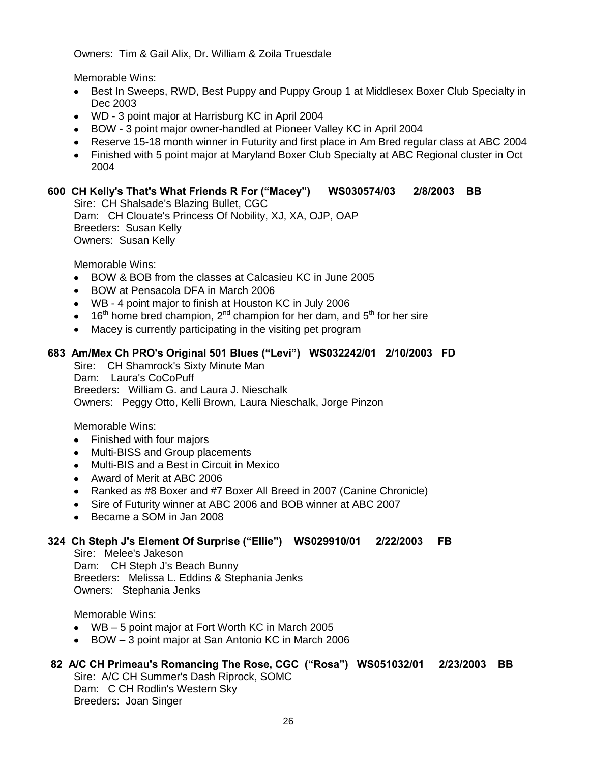Owners: Tim & Gail Alix, Dr. William & Zoila Truesdale

Memorable Wins:

- Best In Sweeps, RWD, Best Puppy and Puppy Group 1 at Middlesex Boxer Club Specialty in Dec 2003
- WD 3 point major at Harrisburg KC in April 2004
- BOW 3 point major owner-handled at Pioneer Valley KC in April 2004
- Reserve 15-18 month winner in Futurity and first place in Am Bred regular class at ABC 2004
- Finished with 5 point major at Maryland Boxer Club Specialty at ABC Regional cluster in Oct 2004

#### **600 CH Kelly's That's What Friends R For ("Macey") WS030574/03 2/8/2003 BB** Sire: CH Shalsade's Blazing Bullet, CGC Dam: CH Clouate's Princess Of Nobility, XJ, XA, OJP, OAP Breeders: Susan Kelly

Owners: Susan Kelly

Memorable Wins:

- BOW & BOB from the classes at Calcasieu KC in June 2005
- BOW at Pensacola DFA in March 2006  $\bullet$
- WB 4 point major to finish at Houston KC in July 2006
- $\bullet$  16<sup>th</sup> home bred champion, 2<sup>nd</sup> champion for her dam, and 5<sup>th</sup> for her sire
- Macey is currently participating in the visiting pet program  $\bullet$

# **683 Am/Mex Ch PRO's Original 501 Blues ("Levi") WS032242/01 2/10/2003 FD**

Sire: CH Shamrock's Sixty Minute Man Dam: Laura's CoCoPuff Breeders: William G. and Laura J. Nieschalk Owners: Peggy Otto, Kelli Brown, Laura Nieschalk, Jorge Pinzon

Memorable Wins:

- Finished with four majors
- $\bullet$ Multi-BISS and Group placements
- Multi-BIS and a Best in Circuit in Mexico
- Award of Merit at ABC 2006
- Ranked as #8 Boxer and #7 Boxer All Breed in 2007 (Canine Chronicle)
- Sire of Futurity winner at ABC 2006 and BOB winner at ABC 2007
- Became a SOM in Jan 2008

# **324 Ch Steph J's Element Of Surprise ("Ellie") WS029910/01 2/22/2003 FB**

Sire: Melee's Jakeson Dam: CH Steph J's Beach Bunny Breeders: Melissa L. Eddins & Stephania Jenks Owners: Stephania Jenks

Memorable Wins:

- WB 5 point major at Fort Worth KC in March 2005
- BOW 3 point major at San Antonio KC in March 2006

# **82 A/C CH Primeau's Romancing The Rose, CGC ("Rosa") WS051032/01 2/23/2003 BB**

Sire: A/C CH Summer's Dash Riprock, SOMC Dam: C CH Rodlin's Western Sky Breeders: Joan Singer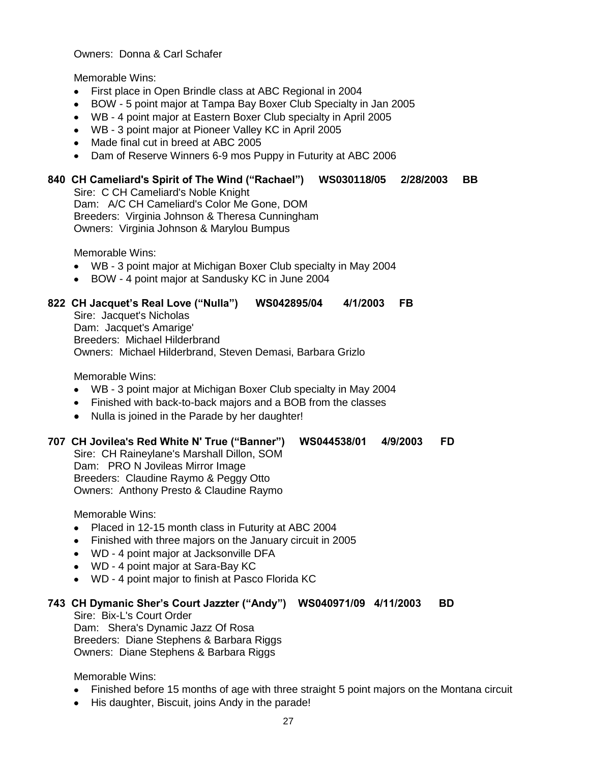#### Owners: Donna & Carl Schafer

Memorable Wins:

- First place in Open Brindle class at ABC Regional in 2004
- BOW 5 point major at Tampa Bay Boxer Club Specialty in Jan 2005  $\bullet$  .
- WB 4 point major at Eastern Boxer Club specialty in April 2005
- WB 3 point major at Pioneer Valley KC in April 2005
- Made final cut in breed at ABC 2005
- Dam of Reserve Winners 6-9 mos Puppy in Futurity at ABC 2006

# **840 CH Cameliard's Spirit of The Wind ("Rachael") WS030118/05 2/28/2003 BB**

Sire: C CH Cameliard's Noble Knight Dam: A/C CH Cameliard's Color Me Gone, DOM Breeders: Virginia Johnson & Theresa Cunningham Owners: Virginia Johnson & Marylou Bumpus

Memorable Wins:

- WB 3 point major at Michigan Boxer Club specialty in May 2004
- BOW 4 point major at Sandusky KC in June 2004

# **822 CH Jacquet's Real Love ("Nulla") WS042895/04 4/1/2003 FB**

Sire: Jacquet's Nicholas Dam: Jacquet's Amarige' Breeders: Michael Hilderbrand Owners: Michael Hilderbrand, Steven Demasi, Barbara Grizlo

Memorable Wins:

- WB 3 point major at Michigan Boxer Club specialty in May 2004
- Finished with back-to-back majors and a BOB from the classes
- Nulla is joined in the Parade by her daughter!

## **707 CH Jovilea's Red White N' True ("Banner") WS044538/01 4/9/2003 FD**

Sire: CH Raineylane's Marshall Dillon, SOM Dam: PRO N Jovileas Mirror Image Breeders: Claudine Raymo & Peggy Otto Owners: Anthony Presto & Claudine Raymo

Memorable Wins:

- Placed in 12-15 month class in Futurity at ABC 2004
- Finished with three majors on the January circuit in 2005
- WD 4 point major at Jacksonville DFA
- WD 4 point major at Sara-Bay KC
- WD 4 point major to finish at Pasco Florida KC

#### **743 CH Dymanic Sher's Court Jazzter ("Andy") WS040971/09 4/11/2003 BD**

Sire: Bix-L's Court Order Dam: Shera's Dynamic Jazz Of Rosa Breeders: Diane Stephens & Barbara Riggs Owners: Diane Stephens & Barbara Riggs

- Finished before 15 months of age with three straight 5 point majors on the Montana circuit
- His daughter, Biscuit, joins Andy in the parade!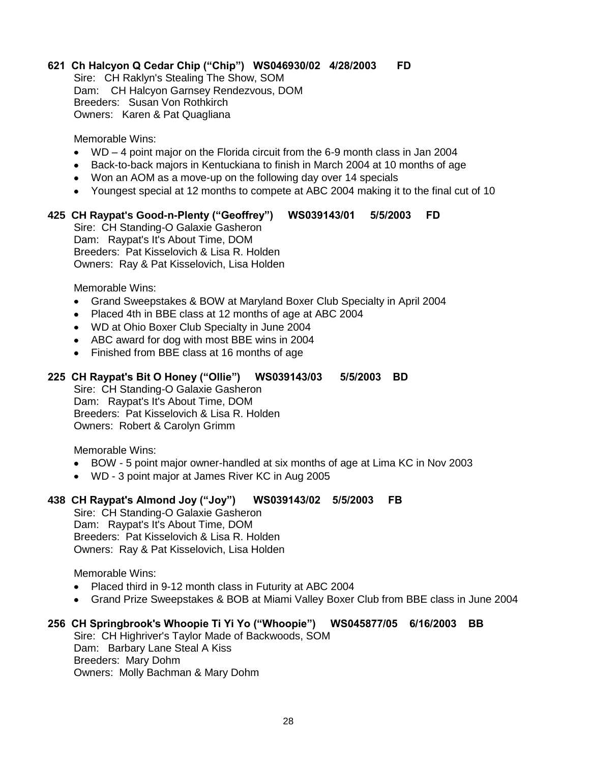# **621 Ch Halcyon Q Cedar Chip ("Chip") WS046930/02 4/28/2003 FD**

Sire: CH Raklyn's Stealing The Show, SOM Dam: CH Halcyon Garnsey Rendezvous, DOM Breeders: Susan Von Rothkirch Owners: Karen & Pat Quagliana

Memorable Wins:

- WD 4 point major on the Florida circuit from the 6-9 month class in Jan 2004
- Back-to-back majors in Kentuckiana to finish in March 2004 at 10 months of age
- Won an AOM as a move-up on the following day over 14 specials
- Youngest special at 12 months to compete at ABC 2004 making it to the final cut of 10

# **425 CH Raypat's Good-n-Plenty ("Geoffrey") WS039143/01 5/5/2003 FD**

Sire: CH Standing-O Galaxie Gasheron Dam: Raypat's It's About Time, DOM Breeders: Pat Kisselovich & Lisa R. Holden Owners: Ray & Pat Kisselovich, Lisa Holden

Memorable Wins:

- Grand Sweepstakes & BOW at Maryland Boxer Club Specialty in April 2004
- Placed 4th in BBE class at 12 months of age at ABC 2004
- WD at Ohio Boxer Club Specialty in June 2004
- ABC award for dog with most BBE wins in 2004
- Finished from BBE class at 16 months of age

#### **225 CH Raypat's Bit O Honey ("Ollie") WS039143/03 5/5/2003 BD**

Sire: CH Standing-O Galaxie Gasheron Dam: Raypat's It's About Time, DOM Breeders: Pat Kisselovich & Lisa R. Holden Owners: Robert & Carolyn Grimm

Memorable Wins:

- BOW 5 point major owner-handled at six months of age at Lima KC in Nov 2003  $\bullet$
- WD 3 point major at James River KC in Aug 2005

#### **438 CH Raypat's Almond Joy ("Joy") WS039143/02 5/5/2003 FB**

Sire: CH Standing-O Galaxie Gasheron Dam: Raypat's It's About Time, DOM Breeders: Pat Kisselovich & Lisa R. Holden Owners: Ray & Pat Kisselovich, Lisa Holden

Memorable Wins:

- Placed third in 9-12 month class in Futurity at ABC 2004
- Grand Prize Sweepstakes & BOB at Miami Valley Boxer Club from BBE class in June 2004

# **256 CH Springbrook's Whoopie Ti Yi Yo ("Whoopie") WS045877/05 6/16/2003 BB**

Sire: CH Highriver's Taylor Made of Backwoods, SOM Dam: Barbary Lane Steal A Kiss Breeders: Mary Dohm Owners: Molly Bachman & Mary Dohm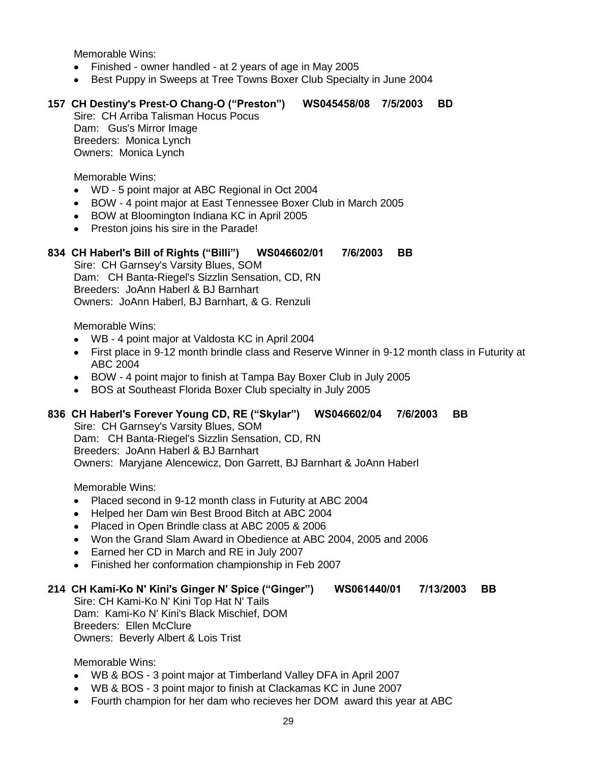- Finished owner handled at 2 years of age in May 2005  $\bullet$
- Best Puppy in Sweeps at Tree Towns Boxer Club Specialty in June 2004

## **157 CH Destiny's Prest-O Chang-O ("Preston") WS045458/08 7/5/2003 BD**

Sire: CH Arriba Talisman Hocus Pocus Dam: Gus's Mirror Image Breeders: Monica Lynch Owners: Monica Lynch

Memorable Wins:

- WD 5 point major at ABC Regional in Oct 2004
- BOW 4 point major at East Tennessee Boxer Club in March 2005
- BOW at Bloomington Indiana KC in April 2005
- Preston joins his sire in the Parade!  $\bullet$

#### **834 CH Haberl's Bill of Rights ("Billi") WS046602/01 7/6/2003 BB**

Sire: CH Garnsey's Varsity Blues, SOM Dam: CH Banta-Riegel's Sizzlin Sensation, CD, RN Breeders: JoAnn Haberl & BJ Barnhart Owners: JoAnn Haberl, BJ Barnhart, & G. Renzuli

Memorable Wins:

- WB 4 point major at Valdosta KC in April 2004  $\bullet$
- First place in 9-12 month brindle class and Reserve Winner in 9-12 month class in Futurity at  $\bullet$ ABC 2004
- BOW 4 point major to finish at Tampa Bay Boxer Club in July 2005
- BOS at Southeast Florida Boxer Club specialty in July 2005

# **836 CH Haberl's Forever Young CD, RE ("Skylar") WS046602/04 7/6/2003 BB**

Sire: CH Garnsey's Varsity Blues, SOM Dam: CH Banta-Riegel's Sizzlin Sensation, CD, RN Breeders: JoAnn Haberl & BJ Barnhart Owners: Maryjane Alencewicz, Don Garrett, BJ Barnhart & JoAnn Haberl

Memorable Wins:

- Placed second in 9-12 month class in Futurity at ABC 2004
- Helped her Dam win Best Brood Bitch at ABC 2004  $\bullet$
- Placed in Open Brindle class at ABC 2005 & 2006
- Won the Grand Slam Award in Obedience at ABC 2004, 2005 and 2006
- Earned her CD in March and RE in July 2007  $\bullet$
- Finished her conformation championship in Feb 2007  $\bullet$

#### **214 CH Kami-Ko N' Kini's Ginger N' Spice ("Ginger") WS061440/01 7/13/2003 BB**

Sire: CH Kami-Ko N' Kini Top Hat N' Tails Dam: Kami-Ko N' Kini's Black Mischief, DOM Breeders: Ellen McClure Owners: Beverly Albert & Lois Trist

- WB & BOS 3 point major at Timberland Valley DFA in April 2007
- WB & BOS 3 point major to finish at Clackamas KC in June 2007
- Fourth champion for her dam who recieves her DOM award this year at ABC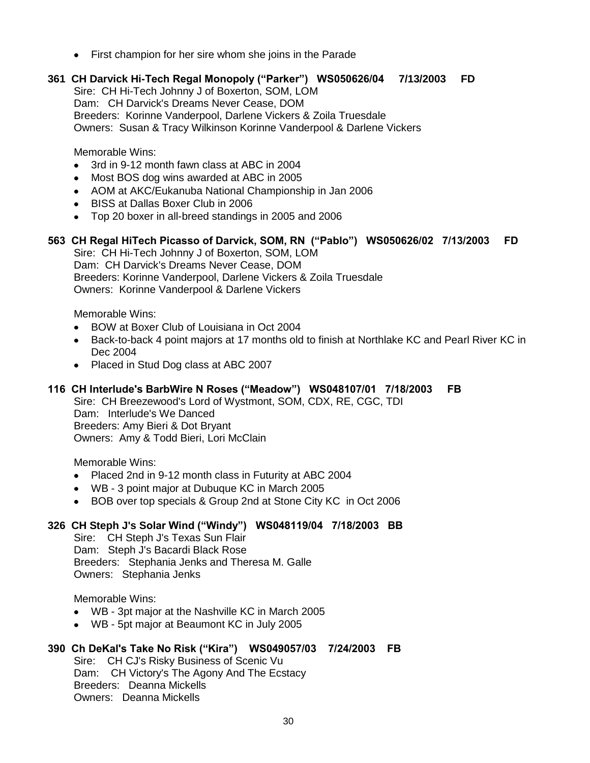- First champion for her sire whom she joins in the Parade
- **361 CH Darvick Hi-Tech Regal Monopoly ("Parker") WS050626/04 7/13/2003 FD**

Sire: CH Hi-Tech Johnny J of Boxerton, SOM, LOM Dam: CH Darvick's Dreams Never Cease, DOM

Breeders: Korinne Vanderpool, Darlene Vickers & Zoila Truesdale

Owners: Susan & Tracy Wilkinson Korinne Vanderpool & Darlene Vickers

Memorable Wins:

- 3rd in 9-12 month fawn class at ABC in 2004  $\bullet$
- $\bullet$ Most BOS dog wins awarded at ABC in 2005
- AOM at AKC/Eukanuba National Championship in Jan 2006
- BISS at Dallas Boxer Club in 2006
- Top 20 boxer in all-breed standings in 2005 and 2006

#### **563 CH Regal HiTech Picasso of Darvick, SOM, RN ("Pablo") WS050626/02 7/13/2003 FD**

Sire: CH Hi-Tech Johnny J of Boxerton, SOM, LOM Dam: CH Darvick's Dreams Never Cease, DOM Breeders: Korinne Vanderpool, Darlene Vickers & Zoila Truesdale Owners: Korinne Vanderpool & Darlene Vickers

Memorable Wins:

- BOW at Boxer Club of Louisiana in Oct 2004
- Back-to-back 4 point majors at 17 months old to finish at Northlake KC and Pearl River KC in Dec 2004
- Placed in Stud Dog class at ABC 2007

#### **116 CH Interlude's BarbWire N Roses ("Meadow") WS048107/01 7/18/2003 FB**

Sire: CH Breezewood's Lord of Wystmont, SOM, CDX, RE, CGC, TDI Dam: Interlude's We Danced Breeders: Amy Bieri & Dot Bryant Owners: Amy & Todd Bieri, Lori McClain

Memorable Wins:

- Placed 2nd in 9-12 month class in Futurity at ABC 2004
- WB 3 point major at Dubuque KC in March 2005
- BOB over top specials & Group 2nd at Stone City KC in Oct 2006

#### **326 CH Steph J's Solar Wind ("Windy") WS048119/04 7/18/2003 BB**

Sire: CH Steph J's Texas Sun Flair Dam: Steph J's Bacardi Black Rose Breeders: Stephania Jenks and Theresa M. Galle Owners: Stephania Jenks

Memorable Wins:

- WB 3pt major at the Nashville KC in March 2005
- WB 5pt major at Beaumont KC in July 2005

#### **390 Ch DeKal's Take No Risk ("Kira") WS049057/03 7/24/2003 FB**

Sire: CH CJ's Risky Business of Scenic Vu Dam: CH Victory's The Agony And The Ecstacy Breeders: Deanna Mickells Owners: Deanna Mickells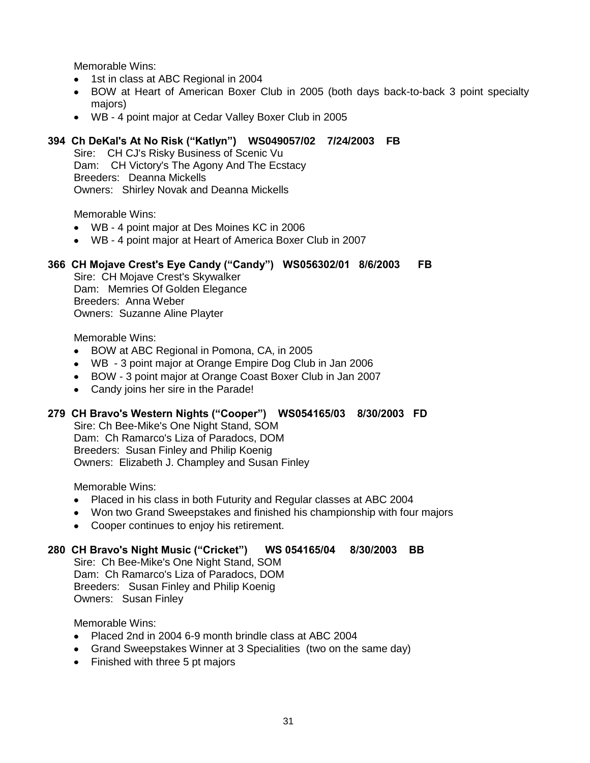- 1st in class at ABC Regional in 2004
- BOW at Heart of American Boxer Club in 2005 (both days back-to-back 3 point specialty majors)
- WB 4 point major at Cedar Valley Boxer Club in 2005

#### **394 Ch DeKal's At No Risk ("Katlyn") WS049057/02 7/24/2003 FB**

Sire: CH CJ's Risky Business of Scenic Vu Dam: CH Victory's The Agony And The Ecstacy Breeders: Deanna Mickells Owners: Shirley Novak and Deanna Mickells

Memorable Wins:

- WB 4 point major at Des Moines KC in 2006
- WB 4 point major at Heart of America Boxer Club in 2007

#### **366 CH Mojave Crest's Eye Candy ("Candy") WS056302/01 8/6/2003 FB**

Sire: CH Mojave Crest's Skywalker Dam: Memries Of Golden Elegance Breeders: Anna Weber Owners: Suzanne Aline Playter

Memorable Wins:

- BOW at ABC Regional in Pomona, CA, in 2005  $\bullet$
- WB 3 point major at Orange Empire Dog Club in Jan 2006
- BOW 3 point major at Orange Coast Boxer Club in Jan 2007
- Candy joins her sire in the Parade!  $\bullet$

#### **279 CH Bravo's Western Nights ("Cooper") WS054165/03 8/30/2003 FD**

Sire: Ch Bee-Mike's One Night Stand, SOM Dam: Ch Ramarco's Liza of Paradocs, DOM Breeders: Susan Finley and Philip Koenig Owners: Elizabeth J. Champley and Susan Finley

Memorable Wins:

- Placed in his class in both Futurity and Regular classes at ABC 2004
- Won two Grand Sweepstakes and finished his championship with four majors
- Cooper continues to enjoy his retirement.  $\bullet$

#### **280 CH Bravo's Night Music ("Cricket") WS 054165/04 8/30/2003 BB**

Sire: Ch Bee-Mike's One Night Stand, SOM Dam: Ch Ramarco's Liza of Paradocs, DOM Breeders: Susan Finley and Philip Koenig Owners: Susan Finley

- Placed 2nd in 2004 6-9 month brindle class at ABC 2004
- Grand Sweepstakes Winner at 3 Specialities (two on the same day)
- Finished with three 5 pt majors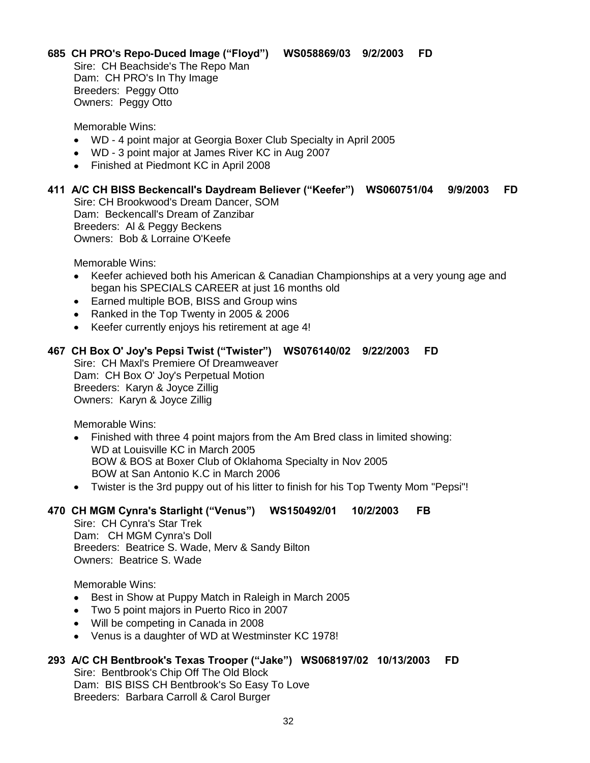**685 CH PRO's Repo-Duced Image ("Floyd") WS058869/03 9/2/2003 FD**

Sire: CH Beachside's The Repo Man Dam: CH PRO's In Thy Image Breeders: Peggy Otto Owners: Peggy Otto

Memorable Wins:

- WD 4 point major at Georgia Boxer Club Specialty in April 2005
- WD 3 point major at James River KC in Aug 2007
- Finished at Piedmont KC in April 2008
- **411 A/C CH BISS Beckencall's Daydream Believer ("Keefer") WS060751/04 9/9/2003 FD** Sire: CH Brookwood's Dream Dancer, SOM Dam: Beckencall's Dream of Zanzibar Breeders: Al & Peggy Beckens Owners: Bob & Lorraine O'Keefe

Memorable Wins:

- Keefer achieved both his American & Canadian Championships at a very young age and began his SPECIALS CAREER at just 16 months old
- Earned multiple BOB, BISS and Group wins
- Ranked in the Top Twenty in 2005 & 2006
- Keefer currently enjoys his retirement at age 4!

# **467 CH Box O' Joy's Pepsi Twist ("Twister") WS076140/02 9/22/2003 FD**

Sire: CH Maxl's Premiere Of Dreamweaver Dam: CH Box O' Joy's Perpetual Motion Breeders: Karyn & Joyce Zillig Owners: Karyn & Joyce Zillig

Memorable Wins:

- Finished with three 4 point majors from the Am Bred class in limited showing: WD at Louisville KC in March 2005 BOW & BOS at Boxer Club of Oklahoma Specialty in Nov 2005 BOW at San Antonio K.C in March 2006
- Twister is the 3rd puppy out of his litter to finish for his Top Twenty Mom "Pepsi"!

### **470 CH MGM Cynra's Starlight ("Venus") WS150492/01 10/2/2003 FB**

Sire: CH Cynra's Star Trek Dam: CH MGM Cynra's Doll Breeders: Beatrice S. Wade, Merv & Sandy Bilton Owners: Beatrice S. Wade

Memorable Wins:

- $\bullet$ Best in Show at Puppy Match in Raleigh in March 2005
- Two 5 point majors in Puerto Rico in 2007
- Will be competing in Canada in 2008
- Venus is a daughter of WD at Westminster KC 1978!

# **293 A/C CH Bentbrook's Texas Trooper ("Jake") WS068197/02 10/13/2003 FD**

Sire: Bentbrook's Chip Off The Old Block Dam: BIS BISS CH Bentbrook's So Easy To Love Breeders: Barbara Carroll & Carol Burger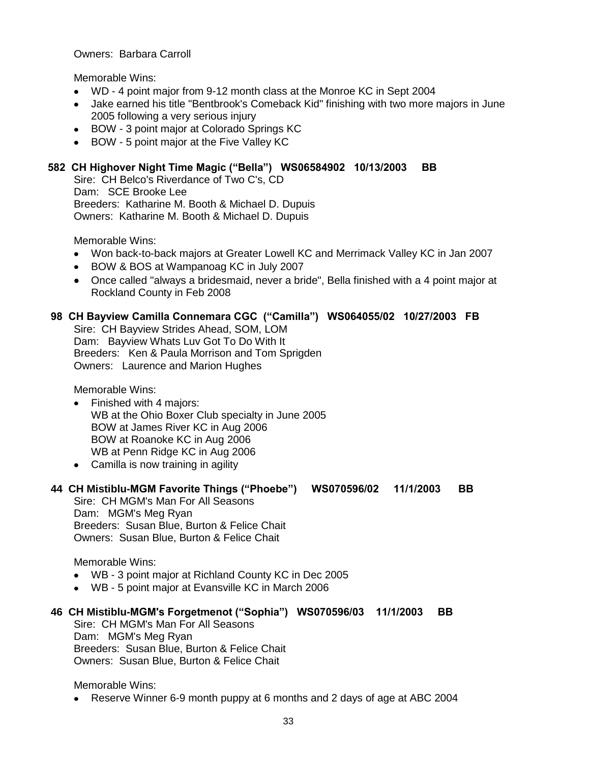#### Owners: Barbara Carroll

Memorable Wins:

- WD 4 point major from 9-12 month class at the Monroe KC in Sept 2004
- Jake earned his title "Bentbrook's Comeback Kid" finishing with two more majors in June 2005 following a very serious injury
- BOW 3 point major at Colorado Springs KC
- BOW 5 point major at the Five Valley KC

## **582 CH Highover Night Time Magic ("Bella") WS06584902 10/13/2003 BB**

Sire: CH Belco's Riverdance of Two C's, CD Dam: SCE Brooke Lee Breeders: Katharine M. Booth & Michael D. Dupuis Owners: Katharine M. Booth & Michael D. Dupuis

Memorable Wins:

- Won back-to-back majors at Greater Lowell KC and Merrimack Valley KC in Jan 2007
- BOW & BOS at Wampanoag KC in July 2007  $\bullet$
- Once called "always a bridesmaid, never a bride", Bella finished with a 4 point major at Rockland County in Feb 2008

#### **98 CH Bayview Camilla Connemara CGC ("Camilla") WS064055/02 10/27/2003 FB**

Sire: CH Bayview Strides Ahead, SOM, LOM Dam: Bayview Whats Luv Got To Do With It Breeders: Ken & Paula Morrison and Tom Sprigden Owners: Laurence and Marion Hughes

Memorable Wins:

- Finished with 4 majors:  $\bullet$ WB at the Ohio Boxer Club specialty in June 2005 BOW at James River KC in Aug 2006 BOW at Roanoke KC in Aug 2006 WB at Penn Ridge KC in Aug 2006
- Camilla is now training in agility

#### **44 CH Mistiblu-MGM Favorite Things ("Phoebe") WS070596/02 11/1/2003 BB**

Sire: CH MGM's Man For All Seasons Dam: MGM's Meg Ryan Breeders: Susan Blue, Burton & Felice Chait Owners: Susan Blue, Burton & Felice Chait

Memorable Wins:

- WB 3 point major at Richland County KC in Dec 2005
- WB 5 point major at Evansville KC in March 2006

#### **46 CH Mistiblu-MGM's Forgetmenot ("Sophia") WS070596/03 11/1/2003 BB**

Sire: CH MGM's Man For All Seasons Dam: MGM's Meg Ryan Breeders: Susan Blue, Burton & Felice Chait Owners: Susan Blue, Burton & Felice Chait

Memorable Wins:

Reserve Winner 6-9 month puppy at 6 months and 2 days of age at ABC 2004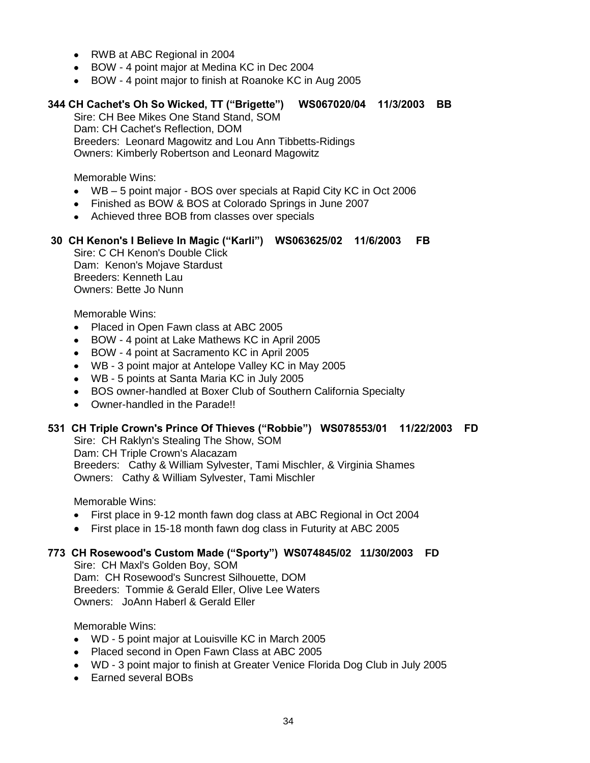- RWB at ABC Regional in 2004
- BOW 4 point major at Medina KC in Dec 2004
- BOW 4 point major to finish at Roanoke KC in Aug 2005

#### **344 CH Cachet's Oh So Wicked, TT ("Brigette") WS067020/04 11/3/2003 BB**

Sire: CH Bee Mikes One Stand Stand, SOM Dam: CH Cachet's Reflection, DOM Breeders: Leonard Magowitz and Lou Ann Tibbetts-Ridings Owners: Kimberly Robertson and Leonard Magowitz

Memorable Wins:

- WB 5 point major BOS over specials at Rapid City KC in Oct 2006
- Finished as BOW & BOS at Colorado Springs in June 2007
- Achieved three BOB from classes over specials

#### **30 CH Kenon's I Believe In Magic ("Karli") WS063625/02 11/6/2003 FB**

Sire: C CH Kenon's Double Click Dam: Kenon's Mojave Stardust Breeders: Kenneth Lau Owners: Bette Jo Nunn

Memorable Wins:

- Placed in Open Fawn class at ABC 2005  $\bullet$
- BOW 4 point at Lake Mathews KC in April 2005  $\bullet$
- BOW 4 point at Sacramento KC in April 2005  $\bullet$
- WB 3 point major at Antelope Valley KC in May 2005
- WB 5 points at Santa Maria KC in July 2005
- BOS owner-handled at Boxer Club of Southern California Specialty  $\bullet$
- Owner-handled in the Parade!!

#### **531 CH Triple Crown's Prince Of Thieves ("Robbie") WS078553/01 11/22/2003 FD**

Sire: CH Raklyn's Stealing The Show, SOM Dam: CH Triple Crown's Alacazam Breeders: Cathy & William Sylvester, Tami Mischler, & Virginia Shames Owners: Cathy & William Sylvester, Tami Mischler

Memorable Wins:

- First place in 9-12 month fawn dog class at ABC Regional in Oct 2004  $\bullet$
- First place in 15-18 month fawn dog class in Futurity at ABC 2005

# **773 CH Rosewood's Custom Made ("Sporty") WS074845/02 11/30/2003 FD**

Sire: CH Maxl's Golden Boy, SOM Dam: CH Rosewood's Suncrest Silhouette, DOM Breeders: Tommie & Gerald Eller, Olive Lee Waters Owners: JoAnn Haberl & Gerald Eller

- WD 5 point major at Louisville KC in March 2005
- Placed second in Open Fawn Class at ABC 2005
- WD 3 point major to finish at Greater Venice Florida Dog Club in July 2005
- Earned several BOBs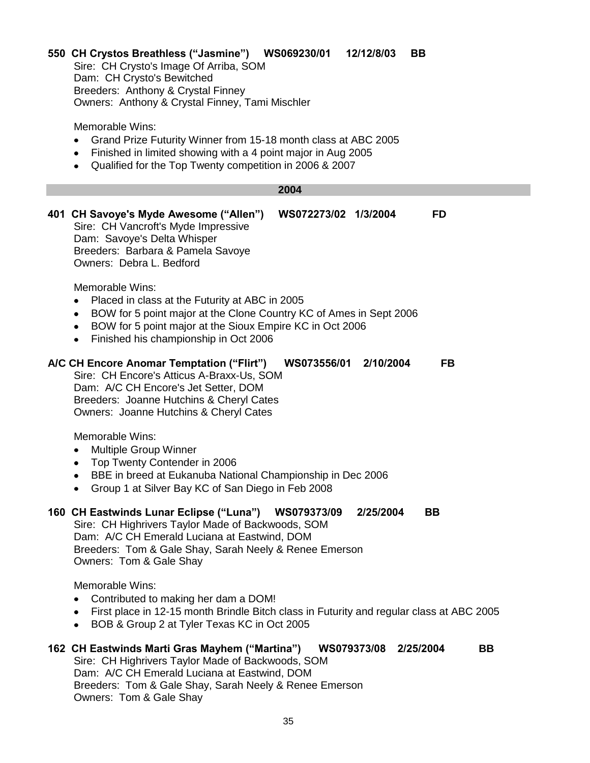#### **550 CH Crystos Breathless ("Jasmine") WS069230/01 12/12/8/03 BB**

Sire: CH Crysto's Image Of Arriba, SOM Dam: CH Crysto's Bewitched Breeders: Anthony & Crystal Finney Owners: Anthony & Crystal Finney, Tami Mischler

Memorable Wins:

- Grand Prize Futurity Winner from 15-18 month class at ABC 2005
- Finished in limited showing with a 4 point major in Aug 2005
- Qualified for the Top Twenty competition in 2006 & 2007

# **2004**

**401 CH Savoye's Myde Awesome ("Allen") WS072273/02 1/3/2004 FD** Sire: CH Vancroft's Myde Impressive Dam: Savoye's Delta Whisper Breeders: Barbara & Pamela Savoye Owners: Debra L. Bedford

Memorable Wins:

- $\bullet$ Placed in class at the Futurity at ABC in 2005
- BOW for 5 point major at the Clone Country KC of Ames in Sept 2006  $\bullet$
- $\bullet$ BOW for 5 point major at the Sioux Empire KC in Oct 2006
- Finished his championship in Oct 2006

#### **A/C CH Encore Anomar Temptation ("Flirt") WS073556/01 2/10/2004 FB**

Sire: CH Encore's Atticus A-Braxx-Us, SOM Dam: A/C CH Encore's Jet Setter, DOM Breeders: Joanne Hutchins & Cheryl Cates Owners: Joanne Hutchins & Cheryl Cates

Memorable Wins:

- Multiple Group Winner  $\bullet$
- Top Twenty Contender in 2006
- BBE in breed at Eukanuba National Championship in Dec 2006
- Group 1 at Silver Bay KC of San Diego in Feb 2008  $\bullet$

#### **160 CH Eastwinds Lunar Eclipse ("Luna") WS079373/09 2/25/2004 BB**

Sire: CH Highrivers Taylor Made of Backwoods, SOM Dam: A/C CH Emerald Luciana at Eastwind, DOM Breeders: Tom & Gale Shay, Sarah Neely & Renee Emerson Owners: Tom & Gale Shay

Memorable Wins:

- Contributed to making her dam a DOM!
- First place in 12-15 month Brindle Bitch class in Futurity and regular class at ABC 2005
- BOB & Group 2 at Tyler Texas KC in Oct 2005

# **162 CH Eastwinds Marti Gras Mayhem ("Martina") WS079373/08 2/25/2004 BB**

Sire: CH Highrivers Taylor Made of Backwoods, SOM Dam: A/C CH Emerald Luciana at Eastwind, DOM Breeders: Tom & Gale Shay, Sarah Neely & Renee Emerson Owners: Tom & Gale Shay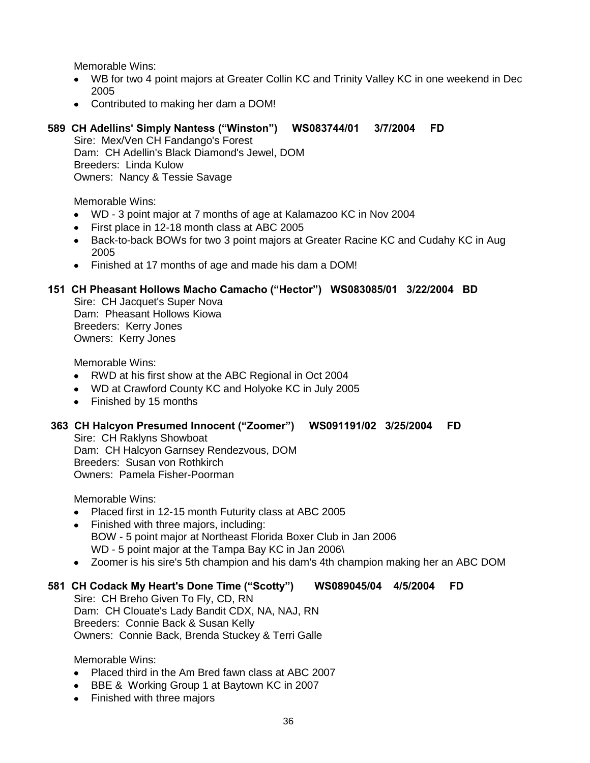- WB for two 4 point majors at Greater Collin KC and Trinity Valley KC in one weekend in Dec 2005
- Contributed to making her dam a DOM!

# **589 CH Adellins' Simply Nantess ("Winston") WS083744/01 3/7/2004 FD**

Sire: Mex/Ven CH Fandango's Forest Dam: CH Adellin's Black Diamond's Jewel, DOM Breeders: Linda Kulow Owners: Nancy & Tessie Savage

Memorable Wins:

- WD 3 point major at 7 months of age at Kalamazoo KC in Nov 2004
- First place in 12-18 month class at ABC 2005
- Back-to-back BOWs for two 3 point majors at Greater Racine KC and Cudahy KC in Aug 2005
- Finished at 17 months of age and made his dam a DOM!

#### **151 CH Pheasant Hollows Macho Camacho ("Hector") WS083085/01 3/22/2004 BD**

Sire: CH Jacquet's Super Nova Dam: Pheasant Hollows Kiowa Breeders: Kerry Jones Owners: Kerry Jones

Memorable Wins:

- RWD at his first show at the ABC Regional in Oct 2004
- WD at Crawford County KC and Holyoke KC in July 2005
- Finished by 15 months

#### **363 CH Halcyon Presumed Innocent ("Zoomer") WS091191/02 3/25/2004 FD**

Sire: CH Raklyns Showboat Dam: CH Halcyon Garnsey Rendezvous, DOM Breeders: Susan von Rothkirch Owners: Pamela Fisher-Poorman

Memorable Wins:

- Placed first in 12-15 month Futurity class at ABC 2005  $\bullet$
- $\bullet$ Finished with three majors, including: BOW - 5 point major at Northeast Florida Boxer Club in Jan 2006 WD - 5 point major at the Tampa Bay KC in Jan 2006\
- Zoomer is his sire's 5th champion and his dam's 4th champion making her an ABC DOM

# **581 CH Codack My Heart's Done Time ("Scotty") WS089045/04 4/5/2004 FD**

Sire: CH Breho Given To Fly, CD, RN Dam: CH Clouate's Lady Bandit CDX, NA, NAJ, RN Breeders: Connie Back & Susan Kelly Owners: Connie Back, Brenda Stuckey & Terri Galle

- Placed third in the Am Bred fawn class at ABC 2007
- BBE & Working Group 1 at Baytown KC in 2007
- Finished with three majors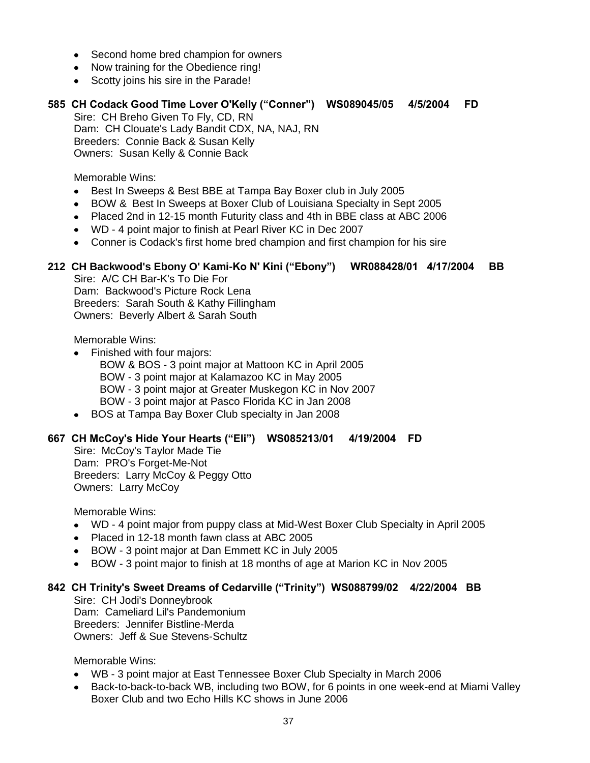- Second home bred champion for owners
- Now training for the Obedience ring!
- Scotty joins his sire in the Parade!

# **585 CH Codack Good Time Lover O'Kelly ("Conner") WS089045/05 4/5/2004 FD**

Sire: CH Breho Given To Fly, CD, RN Dam: CH Clouate's Lady Bandit CDX, NA, NAJ, RN Breeders: Connie Back & Susan Kelly Owners: Susan Kelly & Connie Back

Memorable Wins:

- Best In Sweeps & Best BBE at Tampa Bay Boxer club in July 2005  $\bullet$
- BOW & Best In Sweeps at Boxer Club of Louisiana Specialty in Sept 2005  $\bullet$
- Placed 2nd in 12-15 month Futurity class and 4th in BBE class at ABC 2006
- WD 4 point major to finish at Pearl River KC in Dec 2007
- Conner is Codack's first home bred champion and first champion for his sire

# **212 CH Backwood's Ebony O' Kami-Ko N' Kini ("Ebony") WR088428/01 4/17/2004 BB**

Sire: A/C CH Bar-K's To Die For Dam: Backwood's Picture Rock Lena Breeders: Sarah South & Kathy Fillingham Owners: Beverly Albert & Sarah South

Memorable Wins:

- Finished with four majors:
	- BOW & BOS 3 point major at Mattoon KC in April 2005 BOW - 3 point major at Kalamazoo KC in May 2005 BOW - 3 point major at Greater Muskegon KC in Nov 2007 BOW - 3 point major at Pasco Florida KC in Jan 2008
- BOS at Tampa Bay Boxer Club specialty in Jan 2008

#### **667 CH McCoy's Hide Your Hearts ("Eli") WS085213/01 4/19/2004 FD**

Sire: McCoy's Taylor Made Tie Dam: PRO's Forget-Me-Not Breeders: Larry McCoy & Peggy Otto Owners: Larry McCoy

Memorable Wins:

- WD 4 point major from puppy class at Mid-West Boxer Club Specialty in April 2005
- Placed in 12-18 month fawn class at ABC 2005
- BOW 3 point major at Dan Emmett KC in July 2005
- BOW 3 point major to finish at 18 months of age at Marion KC in Nov 2005

#### **842 CH Trinity's Sweet Dreams of Cedarville ("Trinity") WS088799/02 4/22/2004 BB**

Sire: CH Jodi's Donneybrook Dam: Cameliard Lil's Pandemonium Breeders: Jennifer Bistline-Merda Owners: Jeff & Sue Stevens-Schultz

- WB 3 point major at East Tennessee Boxer Club Specialty in March 2006
- Back-to-back-to-back WB, including two BOW, for 6 points in one week-end at Miami Valley  $\bullet$ Boxer Club and two Echo Hills KC shows in June 2006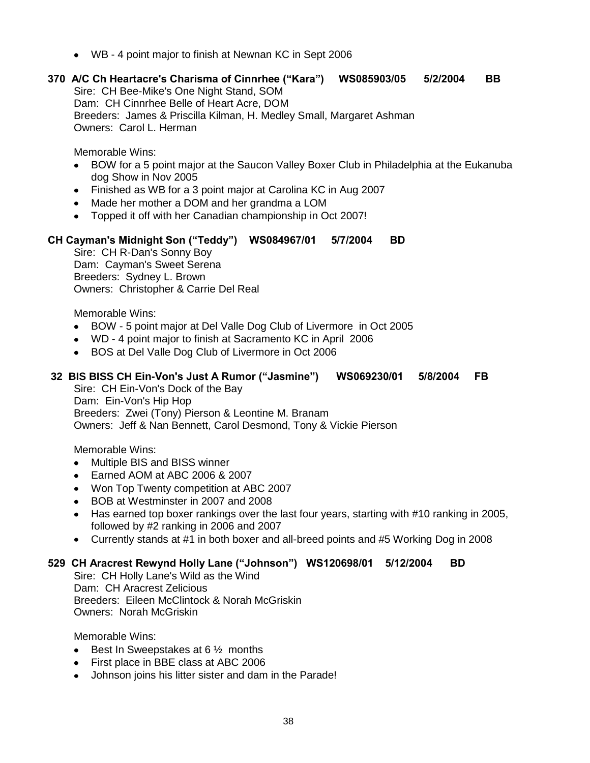- WB 4 point major to finish at Newnan KC in Sept 2006
- **370 A/C Ch Heartacre's Charisma of Cinnrhee ("Kara") WS085903/05 5/2/2004 BB** Sire: CH Bee-Mike's One Night Stand, SOM Dam: CH Cinnrhee Belle of Heart Acre, DOM Breeders: James & Priscilla Kilman, H. Medley Small, Margaret Ashman Owners: Carol L. Herman

- BOW for a 5 point major at the Saucon Valley Boxer Club in Philadelphia at the Eukanuba  $\bullet$ dog Show in Nov 2005
- Finished as WB for a 3 point major at Carolina KC in Aug 2007
- Made her mother a DOM and her grandma a LOM
- Topped it off with her Canadian championship in Oct 2007!

#### **CH Cayman's Midnight Son ("Teddy") WS084967/01 5/7/2004 BD**

Sire: CH R-Dan's Sonny Boy Dam: Cayman's Sweet Serena Breeders: Sydney L. Brown Owners: Christopher & Carrie Del Real

Memorable Wins:

- BOW 5 point major at Del Valle Dog Club of Livermore in Oct 2005
- WD 4 point major to finish at Sacramento KC in April 2006
- BOS at Del Valle Dog Club of Livermore in Oct 2006  $\bullet$

# **32 BIS BISS CH Ein-Von's Just A Rumor ("Jasmine") WS069230/01 5/8/2004 FB**

Sire: CH Ein-Von's Dock of the Bay Dam: Ein-Von's Hip Hop Breeders: Zwei (Tony) Pierson & Leontine M. Branam Owners: Jeff & Nan Bennett, Carol Desmond, Tony & Vickie Pierson

Memorable Wins:

- Multiple BIS and BISS winner  $\bullet$
- Earned AOM at ABC 2006 & 2007
- Won Top Twenty competition at ABC 2007
- BOB at Westminster in 2007 and 2008  $\bullet$
- $\bullet$ Has earned top boxer rankings over the last four years, starting with #10 ranking in 2005, followed by #2 ranking in 2006 and 2007
- Currently stands at #1 in both boxer and all-breed points and #5 Working Dog in 2008

#### **529 CH Aracrest Rewynd Holly Lane ("Johnson") WS120698/01 5/12/2004 BD**

Sire: CH Holly Lane's Wild as the Wind Dam: CH Aracrest Zelicious Breeders: Eileen McClintock & Norah McGriskin Owners: Norah McGriskin

- **Best In Sweepstakes at 6**  $\frac{1}{2}$  **months**
- First place in BBE class at ABC 2006  $\bullet$
- Johnson joins his litter sister and dam in the Parade! $\bullet$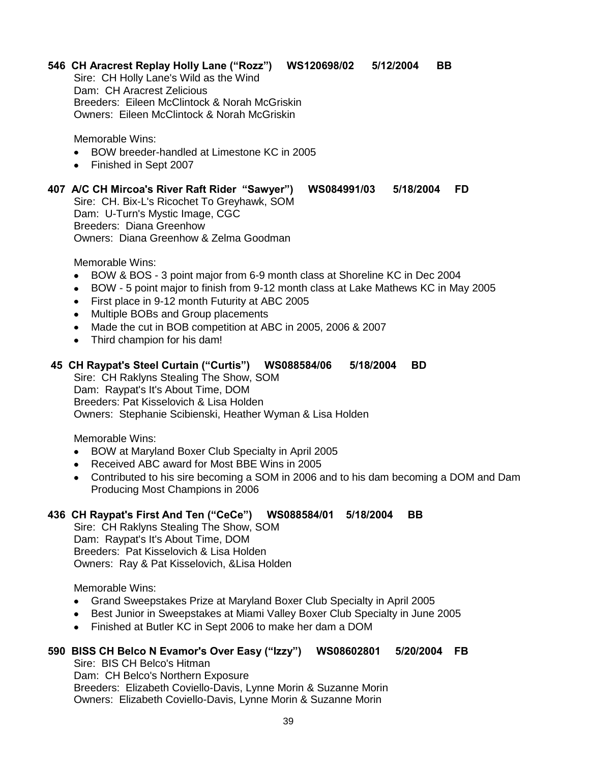# **546 CH Aracrest Replay Holly Lane ("Rozz") WS120698/02 5/12/2004 BB**

Sire: CH Holly Lane's Wild as the Wind Dam: CH Aracrest Zelicious Breeders: Eileen McClintock & Norah McGriskin Owners: Eileen McClintock & Norah McGriskin

Memorable Wins:

- BOW breeder-handled at Limestone KC in 2005
- Finished in Sept 2007

# **407 A/C CH Mircoa's River Raft Rider "Sawyer") WS084991/03 5/18/2004 FD**

Sire: CH. Bix-L's Ricochet To Greyhawk, SOM Dam: U-Turn's Mystic Image, CGC Breeders: Diana Greenhow Owners: Diana Greenhow & Zelma Goodman

Memorable Wins:

- BOW & BOS 3 point major from 6-9 month class at Shoreline KC in Dec 2004  $\bullet$
- BOW 5 point major to finish from 9-12 month class at Lake Mathews KC in May 2005  $\bullet$
- First place in 9-12 month Futurity at ABC 2005  $\bullet$
- Multiple BOBs and Group placements
- Made the cut in BOB competition at ABC in 2005, 2006 & 2007
- Third champion for his dam!

# **45 CH Raypat's Steel Curtain ("Curtis") WS088584/06 5/18/2004 BD**

Sire: CH Raklyns Stealing The Show, SOM Dam: Raypat's It's About Time, DOM Breeders: Pat Kisselovich & Lisa Holden Owners: Stephanie Scibienski, Heather Wyman & Lisa Holden

Memorable Wins:

- BOW at Maryland Boxer Club Specialty in April 2005  $\bullet$
- $\bullet$ Received ABC award for Most BBE Wins in 2005
- Contributed to his sire becoming a SOM in 2006 and to his dam becoming a DOM and Dam Producing Most Champions in 2006

# **436 CH Raypat's First And Ten ("CeCe") WS088584/01 5/18/2004 BB**

Sire: CH Raklyns Stealing The Show, SOM Dam: Raypat's It's About Time, DOM Breeders: Pat Kisselovich & Lisa Holden Owners: Ray & Pat Kisselovich, &Lisa Holden

Memorable Wins:

- Grand Sweepstakes Prize at Maryland Boxer Club Specialty in April 2005
- Best Junior in Sweepstakes at Miami Valley Boxer Club Specialty in June 2005  $\bullet$
- Finished at Butler KC in Sept 2006 to make her dam a DOM  $\bullet$

# **590 BISS CH Belco N Evamor's Over Easy ("Izzy") WS08602801 5/20/2004 FB**

Sire: BIS CH Belco's Hitman Dam: CH Belco's Northern Exposure Breeders: Elizabeth Coviello-Davis, Lynne Morin & Suzanne Morin Owners: Elizabeth Coviello-Davis, Lynne Morin & Suzanne Morin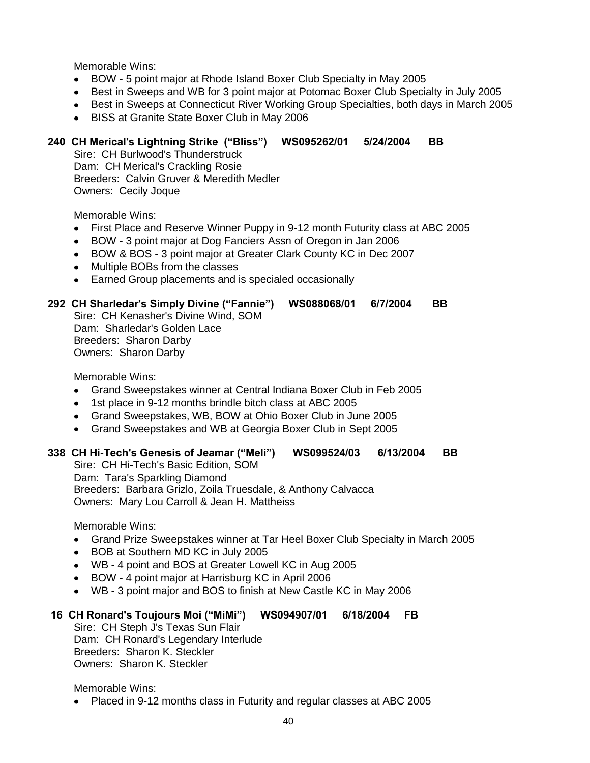- BOW 5 point major at Rhode Island Boxer Club Specialty in May 2005
- Best in Sweeps and WB for 3 point major at Potomac Boxer Club Specialty in July 2005
- Best in Sweeps at Connecticut River Working Group Specialties, both days in March 2005
- BISS at Granite State Boxer Club in May 2006  $\bullet$

# **240 CH Merical's Lightning Strike ("Bliss") WS095262/01 5/24/2004 BB**

Sire: CH Burlwood's Thunderstruck Dam: CH Merical's Crackling Rosie Breeders: Calvin Gruver & Meredith Medler Owners: Cecily Joque

Memorable Wins:

- First Place and Reserve Winner Puppy in 9-12 month Futurity class at ABC 2005  $\bullet$
- BOW 3 point major at Dog Fanciers Assn of Oregon in Jan 2006  $\bullet$
- BOW & BOS 3 point major at Greater Clark County KC in Dec 2007
- Multiple BOBs from the classes  $\bullet$
- Earned Group placements and is specialed occasionally

#### **292 CH Sharledar's Simply Divine ("Fannie") WS088068/01 6/7/2004 BB**

Sire: CH Kenasher's Divine Wind, SOM Dam: Sharledar's Golden Lace Breeders: Sharon Darby Owners: Sharon Darby

Memorable Wins:

- Grand Sweepstakes winner at Central Indiana Boxer Club in Feb 2005
- 1st place in 9-12 months brindle bitch class at ABC 2005
- Grand Sweepstakes, WB, BOW at Ohio Boxer Club in June 2005
- Grand Sweepstakes and WB at Georgia Boxer Club in Sept 2005

#### **338 CH Hi-Tech's Genesis of Jeamar ("Meli") WS099524/03 6/13/2004 BB**

Sire: CH Hi-Tech's Basic Edition, SOM Dam: Tara's Sparkling Diamond Breeders: Barbara Grizlo, Zoila Truesdale, & Anthony Calvacca Owners: Mary Lou Carroll & Jean H. Mattheiss

Memorable Wins:

- Grand Prize Sweepstakes winner at Tar Heel Boxer Club Specialty in March 2005
- BOB at Southern MD KC in July 2005  $\bullet$
- WB 4 point and BOS at Greater Lowell KC in Aug 2005
- BOW 4 point major at Harrisburg KC in April 2006
- WB 3 point major and BOS to finish at New Castle KC in May 2006

#### **16 CH Ronard's Toujours Moi ("MiMi") WS094907/01 6/18/2004 FB**

Sire: CH Steph J's Texas Sun Flair Dam: CH Ronard's Legendary Interlude Breeders: Sharon K. Steckler Owners: Sharon K. Steckler

Memorable Wins:

Placed in 9-12 months class in Futurity and regular classes at ABC 2005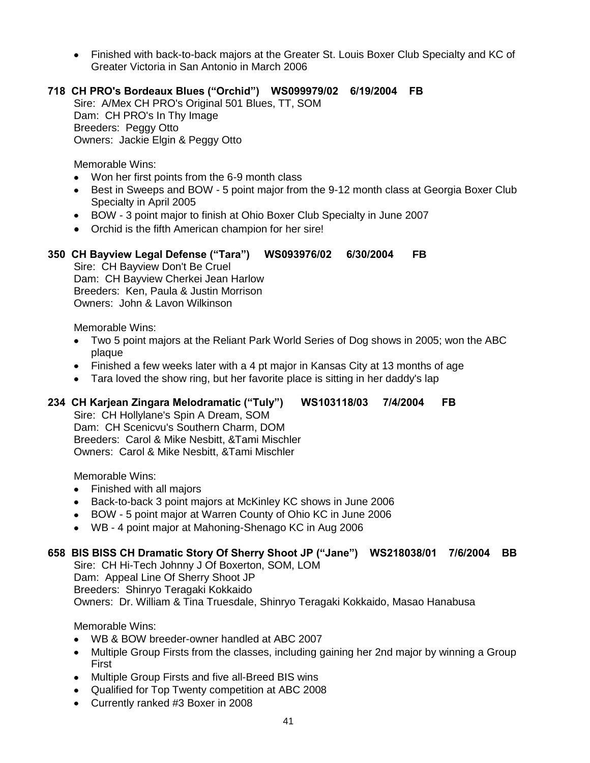Finished with back-to-back majors at the Greater St. Louis Boxer Club Specialty and KC of Greater Victoria in San Antonio in March 2006

# **718 CH PRO's Bordeaux Blues ("Orchid") WS099979/02 6/19/2004 FB**

Sire: A/Mex CH PRO's Original 501 Blues, TT, SOM Dam: CH PRO's In Thy Image Breeders: Peggy Otto Owners: Jackie Elgin & Peggy Otto

Memorable Wins:

- Won her first points from the 6-9 month class
- Best in Sweeps and BOW 5 point major from the 9-12 month class at Georgia Boxer Club  $\bullet$ Specialty in April 2005
- BOW 3 point major to finish at Ohio Boxer Club Specialty in June 2007
- Orchid is the fifth American champion for her sire!

# **350 CH Bayview Legal Defense ("Tara") WS093976/02 6/30/2004 FB**

Sire: CH Bayview Don't Be Cruel Dam: CH Bayview Cherkei Jean Harlow Breeders: Ken, Paula & Justin Morrison Owners: John & Lavon Wilkinson

Memorable Wins:

- Two 5 point majors at the Reliant Park World Series of Dog shows in 2005; won the ABC plaque
- Finished a few weeks later with a 4 pt major in Kansas City at 13 months of age
- Tara loved the show ring, but her favorite place is sitting in her daddy's lap

# **234 CH Karjean Zingara Melodramatic ("Tuly") WS103118/03 7/4/2004 FB**

Sire: CH Hollylane's Spin A Dream, SOM Dam: CH Scenicvu's Southern Charm, DOM Breeders: Carol & Mike Nesbitt, &Tami Mischler Owners: Carol & Mike Nesbitt, &Tami Mischler

Memorable Wins:

- Finished with all majors
- Back-to-back 3 point majors at McKinley KC shows in June 2006  $\bullet$
- BOW 5 point major at Warren County of Ohio KC in June 2006
- WB 4 point major at Mahoning-Shenago KC in Aug 2006

#### **658 BIS BISS CH Dramatic Story Of Sherry Shoot JP ("Jane") WS218038/01 7/6/2004 BB**

Sire: CH Hi-Tech Johnny J Of Boxerton, SOM, LOM Dam: Appeal Line Of Sherry Shoot JP Breeders: Shinryo Teragaki Kokkaido Owners: Dr. William & Tina Truesdale, Shinryo Teragaki Kokkaido, Masao Hanabusa

- WB & BOW breeder-owner handled at ABC 2007
- Multiple Group Firsts from the classes, including gaining her 2nd major by winning a Group First
- Multiple Group Firsts and five all-Breed BIS wins
- Qualified for Top Twenty competition at ABC 2008
- Currently ranked #3 Boxer in 2008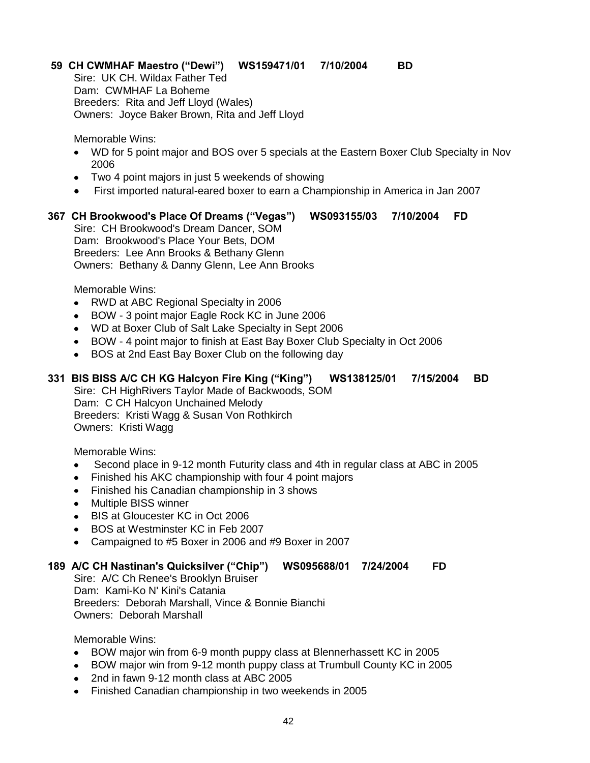# **59 CH CWMHAF Maestro ("Dewi") WS159471/01 7/10/2004 BD**

Sire: UK CH. Wildax Father Ted Dam: CWMHAF La Boheme Breeders: Rita and Jeff Lloyd (Wales) Owners: Joyce Baker Brown, Rita and Jeff Lloyd

Memorable Wins:

- WD for 5 point major and BOS over 5 specials at the Eastern Boxer Club Specialty in Nov 2006
- Two 4 point majors in just 5 weekends of showing
- First imported natural-eared boxer to earn a Championship in America in Jan 2007

# **367 CH Brookwood's Place Of Dreams ("Vegas") WS093155/03 7/10/2004 FD**

Sire: CH Brookwood's Dream Dancer, SOM Dam: Brookwood's Place Your Bets, DOM Breeders: Lee Ann Brooks & Bethany Glenn Owners: Bethany & Danny Glenn, Lee Ann Brooks

Memorable Wins:

- RWD at ABC Regional Specialty in 2006  $\bullet$
- BOW 3 point major Eagle Rock KC in June 2006  $\bullet$
- WD at Boxer Club of Salt Lake Specialty in Sept 2006
- BOW 4 point major to finish at East Bay Boxer Club Specialty in Oct 2006
- BOS at 2nd East Bay Boxer Club on the following day

# **331 BIS BISS A/C CH KG Halcyon Fire King ("King") WS138125/01 7/15/2004 BD**

Sire: CH HighRivers Taylor Made of Backwoods, SOM Dam: C CH Halcyon Unchained Melody Breeders: Kristi Wagg & Susan Von Rothkirch Owners: Kristi Wagg

Memorable Wins:

- $\bullet$ Second place in 9-12 month Futurity class and 4th in regular class at ABC in 2005
- Finished his AKC championship with four 4 point majors
- $\bullet$ Finished his Canadian championship in 3 shows
- $\bullet$ Multiple BISS winner
- BIS at Gloucester KC in Oct 2006  $\bullet$
- BOS at Westminster KC in Feb 2007
- Campaigned to #5 Boxer in 2006 and #9 Boxer in 2007  $\bullet$

#### **189 A/C CH Nastinan's Quicksilver ("Chip") WS095688/01 7/24/2004 FD**

Sire: A/C Ch Renee's Brooklyn Bruiser Dam: Kami-Ko N' Kini's Catania Breeders: Deborah Marshall, Vince & Bonnie Bianchi Owners: Deborah Marshall

- BOW major win from 6-9 month puppy class at Blennerhassett KC in 2005
- BOW major win from 9-12 month puppy class at Trumbull County KC in 2005
- 2nd in fawn 9-12 month class at ABC 2005
- Finished Canadian championship in two weekends in 2005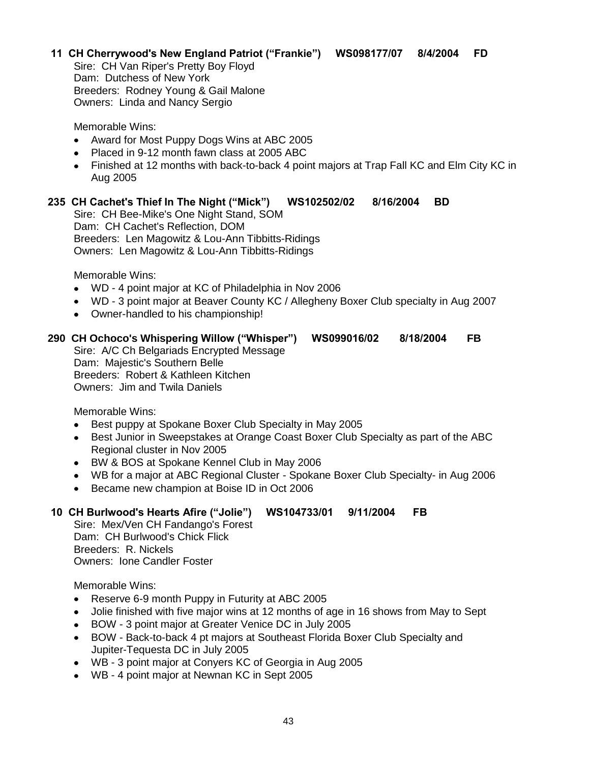### **11 CH Cherrywood's New England Patriot ("Frankie") WS098177/07 8/4/2004 FD**

Sire: CH Van Riper's Pretty Boy Floyd Dam: Dutchess of New York Breeders: Rodney Young & Gail Malone Owners: Linda and Nancy Sergio

Memorable Wins:

- Award for Most Puppy Dogs Wins at ABC 2005
- Placed in 9-12 month fawn class at 2005 ABC
- Finished at 12 months with back-to-back 4 point majors at Trap Fall KC and Elm City KC in Aug 2005

#### **235 CH Cachet's Thief In The Night ("Mick") WS102502/02 8/16/2004 BD**

Sire: CH Bee-Mike's One Night Stand, SOM Dam: CH Cachet's Reflection, DOM Breeders: Len Magowitz & Lou-Ann Tibbitts-Ridings Owners: Len Magowitz & Lou-Ann Tibbitts-Ridings

Memorable Wins:

- WD 4 point major at KC of Philadelphia in Nov 2006
- WD 3 point major at Beaver County KC / Allegheny Boxer Club specialty in Aug 2007
- Owner-handled to his championship!

#### **290 CH Ochoco's Whispering Willow ("Whisper") WS099016/02 8/18/2004 FB**

Sire: A/C Ch Belgariads Encrypted Message Dam: Majestic's Southern Belle Breeders: Robert & Kathleen Kitchen Owners: Jim and Twila Daniels

Memorable Wins:

- Best puppy at Spokane Boxer Club Specialty in May 2005  $\bullet$
- Best Junior in Sweepstakes at Orange Coast Boxer Club Specialty as part of the ABC  $\bullet$ Regional cluster in Nov 2005
- BW & BOS at Spokane Kennel Club in May 2006
- WB for a major at ABC Regional Cluster Spokane Boxer Club Specialty- in Aug 2006
- Became new champion at Boise ID in Oct 2006  $\bullet$

# **10 CH Burlwood's Hearts Afire ("Jolie") WS104733/01 9/11/2004 FB**

Sire: Mex/Ven CH Fandango's Forest Dam: CH Burlwood's Chick Flick Breeders: R. Nickels Owners: Ione Candler Foster

- $\bullet$ Reserve 6-9 month Puppy in Futurity at ABC 2005
- Jolie finished with five major wins at 12 months of age in 16 shows from May to Sept  $\bullet$
- $\bullet$ BOW - 3 point major at Greater Venice DC in July 2005
- BOW Back-to-back 4 pt majors at Southeast Florida Boxer Club Specialty and  $\bullet$ Jupiter-Tequesta DC in July 2005
- WB 3 point major at Conyers KC of Georgia in Aug 2005
- WB 4 point major at Newnan KC in Sept 2005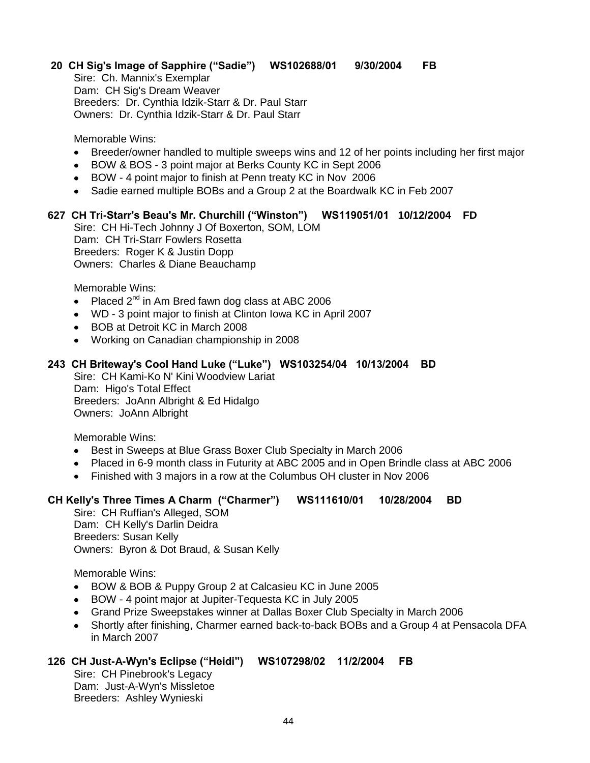# **20 CH Sig's Image of Sapphire ("Sadie") WS102688/01 9/30/2004 FB**

Sire: Ch. Mannix's Exemplar Dam: CH Sig's Dream Weaver Breeders: Dr. Cynthia Idzik-Starr & Dr. Paul Starr Owners: Dr. Cynthia Idzik-Starr & Dr. Paul Starr

Memorable Wins:

- Breeder/owner handled to multiple sweeps wins and 12 of her points including her first major
- BOW & BOS 3 point major at Berks County KC in Sept 2006  $\bullet$
- BOW 4 point major to finish at Penn treaty KC in Nov 2006
- Sadie earned multiple BOBs and a Group 2 at the Boardwalk KC in Feb 2007

#### **627 CH Tri-Starr's Beau's Mr. Churchill ("Winston") WS119051/01 10/12/2004 FD**

Sire: CH Hi-Tech Johnny J Of Boxerton, SOM, LOM Dam: CH Tri-Starr Fowlers Rosetta Breeders: Roger K & Justin Dopp Owners: Charles & Diane Beauchamp

Memorable Wins:

- Placed  $2^{nd}$  in Am Bred fawn dog class at ABC 2006
- WD 3 point major to finish at Clinton Iowa KC in April 2007
- BOB at Detroit KC in March 2008
- Working on Canadian championship in 2008

#### **243 CH Briteway's Cool Hand Luke ("Luke") WS103254/04 10/13/2004 BD**

Sire: CH Kami-Ko N' Kini Woodview Lariat Dam: Higo's Total Effect Breeders: JoAnn Albright & Ed Hidalgo Owners: JoAnn Albright

Memorable Wins:

- Best in Sweeps at Blue Grass Boxer Club Specialty in March 2006  $\bullet$
- Placed in 6-9 month class in Futurity at ABC 2005 and in Open Brindle class at ABC 2006
- Finished with 3 majors in a row at the Columbus OH cluster in Nov 2006

#### **CH Kelly's Three Times A Charm ("Charmer") WS111610/01 10/28/2004 BD**

Sire: CH Ruffian's Alleged, SOM Dam: CH Kelly's Darlin Deidra Breeders: Susan Kelly Owners: Byron & Dot Braud, & Susan Kelly

Memorable Wins:

- BOW & BOB & Puppy Group 2 at Calcasieu KC in June 2005
- BOW 4 point major at Jupiter-Tequesta KC in July 2005  $\bullet$
- Grand Prize Sweepstakes winner at Dallas Boxer Club Specialty in March 2006
- Shortly after finishing, Charmer earned back-to-back BOBs and a Group 4 at Pensacola DFA in March 2007

#### **126 CH Just-A-Wyn's Eclipse ("Heidi") WS107298/02 11/2/2004 FB**

Sire: CH Pinebrook's Legacy Dam: Just-A-Wyn's Missletoe Breeders: Ashley Wynieski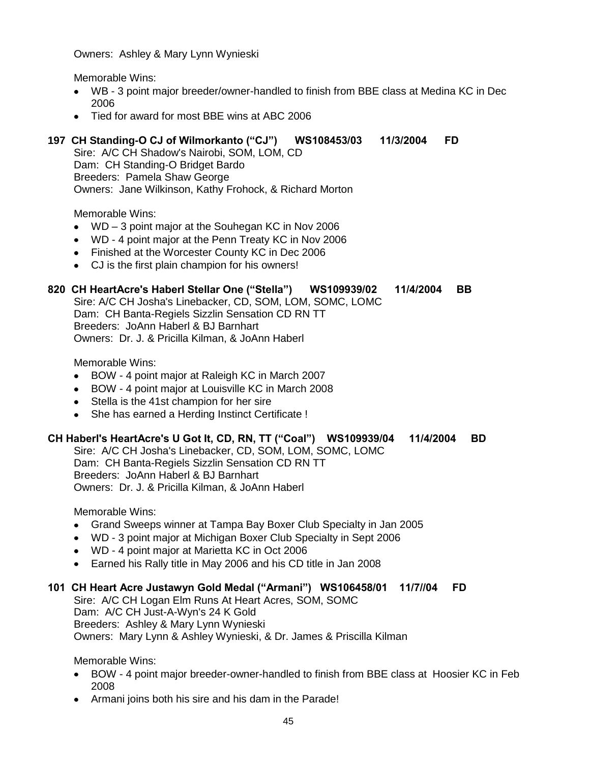Owners: Ashley & Mary Lynn Wynieski

Memorable Wins:

- WB 3 point major breeder/owner-handled to finish from BBE class at Medina KC in Dec 2006
- Tied for award for most BBE wins at ABC 2006

# **197 CH Standing-O CJ of Wilmorkanto ("CJ") WS108453/03 11/3/2004 FD**

Sire: A/C CH Shadow's Nairobi, SOM, LOM, CD Dam: CH Standing-O Bridget Bardo Breeders: Pamela Shaw George Owners: Jane Wilkinson, Kathy Frohock, & Richard Morton

Memorable Wins:

- WD 3 point major at the Souhegan KC in Nov 2006
- WD 4 point major at the Penn Treaty KC in Nov 2006
- Finished at the Worcester County KC in Dec 2006
- CJ is the first plain champion for his owners!

#### **820 CH HeartAcre's Haberl Stellar One ("Stella") WS109939/02 11/4/2004 BB**

Sire: A/C CH Josha's Linebacker, CD, SOM, LOM, SOMC, LOMC Dam: CH Banta-Regiels Sizzlin Sensation CD RN TT Breeders: JoAnn Haberl & BJ Barnhart Owners: Dr. J. & Pricilla Kilman, & JoAnn Haberl

Memorable Wins:

- BOW 4 point major at Raleigh KC in March 2007
- BOW 4 point major at Louisville KC in March 2008  $\bullet$
- Stella is the 41st champion for her sire
- She has earned a Herding Instinct Certificate !

#### **CH Haberl's HeartAcre's U Got It, CD, RN, TT ("Coal") WS109939/04 11/4/2004 BD**

Sire: A/C CH Josha's Linebacker, CD, SOM, LOM, SOMC, LOMC Dam: CH Banta-Regiels Sizzlin Sensation CD RN TT Breeders: JoAnn Haberl & BJ Barnhart Owners: Dr. J. & Pricilla Kilman, & JoAnn Haberl

Memorable Wins:

- Grand Sweeps winner at Tampa Bay Boxer Club Specialty in Jan 2005
- WD 3 point major at Michigan Boxer Club Specialty in Sept 2006
- WD 4 point major at Marietta KC in Oct 2006
- Earned his Rally title in May 2006 and his CD title in Jan 2008

#### **101 CH Heart Acre Justawyn Gold Medal ("Armani") WS106458/01 11/7//04 FD**

Sire: A/C CH Logan Elm Runs At Heart Acres, SOM, SOMC Dam: A/C CH Just-A-Wyn's 24 K Gold Breeders: Ashley & Mary Lynn Wynieski Owners: Mary Lynn & Ashley Wynieski, & Dr. James & Priscilla Kilman

- BOW 4 point major breeder-owner-handled to finish from BBE class at Hoosier KC in Feb 2008
- Armani joins both his sire and his dam in the Parade!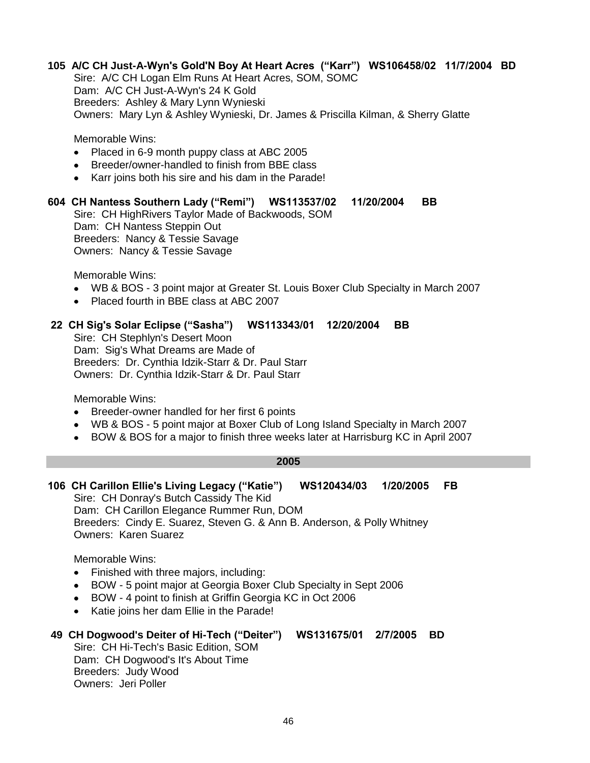# **105 A/C CH Just-A-Wyn's Gold'N Boy At Heart Acres ("Karr") WS106458/02 11/7/2004 BD**

Sire: A/C CH Logan Elm Runs At Heart Acres, SOM, SOMC Dam: A/C CH Just-A-Wyn's 24 K Gold Breeders: Ashley & Mary Lynn Wynieski Owners: Mary Lyn & Ashley Wynieski, Dr. James & Priscilla Kilman, & Sherry Glatte

Memorable Wins:

- Placed in 6-9 month puppy class at ABC 2005
- Breeder/owner-handled to finish from BBE class
- Karr joins both his sire and his dam in the Parade!

# **604 CH Nantess Southern Lady ("Remi") WS113537/02 11/20/2004 BB**

Sire: CH HighRivers Taylor Made of Backwoods, SOM Dam: CH Nantess Steppin Out Breeders: Nancy & Tessie Savage Owners: Nancy & Tessie Savage

Memorable Wins:

- WB & BOS 3 point major at Greater St. Louis Boxer Club Specialty in March 2007
- Placed fourth in BBE class at ABC 2007  $\bullet$

#### **22 CH Sig's Solar Eclipse ("Sasha") WS113343/01 12/20/2004 BB**

Sire: CH Stephlyn's Desert Moon Dam: Sig's What Dreams are Made of Breeders: Dr. Cynthia Idzik-Starr & Dr. Paul Starr Owners: Dr. Cynthia Idzik-Starr & Dr. Paul Starr

Memorable Wins:

- $\bullet$ Breeder-owner handled for her first 6 points
- WB & BOS 5 point major at Boxer Club of Long Island Specialty in March 2007
- BOW & BOS for a major to finish three weeks later at Harrisburg KC in April 2007

#### **2005**

#### **106 CH Carillon Ellie's Living Legacy ("Katie") WS120434/03 1/20/2005 FB** Sire: CH Donray's Butch Cassidy The Kid Dam: CH Carillon Elegance Rummer Run, DOM Breeders: Cindy E. Suarez, Steven G. & Ann B. Anderson, & Polly Whitney Owners: Karen Suarez

Memorable Wins:

- Finished with three majors, including:  $\bullet$
- BOW 5 point major at Georgia Boxer Club Specialty in Sept 2006  $\bullet$
- BOW 4 point to finish at Griffin Georgia KC in Oct 2006
- Katie joins her dam Ellie in the Parade!  $\bullet$

#### **49 CH Dogwood's Deiter of Hi-Tech ("Deiter") WS131675/01 2/7/2005 BD**

Sire: CH Hi-Tech's Basic Edition, SOM Dam: CH Dogwood's It's About Time Breeders: Judy Wood Owners: Jeri Poller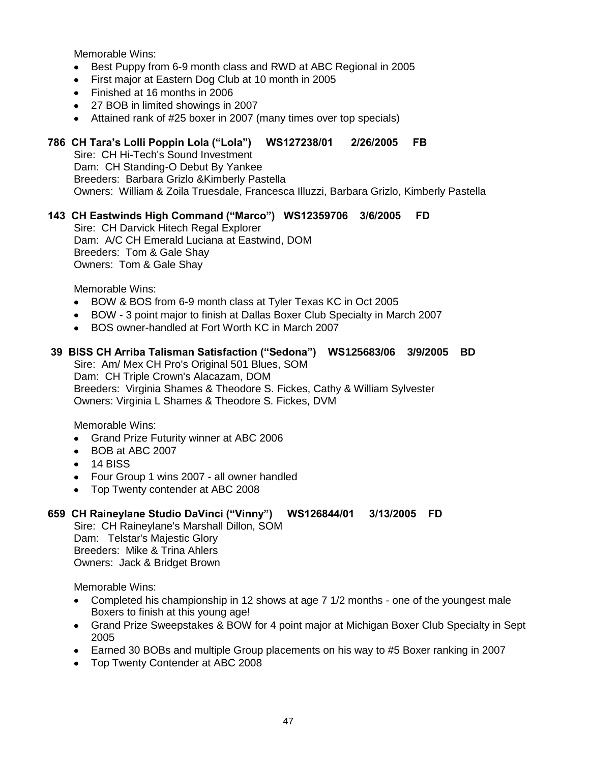- Best Puppy from 6-9 month class and RWD at ABC Regional in 2005  $\bullet$
- First major at Eastern Dog Club at 10 month in 2005  $\bullet$
- Finished at 16 months in 2006
- 27 BOB in limited showings in 2007
- Attained rank of #25 boxer in 2007 (many times over top specials)  $\bullet$

# **786 CH Tara's Lolli Poppin Lola ("Lola") WS127238/01 2/26/2005 FB**

Sire: CH Hi-Tech's Sound Investment Dam: CH Standing-O Debut By Yankee Breeders: Barbara Grizlo &Kimberly Pastella Owners: William & Zoila Truesdale, Francesca Illuzzi, Barbara Grizlo, Kimberly Pastella

# **143 CH Eastwinds High Command ("Marco") WS12359706 3/6/2005 FD**

Sire: CH Darvick Hitech Regal Explorer Dam: A/C CH Emerald Luciana at Eastwind, DOM Breeders: Tom & Gale Shay Owners: Tom & Gale Shay

Memorable Wins:

- BOW & BOS from 6-9 month class at Tyler Texas KC in Oct 2005  $\bullet$
- BOW 3 point major to finish at Dallas Boxer Club Specialty in March 2007
- $\bullet$ BOS owner-handled at Fort Worth KC in March 2007

#### **39 BISS CH Arriba Talisman Satisfaction ("Sedona") WS125683/06 3/9/2005 BD**

Sire: Am/ Mex CH Pro's Original 501 Blues, SOM Dam: CH Triple Crown's Alacazam, DOM Breeders: Virginia Shames & Theodore S. Fickes, Cathy & William Sylvester Owners: Virginia L Shames & Theodore S. Fickes, DVM

Memorable Wins:

- Grand Prize Futurity winner at ABC 2006  $\bullet$
- $\bullet$ BOB at ABC 2007
- $\bullet$  14 BISS
- Four Group 1 wins 2007 all owner handled
- Top Twenty contender at ABC 2008

#### **659 CH Raineylane Studio DaVinci ("Vinny") WS126844/01 3/13/2005 FD**

Sire: CH Raineylane's Marshall Dillon, SOM Dam: Telstar's Majestic Glory Breeders: Mike & Trina Ahlers Owners: Jack & Bridget Brown

- Completed his championship in 12 shows at age 7 1/2 months one of the youngest male Boxers to finish at this young age!
- Grand Prize Sweepstakes & BOW for 4 point major at Michigan Boxer Club Specialty in Sept  $\bullet$ 2005
- Earned 30 BOBs and multiple Group placements on his way to #5 Boxer ranking in 2007
- Top Twenty Contender at ABC 2008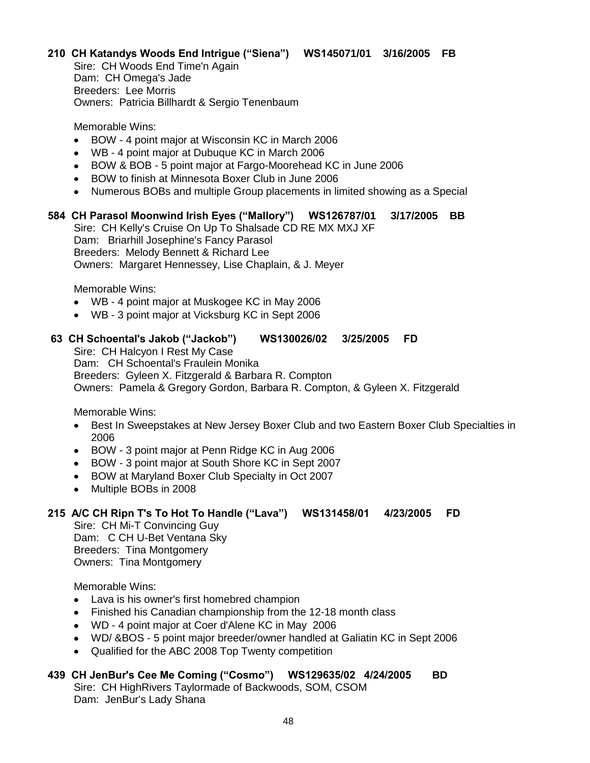# **210 CH Katandys Woods End Intrigue ("Siena") WS145071/01 3/16/2005 FB**

Sire: CH Woods End Time'n Again Dam: CH Omega's Jade Breeders: Lee Morris Owners: Patricia Billhardt & Sergio Tenenbaum

Memorable Wins:

- BOW 4 point major at Wisconsin KC in March 2006  $\bullet$
- WB 4 point major at Dubuque KC in March 2006
- $\bullet$ BOW & BOB - 5 point major at Fargo-Moorehead KC in June 2006
- $\bullet$ BOW to finish at Minnesota Boxer Club in June 2006
- Numerous BOBs and multiple Group placements in limited showing as a Special

#### **584 CH Parasol Moonwind Irish Eyes ("Mallory") WS126787/01 3/17/2005 BB**

Sire: CH Kelly's Cruise On Up To Shalsade CD RE MX MXJ XF Dam: Briarhill Josephine's Fancy Parasol Breeders: Melody Bennett & Richard Lee Owners: Margaret Hennessey, Lise Chaplain, & J. Meyer

Memorable Wins:

- WB 4 point major at Muskogee KC in May 2006
- WB 3 point major at Vicksburg KC in Sept 2006

#### **63 CH Schoental's Jakob ("Jackob") WS130026/02 3/25/2005 FD**

Sire: CH Halcyon I Rest My Case

Dam: CH Schoental's Fraulein Monika

Breeders: Gyleen X. Fitzgerald & Barbara R. Compton

Owners: Pamela & Gregory Gordon, Barbara R. Compton, & Gyleen X. Fitzgerald

Memorable Wins:

- $\bullet$ Best In Sweepstakes at New Jersey Boxer Club and two Eastern Boxer Club Specialties in 2006
- BOW 3 point major at Penn Ridge KC in Aug 2006
- BOW 3 point major at South Shore KC in Sept 2007  $\bullet$
- $\bullet$ BOW at Maryland Boxer Club Specialty in Oct 2007
- Multiple BOBs in 2008  $\bullet$

#### **215 A/C CH Ripn T's To Hot To Handle ("Lava") WS131458/01 4/23/2005 FD**

Sire: CH Mi-T Convincing Guy Dam: C CH U-Bet Ventana Sky Breeders: Tina Montgomery Owners: Tina Montgomery

Memorable Wins:

- Lava is his owner's first homebred champion
- Finished his Canadian championship from the 12-18 month class  $\bullet$
- WD 4 point major at Coer d'Alene KC in May 2006
- WD/ &BOS 5 point major breeder/owner handled at Galiatin KC in Sept 2006
- Qualified for the ABC 2008 Top Twenty competition

#### **439 CH JenBur's Cee Me Coming ("Cosmo") WS129635/02 4/24/2005 BD**

Sire: CH HighRivers Taylormade of Backwoods, SOM, CSOM Dam: JenBur's Lady Shana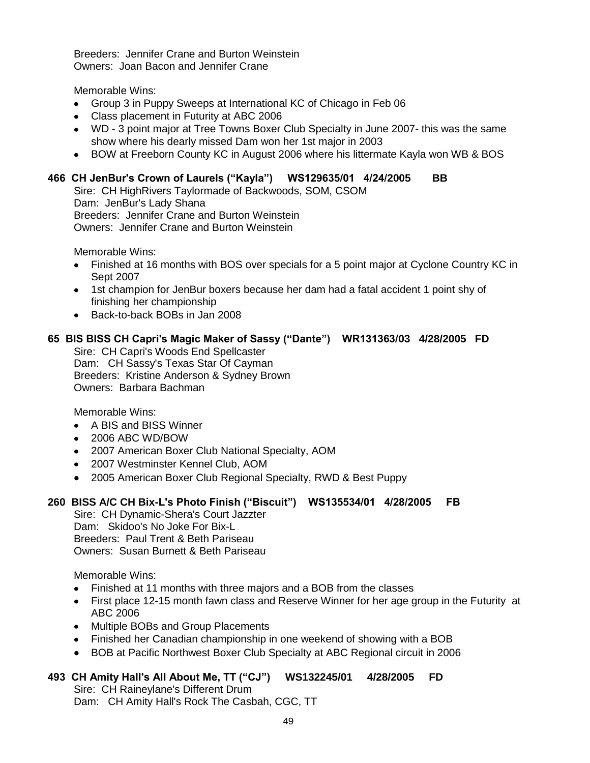Breeders: Jennifer Crane and Burton Weinstein Owners: Joan Bacon and Jennifer Crane

Memorable Wins:

- Group 3 in Puppy Sweeps at International KC of Chicago in Feb 06
- Class placement in Futurity at ABC 2006
- WD 3 point major at Tree Towns Boxer Club Specialty in June 2007- this was the same show where his dearly missed Dam won her 1st major in 2003
- BOW at Freeborn County KC in August 2006 where his littermate Kayla won WB & BOS

# **466 CH JenBur's Crown of Laurels ("Kayla") WS129635/01 4/24/2005 BB**

Sire: CH HighRivers Taylormade of Backwoods, SOM, CSOM Dam: JenBur's Lady Shana Breeders: Jennifer Crane and Burton Weinstein Owners: Jennifer Crane and Burton Weinstein

Memorable Wins:

- Finished at 16 months with BOS over specials for a 5 point major at Cyclone Country KC in Sept 2007
- 1st champion for JenBur boxers because her dam had a fatal accident 1 point shy of finishing her championship
- Back-to-back BOBs in Jan 2008

# **65 BIS BISS CH Capri's Magic Maker of Sassy ("Dante") WR131363/03 4/28/2005 FD**

Sire: CH Capri's Woods End Spellcaster Dam: CH Sassy's Texas Star Of Cayman Breeders: Kristine Anderson & Sydney Brown Owners: Barbara Bachman

Memorable Wins:

- A BIS and BISS Winner
- 2006 ABC WD/BOW
- 2007 American Boxer Club National Specialty, AOM
- 2007 Westminster Kennel Club, AOM
- 2005 American Boxer Club Regional Specialty, RWD & Best Puppy

#### **260 BISS A/C CH Bix-L's Photo Finish ("Biscuit") WS135534/01 4/28/2005 FB**

Sire: CH Dynamic-Shera's Court Jazzter Dam: Skidoo's No Joke For Bix-L Breeders: Paul Trent & Beth Pariseau Owners: Susan Burnett & Beth Pariseau

Memorable Wins:

- Finished at 11 months with three majors and a BOB from the classes
- First place 12-15 month fawn class and Reserve Winner for her age group in the Futurity at ABC 2006
- Multiple BOBs and Group Placements
- Finished her Canadian championship in one weekend of showing with a BOB
- BOB at Pacific Northwest Boxer Club Specialty at ABC Regional circuit in 2006

# **493 CH Amity Hall's All About Me, TT ("CJ") WS132245/01 4/28/2005 FD**

Sire: CH Raineylane's Different Drum Dam: CH Amity Hall's Rock The Casbah, CGC, TT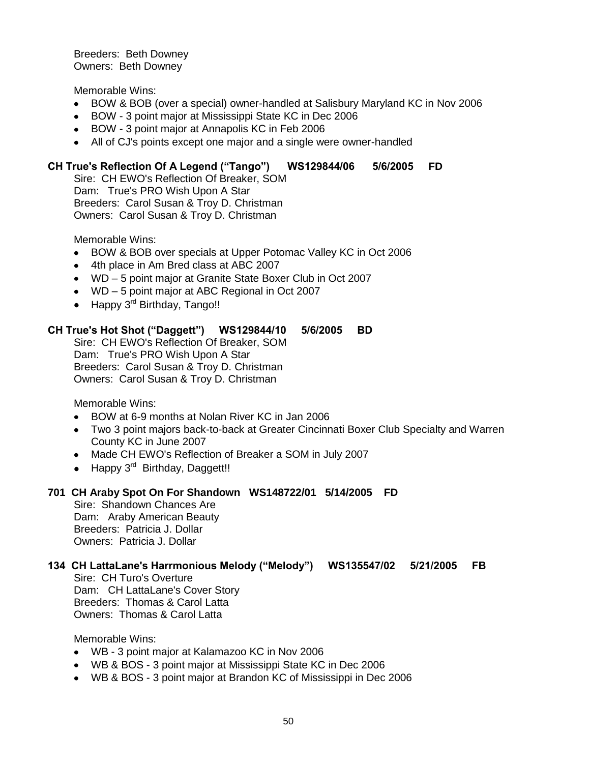Breeders: Beth Downey Owners: Beth Downey

Memorable Wins:

- BOW & BOB (over a special) owner-handled at Salisbury Maryland KC in Nov 2006
- BOW 3 point major at Mississippi State KC in Dec 2006
- BOW 3 point major at Annapolis KC in Feb 2006
- All of CJ's points except one major and a single were owner-handled

# **CH True's Reflection Of A Legend ("Tango") WS129844/06 5/6/2005 FD**

Sire: CH EWO's Reflection Of Breaker, SOM Dam: True's PRO Wish Upon A Star Breeders: Carol Susan & Troy D. Christman Owners: Carol Susan & Troy D. Christman

Memorable Wins:

- BOW & BOB over specials at Upper Potomac Valley KC in Oct 2006  $\bullet$
- 4th place in Am Bred class at ABC 2007
- WD 5 point major at Granite State Boxer Club in Oct 2007
- WD 5 point major at ABC Regional in Oct 2007
- $\bullet$  Happy 3<sup>rd</sup> Birthday, Tango!!

#### **CH True's Hot Shot ("Daggett") WS129844/10 5/6/2005 BD**

Sire: CH EWO's Reflection Of Breaker, SOM Dam: True's PRO Wish Upon A Star Breeders: Carol Susan & Troy D. Christman Owners: Carol Susan & Troy D. Christman

Memorable Wins:

- BOW at 6-9 months at Nolan River KC in Jan 2006
- Two 3 point majors back-to-back at Greater Cincinnati Boxer Club Specialty and Warren County KC in June 2007
- Made CH EWO's Reflection of Breaker a SOM in July 2007
- Happy 3<sup>rd</sup> Birthday, Daggett!!

#### **701 CH Araby Spot On For Shandown WS148722/01 5/14/2005 FD**

Sire: Shandown Chances Are Dam: Araby American Beauty Breeders: Patricia J. Dollar Owners: Patricia J. Dollar

# **134 CH LattaLane's Harrmonious Melody ("Melody") WS135547/02 5/21/2005 FB**

Sire: CH Turo's Overture Dam: CH LattaLane's Cover Story Breeders: Thomas & Carol Latta Owners: Thomas & Carol Latta

- WB 3 point major at Kalamazoo KC in Nov 2006
- WB & BOS 3 point major at Mississippi State KC in Dec 2006
- WB & BOS 3 point major at Brandon KC of Mississippi in Dec 2006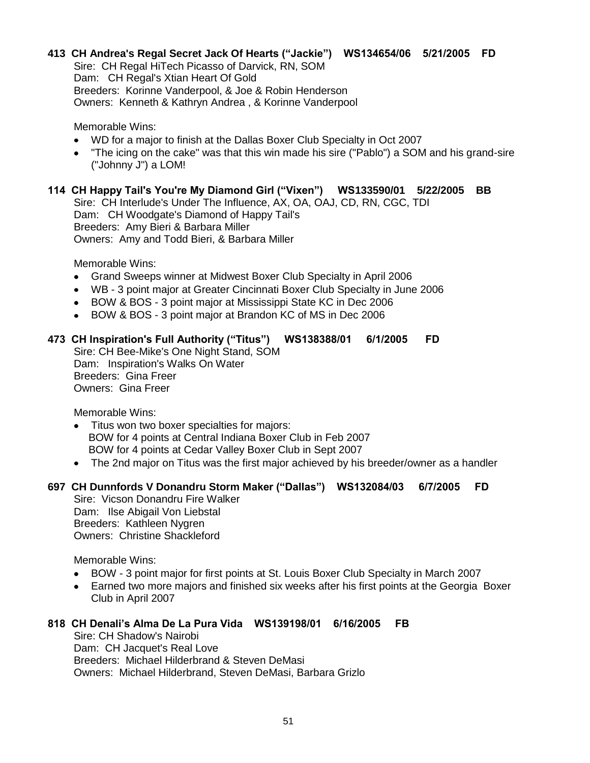# **413 CH Andrea's Regal Secret Jack Of Hearts ("Jackie") WS134654/06 5/21/2005 FD**

Sire: CH Regal HiTech Picasso of Darvick, RN, SOM Dam: CH Regal's Xtian Heart Of Gold Breeders: Korinne Vanderpool, & Joe & Robin Henderson Owners: Kenneth & Kathryn Andrea , & Korinne Vanderpool

Memorable Wins:

- WD for a major to finish at the Dallas Boxer Club Specialty in Oct 2007
- "The icing on the cake" was that this win made his sire ("Pablo") a SOM and his grand-sire ("Johnny J") a LOM!

# **114 CH Happy Tail's You're My Diamond Girl ("Vixen") WS133590/01 5/22/2005 BB**

Sire: CH Interlude's Under The Influence, AX, OA, OAJ, CD, RN, CGC, TDI Dam: CH Woodgate's Diamond of Happy Tail's Breeders: Amy Bieri & Barbara Miller Owners: Amy and Todd Bieri, & Barbara Miller

Memorable Wins:

- Grand Sweeps winner at Midwest Boxer Club Specialty in April 2006  $\bullet$
- WB 3 point major at Greater Cincinnati Boxer Club Specialty in June 2006
- BOW & BOS 3 point major at Mississippi State KC in Dec 2006
- BOW & BOS 3 point major at Brandon KC of MS in Dec 2006

# **473 CH Inspiration's Full Authority ("Titus") WS138388/01 6/1/2005 FD**

Sire: CH Bee-Mike's One Night Stand, SOM Dam: Inspiration's Walks On Water Breeders: Gina Freer Owners: Gina Freer

Memorable Wins:

- Titus won two boxer specialties for majors:  $\bullet$  BOW for 4 points at Central Indiana Boxer Club in Feb 2007 BOW for 4 points at Cedar Valley Boxer Club in Sept 2007
- The 2nd major on Titus was the first major achieved by his breeder/owner as a handler

# **697 CH Dunnfords V Donandru Storm Maker ("Dallas") WS132084/03 6/7/2005 FD**

Sire: Vicson Donandru Fire Walker Dam: Ilse Abigail Von Liebstal Breeders: Kathleen Nygren Owners: Christine Shackleford

Memorable Wins:

- BOW 3 point major for first points at St. Louis Boxer Club Specialty in March 2007  $\bullet$
- Earned two more majors and finished six weeks after his first points at the Georgia Boxer  $\bullet$ Club in April 2007

# **818 CH Denali's Alma De La Pura Vida WS139198/01 6/16/2005 FB**

Sire: CH Shadow's Nairobi Dam: CH Jacquet's Real Love Breeders: Michael Hilderbrand & Steven DeMasi Owners: Michael Hilderbrand, Steven DeMasi, Barbara Grizlo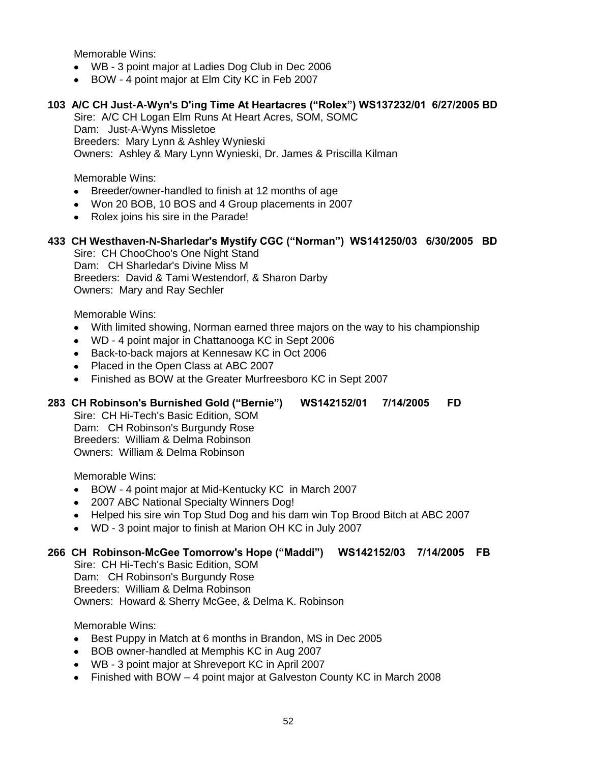- WB 3 point major at Ladies Dog Club in Dec 2006
- BOW 4 point major at Elm City KC in Feb 2007

#### **103 A/C CH Just-A-Wyn's D'ing Time At Heartacres ("Rolex") WS137232/01 6/27/2005 BD**

Sire: A/C CH Logan Elm Runs At Heart Acres, SOM, SOMC Dam: Just-A-Wyns Missletoe Breeders: Mary Lynn & Ashley Wynieski Owners: Ashley & Mary Lynn Wynieski, Dr. James & Priscilla Kilman

Memorable Wins:

- Breeder/owner-handled to finish at 12 months of age  $\bullet$
- Won 20 BOB, 10 BOS and 4 Group placements in 2007
- Rolex joins his sire in the Parade!

# **433 CH Westhaven-N-Sharledar's Mystify CGC ("Norman") WS141250/03 6/30/2005 BD**

Sire: CH ChooChoo's One Night Stand Dam: CH Sharledar's Divine Miss M Breeders: David & Tami Westendorf, & Sharon Darby Owners: Mary and Ray Sechler

Memorable Wins:

- $\bullet$ With limited showing, Norman earned three majors on the way to his championship
- WD 4 point major in Chattanooga KC in Sept 2006
- Back-to-back majors at Kennesaw KC in Oct 2006
- Placed in the Open Class at ABC 2007
- Finished as BOW at the Greater Murfreesboro KC in Sept 2007

#### **283 CH Robinson's Burnished Gold ("Bernie") WS142152/01 7/14/2005 FD**

Sire: CH Hi-Tech's Basic Edition, SOM Dam: CH Robinson's Burgundy Rose Breeders: William & Delma Robinson Owners: William & Delma Robinson

Memorable Wins:

- BOW 4 point major at Mid-Kentucky KC in March 2007  $\bullet$
- $\bullet$ 2007 ABC National Specialty Winners Dog!
- Helped his sire win Top Stud Dog and his dam win Top Brood Bitch at ABC 2007
- WD 3 point major to finish at Marion OH KC in July 2007

#### **266 CH Robinson-McGee Tomorrow's Hope ("Maddi") WS142152/03 7/14/2005 FB**

Sire: CH Hi-Tech's Basic Edition, SOM Dam: CH Robinson's Burgundy Rose Breeders: William & Delma Robinson Owners: Howard & Sherry McGee, & Delma K. Robinson

- Best Puppy in Match at 6 months in Brandon, MS in Dec 2005  $\bullet$
- BOB owner-handled at Memphis KC in Aug 2007
- WB 3 point major at Shreveport KC in April 2007
- Finished with BOW 4 point major at Galveston County KC in March 2008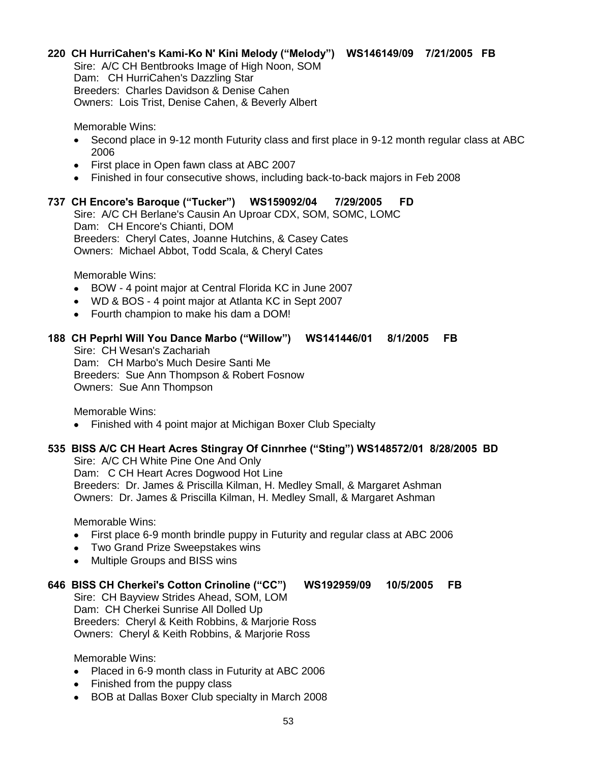#### **220 CH HurriCahen's Kami-Ko N' Kini Melody ("Melody") WS146149/09 7/21/2005 FB**

Sire: A/C CH Bentbrooks Image of High Noon, SOM Dam: CH HurriCahen's Dazzling Star Breeders: Charles Davidson & Denise Cahen Owners: Lois Trist, Denise Cahen, & Beverly Albert

Memorable Wins:

- Second place in 9-12 month Futurity class and first place in 9-12 month regular class at ABC  $\bullet$ 2006
- First place in Open fawn class at ABC 2007
- Finished in four consecutive shows, including back-to-back majors in Feb 2008

#### **737 CH Encore's Baroque ("Tucker") WS159092/04 7/29/2005 FD**

Sire: A/C CH Berlane's Causin An Uproar CDX, SOM, SOMC, LOMC Dam: CH Encore's Chianti, DOM Breeders: Cheryl Cates, Joanne Hutchins, & Casey Cates Owners: Michael Abbot, Todd Scala, & Cheryl Cates

Memorable Wins:

- BOW 4 point major at Central Florida KC in June 2007  $\bullet$
- WD & BOS 4 point major at Atlanta KC in Sept 2007
- Fourth champion to make his dam a DOM!

#### **188 CH Peprhl Will You Dance Marbo ("Willow") WS141446/01 8/1/2005 FB**

Sire: CH Wesan's Zachariah Dam: CH Marbo's Much Desire Santi Me Breeders: Sue Ann Thompson & Robert Fosnow Owners: Sue Ann Thompson

Memorable Wins:

Finished with 4 point major at Michigan Boxer Club Specialty

#### **535 BISS A/C CH Heart Acres Stingray Of Cinnrhee ("Sting") WS148572/01 8/28/2005 BD**

Sire: A/C CH White Pine One And Only Dam: C CH Heart Acres Dogwood Hot Line Breeders: Dr. James & Priscilla Kilman, H. Medley Small, & Margaret Ashman Owners: Dr. James & Priscilla Kilman, H. Medley Small, & Margaret Ashman

Memorable Wins:

- First place 6-9 month brindle puppy in Futurity and regular class at ABC 2006
- Two Grand Prize Sweepstakes wins
- Multiple Groups and BISS wins

#### **646 BISS CH Cherkei's Cotton Crinoline ("CC") WS192959/09 10/5/2005 FB**

Sire: CH Bayview Strides Ahead, SOM, LOM Dam: CH Cherkei Sunrise All Dolled Up Breeders: Cheryl & Keith Robbins, & Marjorie Ross Owners: Cheryl & Keith Robbins, & Marjorie Ross

- Placed in 6-9 month class in Futurity at ABC 2006
- Finished from the puppy class
- BOB at Dallas Boxer Club specialty in March 2008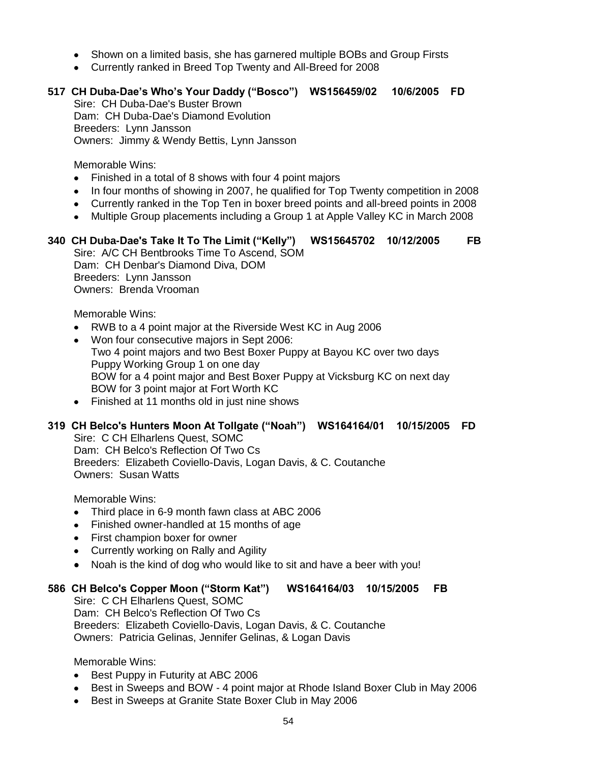- Shown on a limited basis, she has garnered multiple BOBs and Group Firsts
- Currently ranked in Breed Top Twenty and All-Breed for 2008

# **517 CH Duba-Dae's Who's Your Daddy ("Bosco") WS156459/02 10/6/2005 FD**

Sire: CH Duba-Dae's Buster Brown Dam: CH Duba-Dae's Diamond Evolution Breeders: Lynn Jansson Owners: Jimmy & Wendy Bettis, Lynn Jansson

Memorable Wins:

- Finished in a total of 8 shows with four 4 point majors
- In four months of showing in 2007, he qualified for Top Twenty competition in 2008
- Currently ranked in the Top Ten in boxer breed points and all-breed points in 2008
- Multiple Group placements including a Group 1 at Apple Valley KC in March 2008

# **340 CH Duba-Dae's Take It To The Limit ("Kelly") WS15645702 10/12/2005 FB**

Sire: A/C CH Bentbrooks Time To Ascend, SOM Dam: CH Denbar's Diamond Diva, DOM Breeders: Lynn Jansson Owners: Brenda Vrooman

Memorable Wins:

- RWB to a 4 point major at the Riverside West KC in Aug 2006
- Won four consecutive majors in Sept 2006: Two 4 point majors and two Best Boxer Puppy at Bayou KC over two days Puppy Working Group 1 on one day BOW for a 4 point major and Best Boxer Puppy at Vicksburg KC on next day BOW for 3 point major at Fort Worth KC
- Finished at 11 months old in just nine shows

#### **319 CH Belco's Hunters Moon At Tollgate ("Noah") WS164164/01 10/15/2005 FD**

Sire: C CH Elharlens Quest, SOMC Dam: CH Belco's Reflection Of Two Cs Breeders: Elizabeth Coviello-Davis, Logan Davis, & C. Coutanche Owners: Susan Watts

Memorable Wins:

- Third place in 6-9 month fawn class at ABC 2006
- Finished owner-handled at 15 months of age
- First champion boxer for owner
- Currently working on Rally and Agility
- Noah is the kind of dog who would like to sit and have a beer with you!

#### **586 CH Belco's Copper Moon ("Storm Kat") WS164164/03 10/15/2005 FB**

Sire: C CH Elharlens Quest, SOMC Dam: CH Belco's Reflection Of Two Cs Breeders: Elizabeth Coviello-Davis, Logan Davis, & C. Coutanche Owners: Patricia Gelinas, Jennifer Gelinas, & Logan Davis

- Best Puppy in Futurity at ABC 2006
- Best in Sweeps and BOW 4 point major at Rhode Island Boxer Club in May 2006
- Best in Sweeps at Granite State Boxer Club in May 2006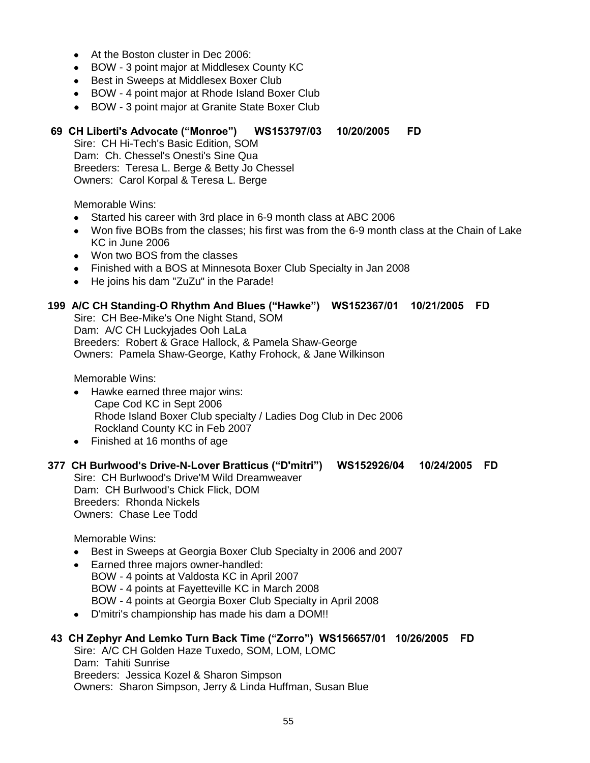- At the Boston cluster in Dec 2006:
- BOW 3 point major at Middlesex County KC
- Best in Sweeps at Middlesex Boxer Club
- BOW 4 point major at Rhode Island Boxer Club
- BOW 3 point major at Granite State Boxer Club

#### **69 CH Liberti's Advocate ("Monroe") WS153797/03 10/20/2005 FD**

Sire: CH Hi-Tech's Basic Edition, SOM Dam: Ch. Chessel's Onesti's Sine Qua Breeders: Teresa L. Berge & Betty Jo Chessel Owners: Carol Korpal & Teresa L. Berge

Memorable Wins:

- Started his career with 3rd place in 6-9 month class at ABC 2006
- Won five BOBs from the classes; his first was from the 6-9 month class at the Chain of Lake KC in June 2006
- Won two BOS from the classes
- Finished with a BOS at Minnesota Boxer Club Specialty in Jan 2008
- He joins his dam "ZuZu" in the Parade!

#### **199 A/C CH Standing-O Rhythm And Blues ("Hawke") WS152367/01 10/21/2005 FD**

Sire: CH Bee-Mike's One Night Stand, SOM Dam: A/C CH Luckyjades Ooh LaLa Breeders: Robert & Grace Hallock, & Pamela Shaw-George Owners: Pamela Shaw-George, Kathy Frohock, & Jane Wilkinson

Memorable Wins:

- Hawke earned three major wins: Cape Cod KC in Sept 2006 Rhode Island Boxer Club specialty / Ladies Dog Club in Dec 2006 Rockland County KC in Feb 2007
- Finished at 16 months of age

#### **377 CH Burlwood's Drive-N-Lover Bratticus ("D'mitri") WS152926/04 10/24/2005 FD**

Sire: CH Burlwood's Drive'M Wild Dreamweaver Dam: CH Burlwood's Chick Flick, DOM Breeders: Rhonda Nickels Owners: Chase Lee Todd

Memorable Wins:

- Best in Sweeps at Georgia Boxer Club Specialty in 2006 and 2007
- Earned three majors owner-handled:  $\bullet$  BOW - 4 points at Valdosta KC in April 2007 BOW - 4 points at Fayetteville KC in March 2008 BOW - 4 points at Georgia Boxer Club Specialty in April 2008
- D'mitri's championship has made his dam a DOM!!  $\bullet$

#### **43 CH Zephyr And Lemko Turn Back Time ("Zorro") WS156657/01 10/26/2005 FD**

Sire: A/C CH Golden Haze Tuxedo, SOM, LOM, LOMC Dam: Tahiti Sunrise Breeders: Jessica Kozel & Sharon Simpson Owners: Sharon Simpson, Jerry & Linda Huffman, Susan Blue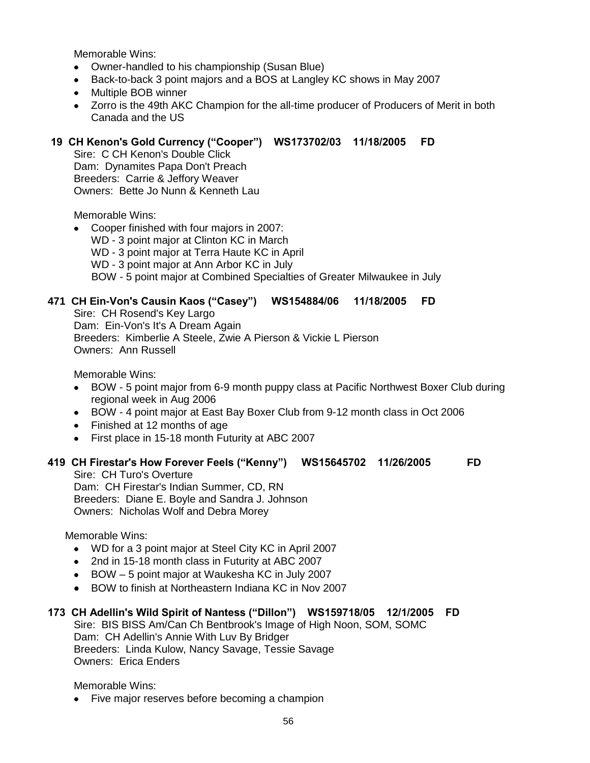- Owner-handled to his championship (Susan Blue)
- Back-to-back 3 point majors and a BOS at Langley KC shows in May 2007
- Multiple BOB winner
- Zorro is the 49th AKC Champion for the all-time producer of Producers of Merit in both Canada and the US

# **19 CH Kenon's Gold Currency ("Cooper") WS173702/03 11/18/2005 FD**

Sire: C CH Kenon's Double Click Dam: Dynamites Papa Don't Preach Breeders: Carrie & Jeffory Weaver Owners: Bette Jo Nunn & Kenneth Lau

Memorable Wins:

- Cooper finished with four majors in 2007:
	- WD 3 point major at Clinton KC in March
	- WD 3 point major at Terra Haute KC in April
	- WD 3 point major at Ann Arbor KC in July

BOW - 5 point major at Combined Specialties of Greater Milwaukee in July

# **471 CH Ein-Von's Causin Kaos ("Casey") WS154884/06 11/18/2005 FD**

Sire: CH Rosend's Key Largo Dam: Ein-Von's It's A Dream Again Breeders: Kimberlie A Steele, Zwie A Pierson & Vickie L Pierson Owners: Ann Russell

Memorable Wins:

- BOW 5 point major from 6-9 month puppy class at Pacific Northwest Boxer Club during  $\bullet$ regional week in Aug 2006
- BOW 4 point major at East Bay Boxer Club from 9-12 month class in Oct 2006
- Finished at 12 months of age
- First place in 15-18 month Futurity at ABC 2007

#### **419 CH Firestar's How Forever Feels ("Kenny") WS15645702 11/26/2005 FD**

Sire: CH Turo's Overture Dam: CH Firestar's Indian Summer, CD, RN Breeders: Diane E. Boyle and Sandra J. Johnson Owners: Nicholas Wolf and Debra Morey

Memorable Wins:

- WD for a 3 point major at Steel City KC in April 2007
- 2nd in 15-18 month class in Futurity at ABC 2007
- BOW 5 point major at Waukesha KC in July 2007
- BOW to finish at Northeastern Indiana KC in Nov 2007

# **173 CH Adellin's Wild Spirit of Nantess ("Dillon") WS159718/05 12/1/2005 FD**

Sire: BIS BISS Am/Can Ch Bentbrook's Image of High Noon, SOM, SOMC Dam: CH Adellin's Annie With Luv By Bridger Breeders: Linda Kulow, Nancy Savage, Tessie Savage Owners: Erica Enders

Memorable Wins:

• Five major reserves before becoming a champion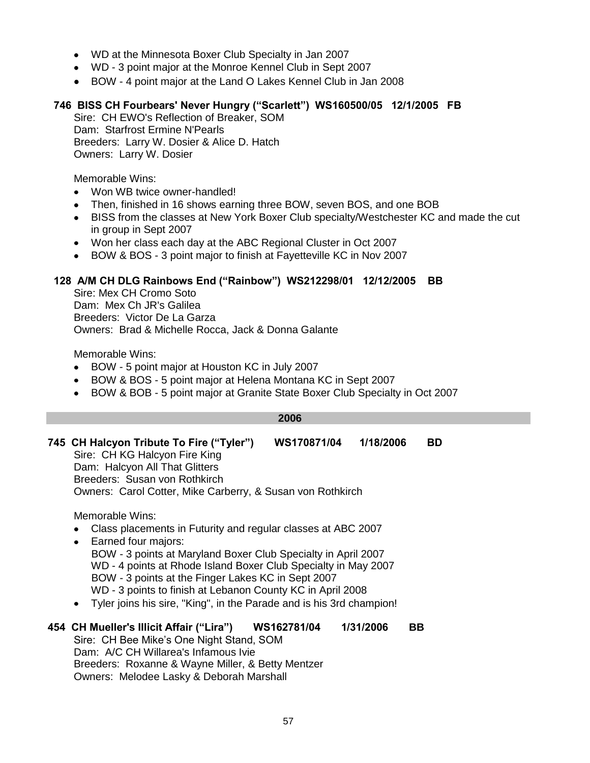- WD at the Minnesota Boxer Club Specialty in Jan 2007
- WD 3 point major at the Monroe Kennel Club in Sept 2007
- BOW 4 point major at the Land O Lakes Kennel Club in Jan 2008

# **746 BISS CH Fourbears' Never Hungry ("Scarlett") WS160500/05 12/1/2005 FB**

Sire: CH EWO's Reflection of Breaker, SOM Dam: Starfrost Ermine N'Pearls Breeders: Larry W. Dosier & Alice D. Hatch Owners: Larry W. Dosier

Memorable Wins:

- Won WB twice owner-handled!
- Then, finished in 16 shows earning three BOW, seven BOS, and one BOB  $\bullet$
- BISS from the classes at New York Boxer Club specialty/Westchester KC and made the cut  $\bullet$ in group in Sept 2007
- Won her class each day at the ABC Regional Cluster in Oct 2007
- BOW & BOS 3 point major to finish at Fayetteville KC in Nov 2007

#### **128 A/M CH DLG Rainbows End ("Rainbow") WS212298/01 12/12/2005 BB**

Sire: Mex CH Cromo Soto Dam: Mex Ch JR's Galilea Breeders: Victor De La Garza Owners: Brad & Michelle Rocca, Jack & Donna Galante

Memorable Wins:

- BOW 5 point major at Houston KC in July 2007  $\bullet$
- $\bullet$ BOW & BOS - 5 point major at Helena Montana KC in Sept 2007
- BOW & BOB 5 point major at Granite State Boxer Club Specialty in Oct 2007  $\bullet$

#### **2006**

#### **745 CH Halcyon Tribute To Fire ("Tyler") WS170871/04 1/18/2006 BD** Sire: CH KG Halcyon Fire King Dam: Halcyon All That Glitters Breeders: Susan von Rothkirch Owners: Carol Cotter, Mike Carberry, & Susan von Rothkirch

Memorable Wins:

- Class placements in Futurity and regular classes at ABC 2007
- Earned four majors:  $\bullet$  BOW - 3 points at Maryland Boxer Club Specialty in April 2007 WD - 4 points at Rhode Island Boxer Club Specialty in May 2007 BOW - 3 points at the Finger Lakes KC in Sept 2007 WD - 3 points to finish at Lebanon County KC in April 2008
- Tyler joins his sire, "King", in the Parade and is his 3rd champion!

#### **454 CH Mueller's Illicit Affair ("Lira") WS162781/04 1/31/2006 BB** Sire: CH Bee Mike's One Night Stand, SOM Dam: A/C CH Willarea's Infamous Ivie Breeders: Roxanne & Wayne Miller, & Betty Mentzer Owners: Melodee Lasky & Deborah Marshall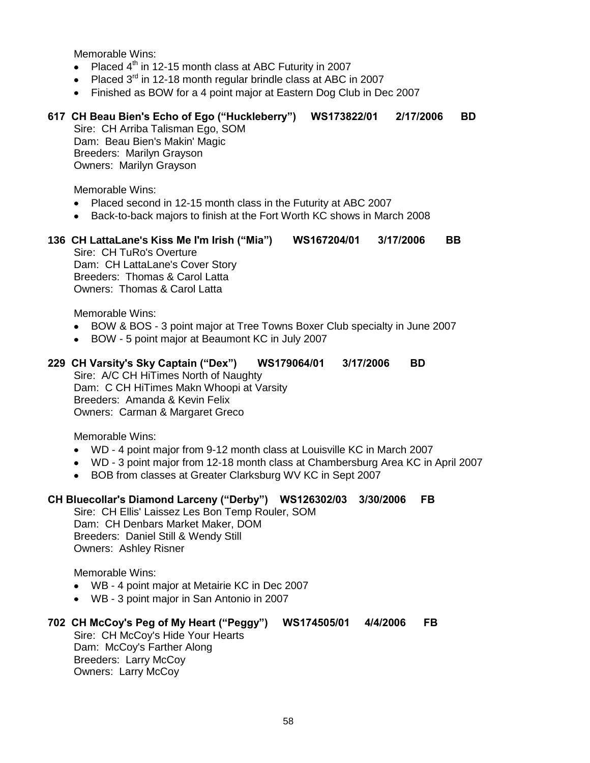- Placed  $4<sup>th</sup>$  in 12-15 month class at ABC Futurity in 2007
- Placed  $3<sup>rd</sup>$  in 12-18 month regular brindle class at ABC in 2007
- Finished as BOW for a 4 point major at Eastern Dog Club in Dec 2007

# **617 CH Beau Bien's Echo of Ego ("Huckleberry") WS173822/01 2/17/2006 BD**

Sire: CH Arriba Talisman Ego, SOM Dam: Beau Bien's Makin' Magic Breeders: Marilyn Grayson Owners: Marilyn Grayson

Memorable Wins:

- Placed second in 12-15 month class in the Futurity at ABC 2007
- Back-to-back majors to finish at the Fort Worth KC shows in March 2008
- **136 CH LattaLane's Kiss Me I'm Irish ("Mia") WS167204/01 3/17/2006 BB** Sire: CH TuRo's Overture Dam: CH LattaLane's Cover Story Breeders: Thomas & Carol Latta Owners: Thomas & Carol Latta

Memorable Wins:

- BOW & BOS 3 point major at Tree Towns Boxer Club specialty in June 2007
- BOW 5 point major at Beaumont KC in July 2007
- **229 CH Varsity's Sky Captain ("Dex") WS179064/01 3/17/2006 BD**

Sire: A/C CH HiTimes North of Naughty Dam: C CH HiTimes Makn Whoopi at Varsity Breeders: Amanda & Kevin Felix Owners: Carman & Margaret Greco

Memorable Wins:

- WD 4 point major from 9-12 month class at Louisville KC in March 2007
- WD 3 point major from 12-18 month class at Chambersburg Area KC in April 2007
- BOB from classes at Greater Clarksburg WV KC in Sept 2007

#### **CH Bluecollar's Diamond Larceny ("Derby") WS126302/03 3/30/2006 FB**

Sire: CH Ellis' Laissez Les Bon Temp Rouler, SOM Dam: CH Denbars Market Maker, DOM Breeders: Daniel Still & Wendy Still Owners: Ashley Risner

Memorable Wins:

- WB 4 point major at Metairie KC in Dec 2007
- WB 3 point major in San Antonio in 2007

#### **702 CH McCoy's Peg of My Heart ("Peggy") WS174505/01 4/4/2006 FB** Sire: CH McCoy's Hide Your Hearts Dam: McCoy's Farther Along

Breeders: Larry McCoy Owners: Larry McCoy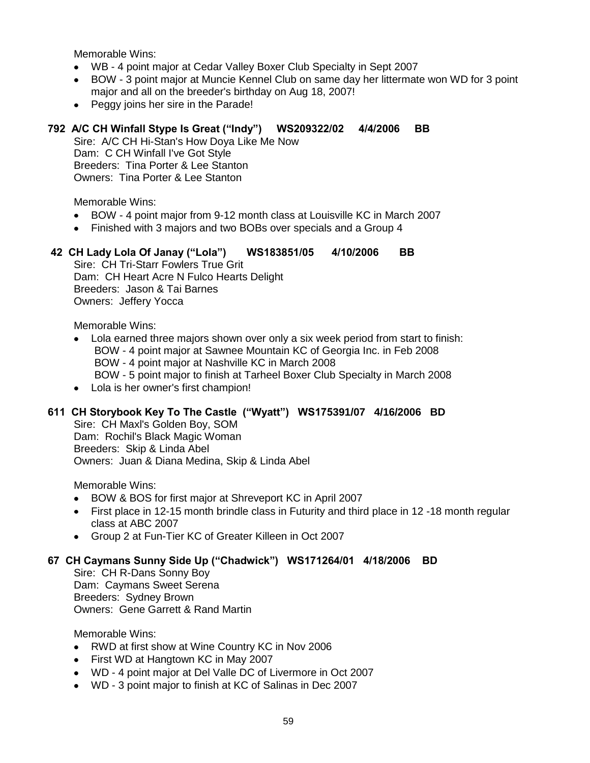- WB 4 point major at Cedar Valley Boxer Club Specialty in Sept 2007
- BOW 3 point major at Muncie Kennel Club on same day her littermate won WD for 3 point  $\bullet$ major and all on the breeder's birthday on Aug 18, 2007!
- $\bullet$ Peggy joins her sire in the Parade!

# **792 A/C CH Winfall Stype Is Great ("Indy") WS209322/02 4/4/2006 BB**

Sire: A/C CH Hi-Stan's How Doya Like Me Now Dam: C CH Winfall I've Got Style Breeders: Tina Porter & Lee Stanton Owners: Tina Porter & Lee Stanton

Memorable Wins:

- BOW 4 point major from 9-12 month class at Louisville KC in March 2007  $\bullet$
- $\bullet$ Finished with 3 majors and two BOBs over specials and a Group 4

## **42 CH Lady Lola Of Janay ("Lola") WS183851/05 4/10/2006 BB**

Sire: CH Tri-Starr Fowlers True Grit Dam: CH Heart Acre N Fulco Hearts Delight Breeders: Jason & Tai Barnes Owners: Jeffery Yocca

Memorable Wins:

- Lola earned three majors shown over only a six week period from start to finish: BOW - 4 point major at Sawnee Mountain KC of Georgia Inc. in Feb 2008 BOW - 4 point major at Nashville KC in March 2008 BOW - 5 point major to finish at Tarheel Boxer Club Specialty in March 2008
- Lola is her owner's first champion!

#### **611 CH Storybook Key To The Castle ("Wyatt") WS175391/07 4/16/2006 BD**

Sire: CH Maxl's Golden Boy, SOM Dam: Rochil's Black Magic Woman Breeders: Skip & Linda Abel Owners: Juan & Diana Medina, Skip & Linda Abel

Memorable Wins:

- BOW & BOS for first major at Shreveport KC in April 2007
- $\bullet$ First place in 12-15 month brindle class in Futurity and third place in 12 -18 month regular class at ABC 2007
- Group 2 at Fun-Tier KC of Greater Killeen in Oct 2007

#### **67 CH Caymans Sunny Side Up ("Chadwick") WS171264/01 4/18/2006 BD**

Sire: CH R-Dans Sonny Boy Dam: Caymans Sweet Serena Breeders: Sydney Brown Owners: Gene Garrett & Rand Martin

- RWD at first show at Wine Country KC in Nov 2006  $\bullet$
- First WD at Hangtown KC in May 2007
- WD 4 point major at Del Valle DC of Livermore in Oct 2007  $\bullet$
- WD 3 point major to finish at KC of Salinas in Dec 2007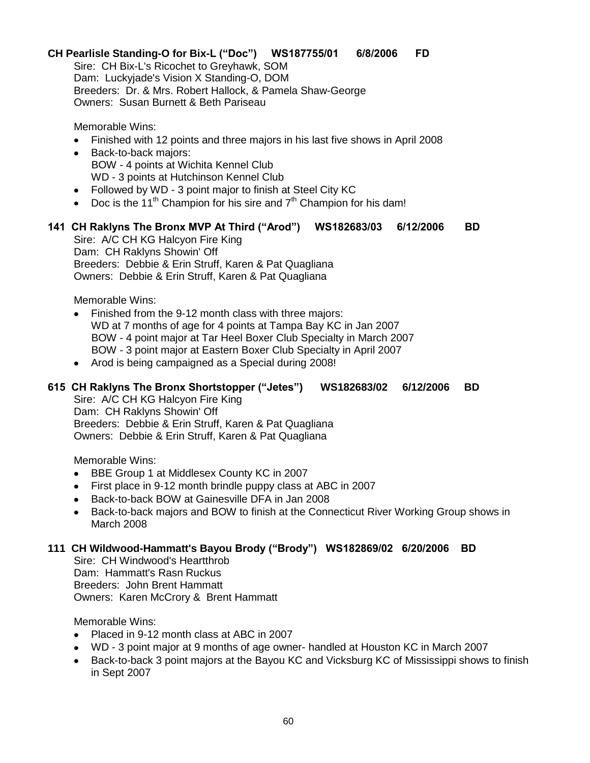# **CH Pearlisle Standing-O for Bix-L ("Doc") WS187755/01 6/8/2006 FD**

Sire: CH Bix-L's Ricochet to Greyhawk, SOM Dam: Luckyjade's Vision X Standing-O, DOM Breeders: Dr. & Mrs. Robert Hallock, & Pamela Shaw-George Owners: Susan Burnett & Beth Pariseau

Memorable Wins:

- Finished with 12 points and three majors in his last five shows in April 2008
- Back-to-back majors: BOW - 4 points at Wichita Kennel Club WD - 3 points at Hutchinson Kennel Club
- Followed by WD 3 point major to finish at Steel City KC
- Doc is the 11<sup>th</sup> Champion for his sire and  $7<sup>th</sup>$  Champion for his dam!

#### **141 CH Raklyns The Bronx MVP At Third ("Arod") WS182683/03 6/12/2006 BD**

Sire: A/C CH KG Halcyon Fire King Dam: CH Raklyns Showin' Off Breeders: Debbie & Erin Struff, Karen & Pat Quagliana Owners: Debbie & Erin Struff, Karen & Pat Quagliana

Memorable Wins:

- Finished from the 9-12 month class with three majors: WD at 7 months of age for 4 points at Tampa Bay KC in Jan 2007 BOW - 4 point major at Tar Heel Boxer Club Specialty in March 2007 BOW - 3 point major at Eastern Boxer Club Specialty in April 2007
- Arod is being campaigned as a Special during 2008!

#### **615 CH Raklyns The Bronx Shortstopper ("Jetes") WS182683/02 6/12/2006 BD**

Sire: A/C CH KG Halcyon Fire King Dam: CH Raklyns Showin' Off Breeders: Debbie & Erin Struff, Karen & Pat Quagliana Owners: Debbie & Erin Struff, Karen & Pat Quagliana

Memorable Wins:

- BBE Group 1 at Middlesex County KC in 2007
- First place in 9-12 month brindle puppy class at ABC in 2007
- Back-to-back BOW at Gainesville DFA in Jan 2008  $\bullet$
- $\bullet$ Back-to-back majors and BOW to finish at the Connecticut River Working Group shows in March 2008

#### **111 CH Wildwood-Hammatt's Bayou Brody ("Brody") WS182869/02 6/20/2006 BD**

Sire: CH Windwood's Heartthrob Dam: Hammatt's Rasn Ruckus Breeders: John Brent Hammatt Owners: Karen McCrory & Brent Hammatt

- Placed in 9-12 month class at ABC in 2007
- WD 3 point major at 9 months of age owner- handled at Houston KC in March 2007
- Back-to-back 3 point majors at the Bayou KC and Vicksburg KC of Mississippi shows to finish in Sept 2007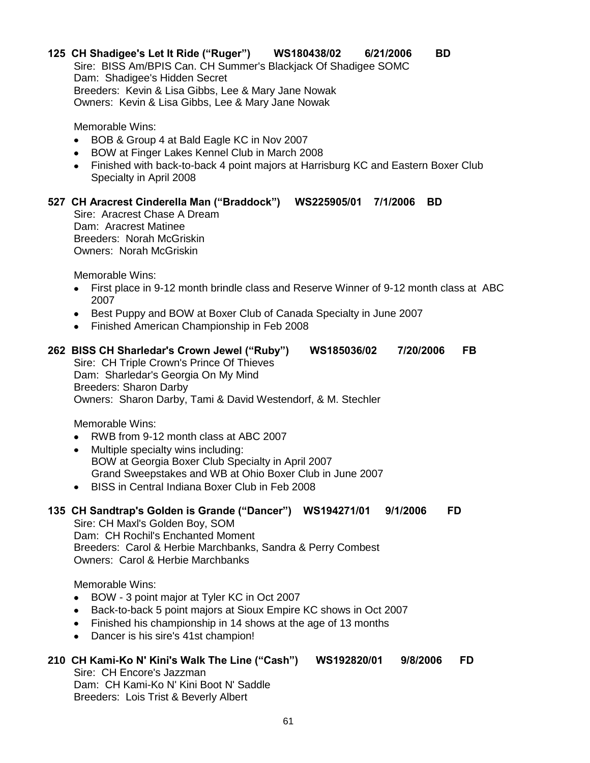# **125 CH Shadigee's Let It Ride ("Ruger") WS180438/02 6/21/2006 BD**

Sire: BISS Am/BPIS Can. CH Summer's Blackjack Of Shadigee SOMC Dam: Shadigee's Hidden Secret Breeders: Kevin & Lisa Gibbs, Lee & Mary Jane Nowak Owners: Kevin & Lisa Gibbs, Lee & Mary Jane Nowak

Memorable Wins:

- BOB & Group 4 at Bald Eagle KC in Nov 2007
- BOW at Finger Lakes Kennel Club in March 2008
- Finished with back-to-back 4 point majors at Harrisburg KC and Eastern Boxer Club Specialty in April 2008

# **527 CH Aracrest Cinderella Man ("Braddock") WS225905/01 7/1/2006 BD**

Sire: Aracrest Chase A Dream Dam: Aracrest Matinee Breeders: Norah McGriskin Owners: Norah McGriskin

Memorable Wins:

- First place in 9-12 month brindle class and Reserve Winner of 9-12 month class at ABC 2007
- Best Puppy and BOW at Boxer Club of Canada Specialty in June 2007
- Finished American Championship in Feb 2008

#### **262 BISS CH Sharledar's Crown Jewel ("Ruby") WS185036/02 7/20/2006 FB**

Sire: CH Triple Crown's Prince Of Thieves Dam: Sharledar's Georgia On My Mind Breeders: Sharon Darby Owners: Sharon Darby, Tami & David Westendorf, & M. Stechler

Memorable Wins:

- RWB from 9-12 month class at ABC 2007
- Multiple specialty wins including:  $\bullet$  BOW at Georgia Boxer Club Specialty in April 2007 Grand Sweepstakes and WB at Ohio Boxer Club in June 2007
- BISS in Central Indiana Boxer Club in Feb 2008

#### **135 CH Sandtrap's Golden is Grande ("Dancer") WS194271/01 9/1/2006 FD**

Sire: CH Maxl's Golden Boy, SOM Dam: CH Rochil's Enchanted Moment Breeders: Carol & Herbie Marchbanks, Sandra & Perry Combest Owners: Carol & Herbie Marchbanks

Memorable Wins:

- $\bullet$ BOW - 3 point major at Tyler KC in Oct 2007
- Back-to-back 5 point majors at Sioux Empire KC shows in Oct 2007
- Finished his championship in 14 shows at the age of 13 months
- Dancer is his sire's 41st champion!  $\bullet$

#### **210 CH Kami-Ko N' Kini's Walk The Line ("Cash") WS192820/01 9/8/2006 FD**

Sire: CH Encore's Jazzman Dam: CH Kami-Ko N' Kini Boot N' Saddle Breeders: Lois Trist & Beverly Albert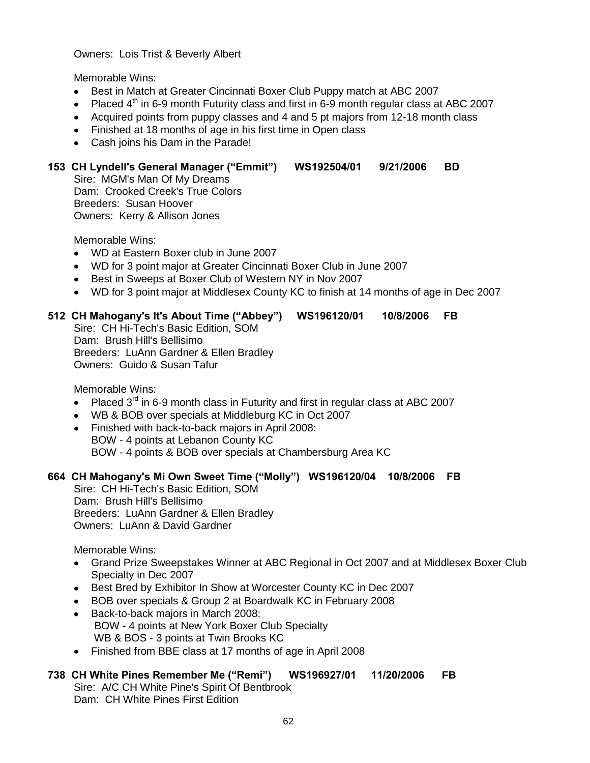Owners: Lois Trist & Beverly Albert

Memorable Wins:

- $\bullet$ Best in Match at Greater Cincinnati Boxer Club Puppy match at ABC 2007
- Placed  $4<sup>th</sup>$  in 6-9 month Futurity class and first in 6-9 month regular class at ABC 2007  $\bullet$
- Acquired points from puppy classes and 4 and 5 pt majors from 12-18 month class
- Finished at 18 months of age in his first time in Open class
- Cash joins his Dam in the Parade!

## **153 CH Lyndell's General Manager ("Emmit") WS192504/01 9/21/2006 BD**

Sire: MGM's Man Of My Dreams Dam: Crooked Creek's True Colors Breeders: Susan Hoover Owners: Kerry & Allison Jones

Memorable Wins:

- WD at Eastern Boxer club in June 2007
- WD for 3 point major at Greater Cincinnati Boxer Club in June 2007
- Best in Sweeps at Boxer Club of Western NY in Nov 2007
- WD for 3 point major at Middlesex County KC to finish at 14 months of age in Dec 2007

# **512 CH Mahogany's It's About Time ("Abbey") WS196120/01 10/8/2006 FB**

Sire: CH Hi-Tech's Basic Edition, SOM Dam: Brush Hill's Bellisimo Breeders: LuAnn Gardner & Ellen Bradley Owners: Guido & Susan Tafur

Memorable Wins:

- Placed  $3<sup>rd</sup>$  in 6-9 month class in Futurity and first in regular class at ABC 2007
- WB & BOB over specials at Middleburg KC in Oct 2007
- Finished with back-to-back majors in April 2008: BOW - 4 points at Lebanon County KC BOW - 4 points & BOB over specials at Chambersburg Area KC
- 

# **664 CH Mahogany's Mi Own Sweet Time ("Molly") WS196120/04 10/8/2006 FB**

Sire: CH Hi-Tech's Basic Edition, SOM Dam: Brush Hill's Bellisimo Breeders: LuAnn Gardner & Ellen Bradley Owners: LuAnn & David Gardner

Memorable Wins:

- Grand Prize Sweepstakes Winner at ABC Regional in Oct 2007 and at Middlesex Boxer Club Specialty in Dec 2007
- Best Bred by Exhibitor In Show at Worcester County KC in Dec 2007
- BOB over specials & Group 2 at Boardwalk KC in February 2008
- $\bullet$ Back-to-back majors in March 2008: BOW - 4 points at New York Boxer Club Specialty WB & BOS - 3 points at Twin Brooks KC
- Finished from BBE class at 17 months of age in April 2008

# **738 CH White Pines Remember Me ("Remi") WS196927/01 11/20/2006 FB**

Sire: A/C CH White Pine's Spirit Of Bentbrook Dam: CH White Pines First Edition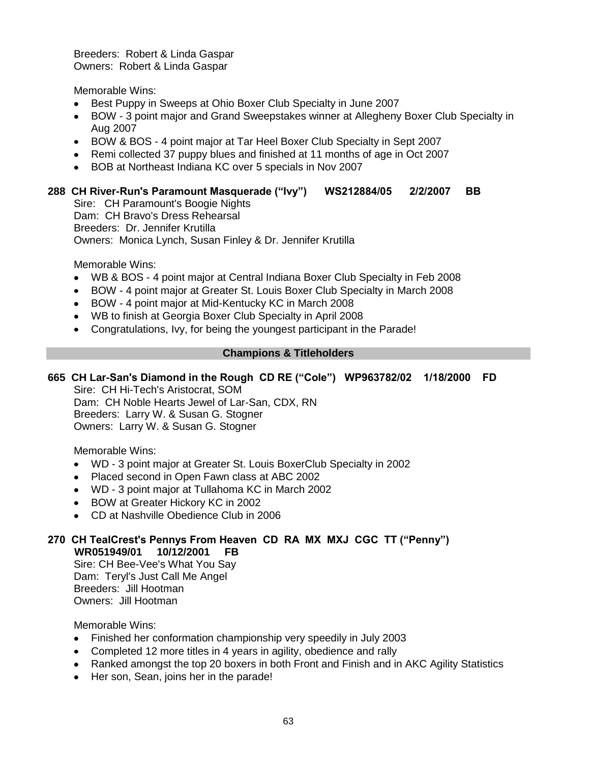Breeders: Robert & Linda Gaspar Owners: Robert & Linda Gaspar

Memorable Wins:

- Best Puppy in Sweeps at Ohio Boxer Club Specialty in June 2007
- $\bullet$ BOW - 3 point major and Grand Sweepstakes winner at Allegheny Boxer Club Specialty in Aug 2007
- BOW & BOS 4 point major at Tar Heel Boxer Club Specialty in Sept 2007
- Remi collected 37 puppy blues and finished at 11 months of age in Oct 2007
- $\bullet$ BOB at Northeast Indiana KC over 5 specials in Nov 2007

#### **288 CH River-Run's Paramount Masquerade ("Ivy") WS212884/05 2/2/2007 BB**

Sire: CH Paramount's Boogie Nights Dam: CH Bravo's Dress Rehearsal Breeders: Dr. Jennifer Krutilla Owners: Monica Lynch, Susan Finley & Dr. Jennifer Krutilla

Memorable Wins:

- WB & BOS 4 point major at Central Indiana Boxer Club Specialty in Feb 2008  $\bullet$
- $\bullet$ BOW - 4 point major at Greater St. Louis Boxer Club Specialty in March 2008
- BOW 4 point major at Mid-Kentucky KC in March 2008  $\bullet$
- WB to finish at Georgia Boxer Club Specialty in April 2008
- Congratulations, Ivy, for being the youngest participant in the Parade!

#### **Champions & Titleholders**

# **665 CH Lar-San's Diamond in the Rough CD RE ("Cole") WP963782/02 1/18/2000 FD**

Sire: CH Hi-Tech's Aristocrat, SOM Dam: CH Noble Hearts Jewel of Lar-San, CDX, RN Breeders: Larry W. & Susan G. Stogner Owners: Larry W. & Susan G. Stogner

Memorable Wins:

- WD 3 point major at Greater St. Louis BoxerClub Specialty in 2002
- Placed second in Open Fawn class at ABC 2002
- WD 3 point major at Tullahoma KC in March 2002
- BOW at Greater Hickory KC in 2002
- CD at Nashville Obedience Club in 2006

#### **270 CH TealCrest's Pennys From Heaven CD RA MX MXJ CGC TT ("Penny") WR051949/01 10/12/2001 FB**

Sire: CH Bee-Vee's What You Say Dam: Teryl's Just Call Me Angel Breeders: Jill Hootman Owners: Jill Hootman

- Finished her conformation championship very speedily in July 2003
- Completed 12 more titles in 4 years in agility, obedience and rally
- Ranked amongst the top 20 boxers in both Front and Finish and in AKC Agility Statistics
- $\bullet$ Her son, Sean, joins her in the parade!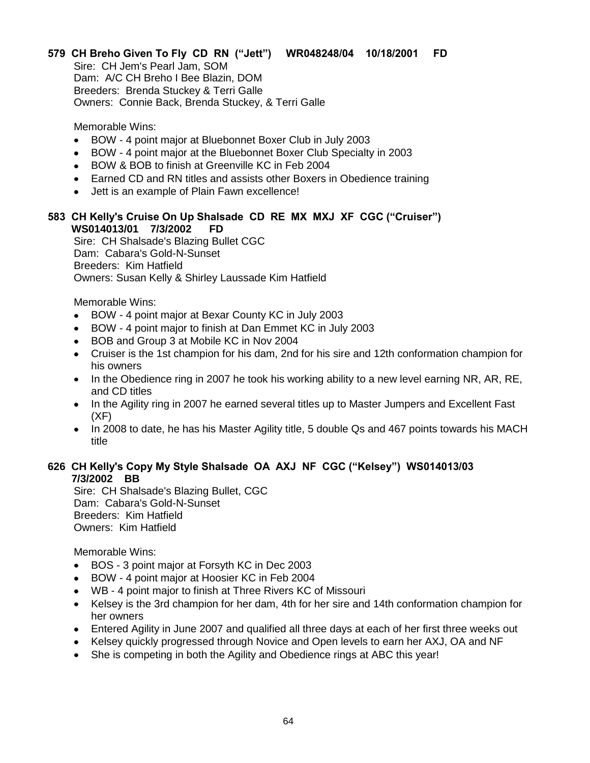# **579 CH Breho Given To Fly CD RN ("Jett") WR048248/04 10/18/2001 FD**

Sire: CH Jem's Pearl Jam, SOM Dam: A/C CH Breho I Bee Blazin, DOM Breeders: Brenda Stuckey & Terri Galle Owners: Connie Back, Brenda Stuckey, & Terri Galle

Memorable Wins:

- BOW 4 point major at Bluebonnet Boxer Club in July 2003  $\bullet$
- BOW 4 point major at the Bluebonnet Boxer Club Specialty in 2003  $\bullet$
- BOW & BOB to finish at Greenville KC in Feb 2004
- Earned CD and RN titles and assists other Boxers in Obedience training
- Jett is an example of Plain Fawn excellence!

## **583 CH Kelly's Cruise On Up Shalsade CD RE MX MXJ XF CGC ("Cruiser") WS014013/01 7/3/2002 FD**

Sire: CH Shalsade's Blazing Bullet CGC Dam: Cabara's Gold-N-Sunset Breeders: Kim Hatfield Owners: Susan Kelly & Shirley Laussade Kim Hatfield

Memorable Wins:

- BOW 4 point major at Bexar County KC in July 2003
- BOW 4 point major to finish at Dan Emmet KC in July 2003  $\bullet$
- BOB and Group 3 at Mobile KC in Nov 2004  $\bullet$
- Cruiser is the 1st champion for his dam, 2nd for his sire and 12th conformation champion for his owners
- In the Obedience ring in 2007 he took his working ability to a new level earning NR, AR, RE, and CD titles
- In the Agility ring in 2007 he earned several titles up to Master Jumpers and Excellent Fast (XF)
- In 2008 to date, he has his Master Agility title, 5 double Qs and 467 points towards his MACH title

# **626 CH Kelly's Copy My Style Shalsade OA AXJ NF CGC ("Kelsey") WS014013/03 7/3/2002 BB**

Sire: CH Shalsade's Blazing Bullet, CGC Dam: Cabara's Gold-N-Sunset Breeders: Kim Hatfield Owners: Kim Hatfield

- BOS 3 point major at Forsyth KC in Dec 2003  $\bullet$
- BOW 4 point major at Hoosier KC in Feb 2004  $\bullet$
- WB 4 point major to finish at Three Rivers KC of Missouri
- Kelsey is the 3rd champion for her dam, 4th for her sire and 14th conformation champion for  $\bullet$ her owners
- Entered Agility in June 2007 and qualified all three days at each of her first three weeks out
- Kelsey quickly progressed through Novice and Open levels to earn her AXJ, OA and NF
- She is competing in both the Agility and Obedience rings at ABC this year!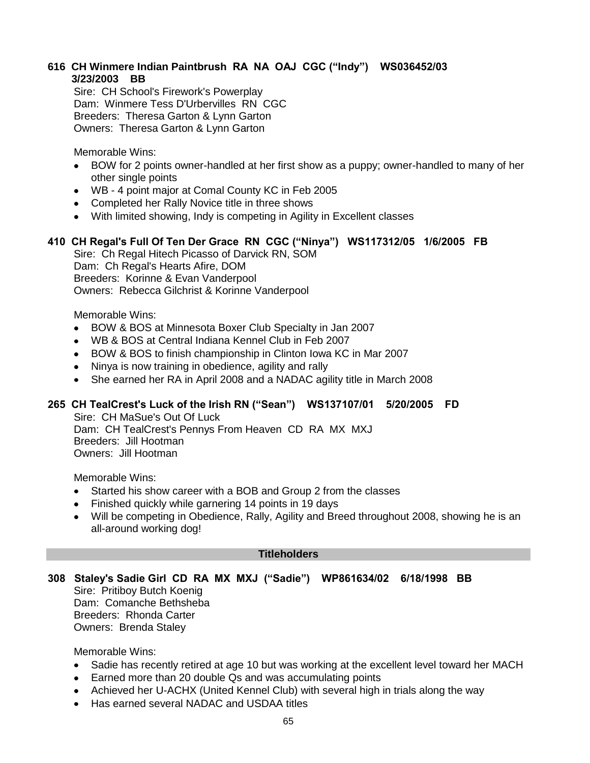# **616 CH Winmere Indian Paintbrush RA NA OAJ CGC ("Indy") WS036452/03 3/23/2003 BB**

Sire: CH School's Firework's Powerplay Dam: Winmere Tess D'Urbervilles RN CGC Breeders: Theresa Garton & Lynn Garton Owners: Theresa Garton & Lynn Garton

Memorable Wins:

- BOW for 2 points owner-handled at her first show as a puppy; owner-handled to many of her other single points
- WB 4 point major at Comal County KC in Feb 2005
- Completed her Rally Novice title in three shows
- With limited showing, Indy is competing in Agility in Excellent classes

# **410 CH Regal's Full Of Ten Der Grace RN CGC ("Ninya") WS117312/05 1/6/2005 FB**

Sire: Ch Regal Hitech Picasso of Darvick RN, SOM Dam: Ch Regal's Hearts Afire, DOM Breeders: Korinne & Evan Vanderpool Owners: Rebecca Gilchrist & Korinne Vanderpool

Memorable Wins:

- BOW & BOS at Minnesota Boxer Club Specialty in Jan 2007  $\bullet$
- WB & BOS at Central Indiana Kennel Club in Feb 2007
- BOW & BOS to finish championship in Clinton Iowa KC in Mar 2007
- Ninya is now training in obedience, agility and rally
- She earned her RA in April 2008 and a NADAC agility title in March 2008

#### **265 CH TealCrest's Luck of the Irish RN ("Sean") WS137107/01 5/20/2005 FD**

Sire: CH MaSue's Out Of Luck Dam: CH TealCrest's Pennys From Heaven CD RA MX MXJ Breeders: Jill Hootman Owners: Jill Hootman

Memorable Wins:

- Started his show career with a BOB and Group 2 from the classes
- Finished quickly while garnering 14 points in 19 days
- Will be competing in Obedience, Rally, Agility and Breed throughout 2008, showing he is an all-around working dog!

#### **Titleholders**

# **308 Staley's Sadie Girl CD RA MX MXJ ("Sadie") WP861634/02 6/18/1998 BB**

Sire: Pritiboy Butch Koenig Dam: Comanche Bethsheba Breeders: Rhonda Carter Owners: Brenda Staley

- Sadie has recently retired at age 10 but was working at the excellent level toward her MACH
- Earned more than 20 double Qs and was accumulating points
- Achieved her U-ACHX (United Kennel Club) with several high in trials along the way
- Has earned several NADAC and USDAA titles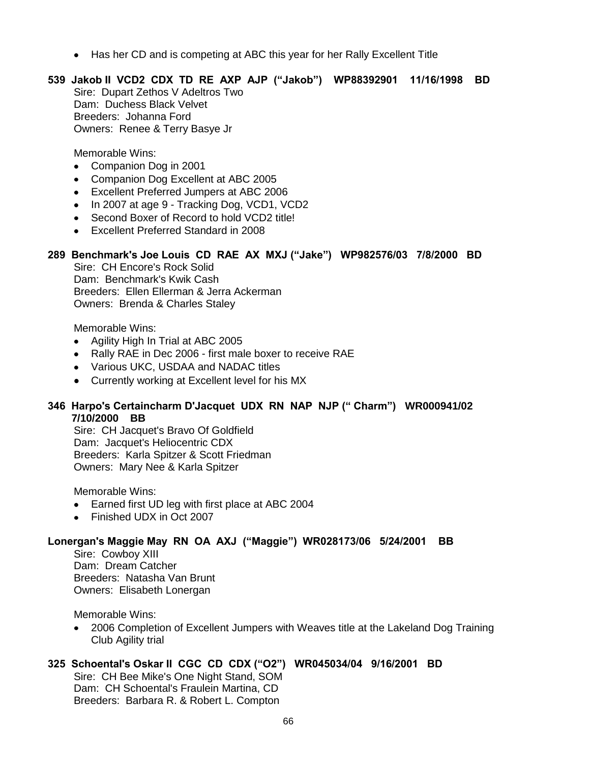Has her CD and is competing at ABC this year for her Rally Excellent Title

# **539 Jakob II VCD2 CDX TD RE AXP AJP ("Jakob") WP88392901 11/16/1998 BD**

Sire: Dupart Zethos V Adeltros Two Dam: Duchess Black Velvet Breeders: Johanna Ford Owners: Renee & Terry Basye Jr

Memorable Wins:

- Companion Dog in 2001
- Companion Dog Excellent at ABC 2005
- Excellent Preferred Jumpers at ABC 2006
- In 2007 at age 9 Tracking Dog, VCD1, VCD2
- Second Boxer of Record to hold VCD2 title!
- **Excellent Preferred Standard in 2008**

#### **289 Benchmark's Joe Louis CD RAE AX MXJ ("Jake") WP982576/03 7/8/2000 BD**

Sire: CH Encore's Rock Solid Dam: Benchmark's Kwik Cash Breeders: Ellen Ellerman & Jerra Ackerman Owners: Brenda & Charles Staley

Memorable Wins:

- Agility High In Trial at ABC 2005
- Rally RAE in Dec 2006 first male boxer to receive RAE
- Various UKC, USDAA and NADAC titles
- Currently working at Excellent level for his MX

#### **346 Harpo's Certaincharm D'Jacquet UDX RN NAP NJP (" Charm") WR000941/02 7/10/2000 BB**

Sire: CH Jacquet's Bravo Of Goldfield Dam: Jacquet's Heliocentric CDX Breeders: Karla Spitzer & Scott Friedman Owners: Mary Nee & Karla Spitzer

Memorable Wins:

- Earned first UD leg with first place at ABC 2004
- Finished UDX in Oct 2007

#### **Lonergan's Maggie May RN OA AXJ ("Maggie") WR028173/06 5/24/2001 BB**

Sire: Cowboy XIII Dam: Dream Catcher Breeders: Natasha Van Brunt Owners: Elisabeth Lonergan

Memorable Wins:

2006 Completion of Excellent Jumpers with Weaves title at the Lakeland Dog Training  $\bullet$ Club Agility trial

# **325 Schoental's Oskar II CGC CD CDX ("O2") WR045034/04 9/16/2001 BD**

Sire: CH Bee Mike's One Night Stand, SOM Dam: CH Schoental's Fraulein Martina, CD Breeders: Barbara R. & Robert L. Compton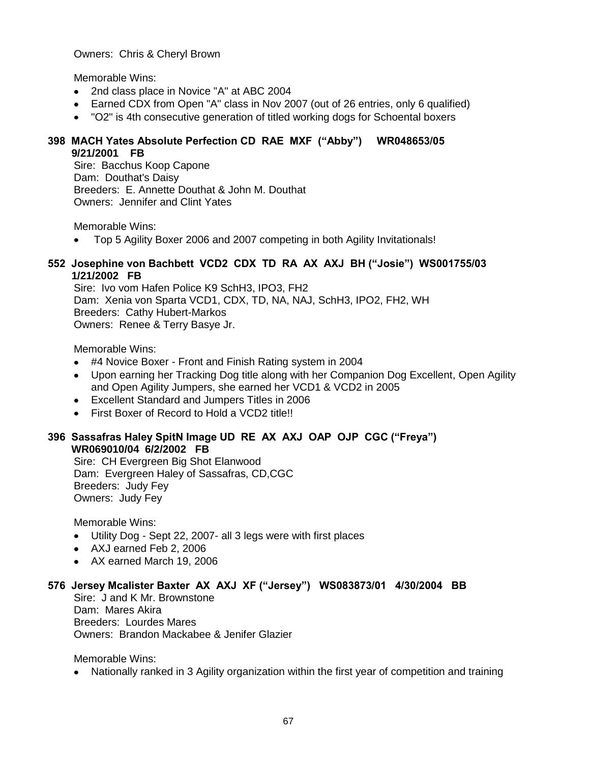Owners: Chris & Cheryl Brown

Memorable Wins:

- 2nd class place in Novice "A" at ABC 2004
- Earned CDX from Open "A" class in Nov 2007 (out of 26 entries, only 6 qualified)
- $\bullet$ "O2" is 4th consecutive generation of titled working dogs for Schoental boxers

## **398 MACH Yates Absolute Perfection CD RAE MXF ("Abby") WR048653/05 9/21/2001 FB**

Sire: Bacchus Koop Capone Dam: Douthat's Daisy Breeders: E. Annette Douthat & John M. Douthat Owners: Jennifer and Clint Yates

Memorable Wins:

Top 5 Agility Boxer 2006 and 2007 competing in both Agility Invitationals!  $\bullet$ 

#### **552 Josephine von Bachbett VCD2 CDX TD RA AX AXJ BH ("Josie") WS001755/03 1/21/2002 FB**

Sire: Ivo vom Hafen Police K9 SchH3, IPO3, FH2 Dam: Xenia von Sparta VCD1, CDX, TD, NA, NAJ, SchH3, IPO2, FH2, WH Breeders: Cathy Hubert-Markos Owners: Renee & Terry Basye Jr.

Memorable Wins:

- #4 Novice Boxer Front and Finish Rating system in 2004
- Upon earning her Tracking Dog title along with her Companion Dog Excellent, Open Agility and Open Agility Jumpers, she earned her VCD1 & VCD2 in 2005
- Excellent Standard and Jumpers Titles in 2006
- First Boxer of Record to Hold a VCD2 title!!

#### **396 Sassafras Haley SpitN Image UD RE AX AXJ OAP OJP CGC ("Freya") WR069010/04 6/2/2002 FB**

Sire: CH Evergreen Big Shot Elanwood Dam: Evergreen Haley of Sassafras, CD,CGC Breeders: Judy Fey Owners: Judy Fey

Memorable Wins:

- Utility Dog Sept 22, 2007- all 3 legs were with first places
- AXJ earned Feb 2, 2006
- AX earned March 19, 2006

#### **576 Jersey Mcalister Baxter AX AXJ XF ("Jersey") WS083873/01 4/30/2004 BB**

Sire: J and K Mr. Brownstone Dam: Mares Akira Breeders: Lourdes Mares Owners: Brandon Mackabee & Jenifer Glazier

Memorable Wins:

• Nationally ranked in 3 Agility organization within the first year of competition and training